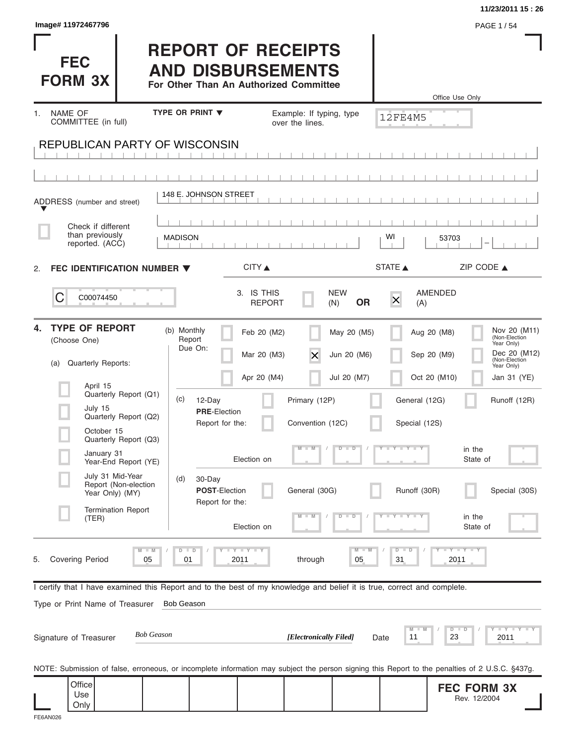|                                                                                                                                                                                                           |                                                                                                 |                                                       |                                           |                                            | 11/23/2011 15:26                                                                                          |
|-----------------------------------------------------------------------------------------------------------------------------------------------------------------------------------------------------------|-------------------------------------------------------------------------------------------------|-------------------------------------------------------|-------------------------------------------|--------------------------------------------|-----------------------------------------------------------------------------------------------------------|
| Image# 11972467796<br><b>FEC</b><br><b>FORM 3X</b>                                                                                                                                                        | <b>REPORT OF RECEIPTS</b><br><b>AND DISBURSEMENTS</b><br>For Other Than An Authorized Committee |                                                       |                                           | Office Use Only                            | PAGE 1/54                                                                                                 |
| NAME OF<br>1.                                                                                                                                                                                             | <b>TYPE OR PRINT ▼</b>                                                                          | Example: If typing, type                              |                                           | <b>12FE4M5</b>                             |                                                                                                           |
| COMMITTEE (in full)<br><b>REPUBLICAN PARTY OF WISCONSIN</b>                                                                                                                                               |                                                                                                 | over the lines.                                       |                                           |                                            |                                                                                                           |
|                                                                                                                                                                                                           |                                                                                                 |                                                       |                                           |                                            |                                                                                                           |
| ADDRESS (number and street)                                                                                                                                                                               | 148 E. JOHNSON STREET                                                                           |                                                       |                                           |                                            |                                                                                                           |
| Check if different<br>than previously<br>reported. (ACC)                                                                                                                                                  | <b>MADISON</b>                                                                                  |                                                       |                                           | WI<br>53703                                |                                                                                                           |
| FEC IDENTIFICATION NUMBER ▼<br>2.                                                                                                                                                                         |                                                                                                 | CITY ▲                                                |                                           | STATE A                                    | ZIP CODE $\triangle$                                                                                      |
| С<br>C00074450                                                                                                                                                                                            |                                                                                                 | 3. IS THIS<br><b>REPORT</b>                           | <b>NEW</b><br><b>OR</b><br>(N)            | <b>AMENDED</b><br>$\times$<br>(A)          |                                                                                                           |
| <b>TYPE OF REPORT</b><br>4.<br>(Choose One)<br>Quarterly Reports:<br>(a)                                                                                                                                  | (b) Monthly<br>Report<br>Due On:                                                                | Feb 20 (M2)<br>Mar 20 (M3)<br>$\times$<br>Apr 20 (M4) | May 20 (M5)<br>Jun 20 (M6)<br>Jul 20 (M7) | Aug 20 (M8)<br>Sep 20 (M9)<br>Oct 20 (M10) | Nov 20 (M11)<br>(Non-Election<br>Year Only)<br>Dec 20 (M12)<br>(Non-Election<br>Year Only)<br>Jan 31 (YE) |
| April 15<br>Quarterly Report (Q1)<br>July 15<br>Quarterly Report (Q2)<br>October 15                                                                                                                       | (c)<br>12-Day<br><b>PRE-Election</b><br>Report for the:                                         | Primary (12P)<br>Convention (12C)                     |                                           | General (12G)<br>Special (12S)             | Runoff (12R)                                                                                              |
| Quarterly Report (Q3)<br>January 31<br>Year-End Report (YE)                                                                                                                                               | Election on                                                                                     |                                                       | $\overline{D}$<br>$\Box$                  | $T - Y = T - T$                            | in the<br>State of                                                                                        |
| July 31 Mid-Year<br>Report (Non-election<br>Year Only) (MY)                                                                                                                                               | (d)<br>30-Day<br><b>POST-Election</b><br>Report for the:                                        | General (30G)                                         |                                           | Runoff (30R)                               | Special (30S)                                                                                             |
| <b>Termination Report</b><br>(TER)                                                                                                                                                                        | Election on                                                                                     |                                                       | $\overline{\mathbf{D}}$<br>D              |                                            | in the<br>State of                                                                                        |
| $M - M$<br><b>Covering Period</b><br>05<br>5.                                                                                                                                                             | $D$ $D$<br><b>LYLYLY</b><br>01<br>2011                                                          | through                                               | M<br>05                                   | $D - D$<br>31<br>2011                      | $-Y - Y - Y$                                                                                              |
| I certify that I have examined this Report and to the best of my knowledge and belief it is true, correct and complete.<br>Type or Print Name of Treasurer<br><b>Bob Geason</b><br>Signature of Treasurer | <b>Bob Geason</b>                                                                               | [Electronically Filed]                                | Date                                      | M<br>11<br>23                              | $\bot$ $\gamma$ $\bot$ $\gamma$ $\bot$ $\gamma$<br>$D$ $D$<br>2011                                        |
|                                                                                                                                                                                                           |                                                                                                 |                                                       |                                           |                                            |                                                                                                           |
| NOTE: Submission of false, erroneous, or incomplete information may subject the person signing this Report to the penalties of 2 U.S.C. §437g.                                                            |                                                                                                 |                                                       |                                           |                                            |                                                                                                           |
| Office<br>Use<br>Only                                                                                                                                                                                     |                                                                                                 |                                                       |                                           |                                            | <b>FEC FORM 3X</b><br>Rev. 12/2004                                                                        |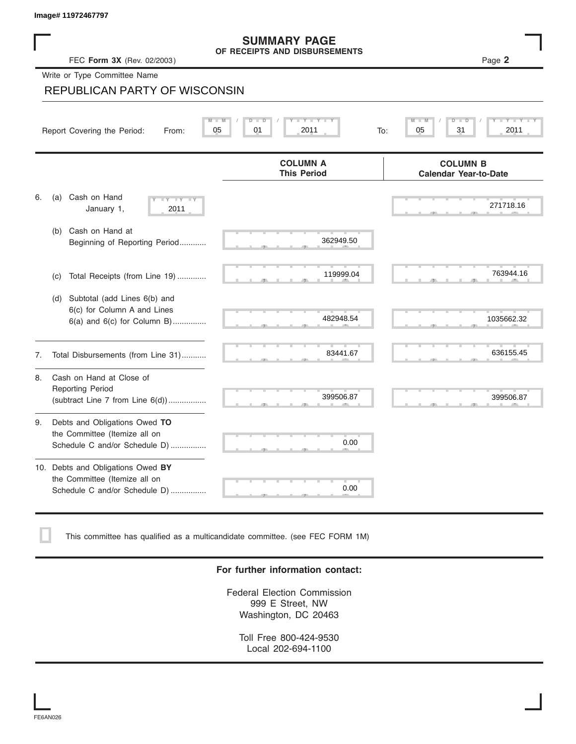|    | Image# 11972467797                                                                                |                                                                                               |     |                                                                            |
|----|---------------------------------------------------------------------------------------------------|-----------------------------------------------------------------------------------------------|-----|----------------------------------------------------------------------------|
|    | FEC Form 3X (Rev. 02/2003)                                                                        | <b>SUMMARY PAGE</b><br>OF RECEIPTS AND DISBURSEMENTS                                          |     | Page 2                                                                     |
|    | Write or Type Committee Name                                                                      |                                                                                               |     |                                                                            |
|    | REPUBLICAN PARTY OF WISCONSIN                                                                     |                                                                                               |     |                                                                            |
|    | Report Covering the Period:<br>From:                                                              | $\mathbf{I} = \mathbf{Y}$ $\mathbf{I} = \mathbf{Y}$<br>$M - M$<br>$D$ $D$<br>05<br>01<br>2011 | To: | $\overline{\mathsf{M}}$<br>$\overline{D}$<br>$Y = Y +$<br>31<br>2011<br>05 |
|    |                                                                                                   | <b>COLUMN A</b><br><b>This Period</b>                                                         |     | <b>COLUMN B</b><br><b>Calendar Year-to-Date</b>                            |
| 6. | Cash on Hand<br>(a)<br>$-\sqrt{}$<br>$\overline{Y}$<br>January 1,<br>2011                         |                                                                                               |     | 271718.16                                                                  |
|    | Cash on Hand at<br>(b)<br>Beginning of Reporting Period                                           | 362949.50                                                                                     |     |                                                                            |
|    | Total Receipts (from Line 19)<br>(c)                                                              | 119999.04                                                                                     |     | 763944.16                                                                  |
|    | Subtotal (add Lines 6(b) and<br>(d)<br>6(c) for Column A and Lines<br>6(a) and 6(c) for Column B) | 482948.54                                                                                     |     | 1035662.32                                                                 |
| 7. | Total Disbursements (from Line 31)                                                                | 83441.67                                                                                      |     | 636155.45                                                                  |
| 8. | Cash on Hand at Close of<br><b>Reporting Period</b><br>(subtract Line 7 from Line 6(d))           | 399506.87                                                                                     |     | 399506.87                                                                  |
| 9. | Debts and Obligations Owed TO<br>the Committee (Itemize all on<br>Schedule C and/or Schedule D)   | 0.00                                                                                          |     |                                                                            |
|    | 10. Debts and Obligations Owed BY<br>the Committee (Itemize all on                                |                                                                                               |     |                                                                            |

This committee has qualified as a multicandidate committee. (see FEC FORM 1M)

Schedule C and/or Schedule D) ................

### **For further information contact:**

S S S , , .

0.00

Federal Election Commission 999 E Street, NW Washington, DC 20463

Toll Free 800-424-9530 Local 202-694-1100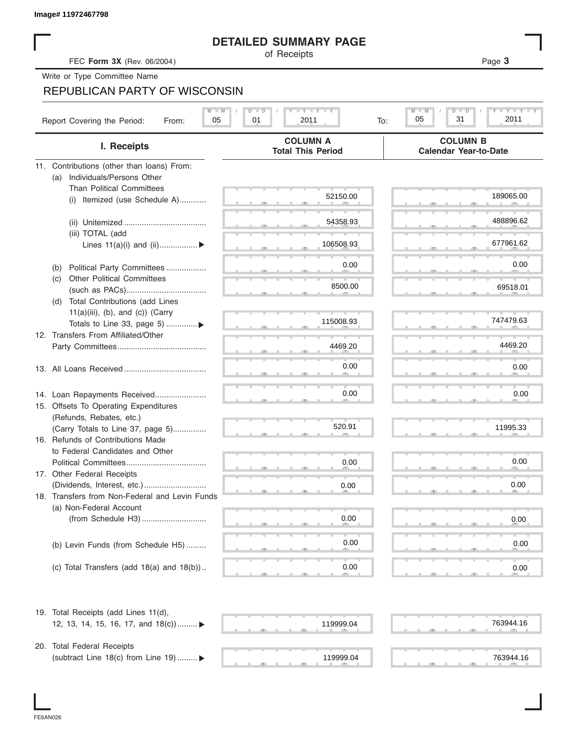|     |                                                                       | <b>DETAILED SUMMARY PAGE</b>                    |                                                              |
|-----|-----------------------------------------------------------------------|-------------------------------------------------|--------------------------------------------------------------|
|     | FEC Form 3X (Rev. 06/2004)                                            | of Receipts                                     | Page 3                                                       |
|     | Write or Type Committee Name                                          |                                                 |                                                              |
|     | <b>REPUBLICAN PARTY OF WISCONSIN</b>                                  |                                                 |                                                              |
|     |                                                                       |                                                 |                                                              |
|     | $M - M$<br>Report Covering the Period:<br>05<br>From:                 | <b>LY LY LY</b><br>$D$ $\Box$ $D$<br>2011<br>01 | Y I Y I Y I<br>$M - M$<br>$D$ $D$<br>2011<br>05<br>31<br>To: |
|     | I. Receipts                                                           | <b>COLUMN A</b><br><b>Total This Period</b>     | <b>COLUMN B</b><br><b>Calendar Year-to-Date</b>              |
|     | 11. Contributions (other than loans) From:                            |                                                 |                                                              |
| (a) | Individuals/Persons Other                                             |                                                 |                                                              |
|     | <b>Than Political Committees</b>                                      |                                                 |                                                              |
|     | Itemized (use Schedule A)<br>(i)                                      | 52150.00                                        | 189065.00                                                    |
|     |                                                                       |                                                 |                                                              |
|     |                                                                       | 54358.93                                        | 488896.62                                                    |
|     | (iii) TOTAL (add                                                      |                                                 |                                                              |
|     | Lines $11(a)(i)$ and $(ii)$                                           | 106508.93                                       | 677961.62                                                    |
|     |                                                                       | 0.00                                            | 0.00                                                         |
| (b) | Political Party Committees                                            |                                                 |                                                              |
| (c) | <b>Other Political Committees</b>                                     | 8500.00                                         | 69518.01                                                     |
|     | Total Contributions (add Lines                                        |                                                 |                                                              |
| (d) | $11(a)(iii)$ , (b), and (c)) (Carry                                   |                                                 |                                                              |
|     | Totals to Line 33, page 5) ▶                                          | 115008.93                                       | 747479.63                                                    |
|     | 12. Transfers From Affiliated/Other                                   |                                                 |                                                              |
|     |                                                                       | 4469.20                                         | 4469.20                                                      |
|     |                                                                       |                                                 |                                                              |
|     |                                                                       | 0.00                                            | 0.00                                                         |
|     |                                                                       |                                                 |                                                              |
|     |                                                                       | 0.00                                            | 0.00                                                         |
|     | 14. Loan Repayments Received<br>15. Offsets To Operating Expenditures |                                                 |                                                              |
|     | (Refunds, Rebates, etc.)                                              |                                                 |                                                              |
|     | (Carry Totals to Line 37, page 5)                                     | 520.91                                          | 11995.33                                                     |
|     | 16. Refunds of Contributions Made                                     |                                                 |                                                              |
|     | to Federal Candidates and Other                                       |                                                 |                                                              |
|     | Political Committees                                                  | 0.00                                            | 0.00                                                         |
|     | 17. Other Federal Receipts                                            |                                                 |                                                              |
|     |                                                                       | 0.00                                            | 0.00                                                         |
|     | 18. Transfers from Non-Federal and Levin Funds                        |                                                 |                                                              |
|     | (a) Non-Federal Account                                               |                                                 |                                                              |
|     |                                                                       | 0.00                                            | 0.00                                                         |
|     |                                                                       |                                                 |                                                              |
|     | (b) Levin Funds (from Schedule H5)                                    | 0.00                                            | 0.00                                                         |
|     |                                                                       |                                                 |                                                              |
|     | (c) Total Transfers (add $18(a)$ and $18(b)$ )                        | 0.00                                            | 0.00                                                         |
|     |                                                                       |                                                 |                                                              |
|     | 19. Total Receipts (add Lines 11(d),                                  |                                                 |                                                              |
|     | 12, 13, 14, 15, 16, 17, and 18(c)) ▶                                  | 119999.04                                       | 763944.16                                                    |
|     |                                                                       |                                                 |                                                              |
|     | 20. Total Federal Receipts                                            |                                                 |                                                              |
|     | (subtract Line 18(c) from Line 19)  ▶                                 | 119999.04                                       | 763944.16                                                    |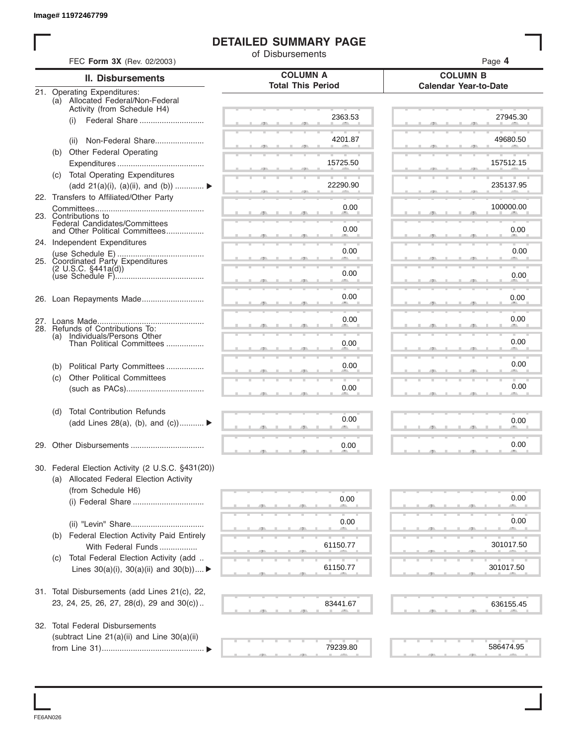### **DETAILED SUMMARY PAGE**

|     | FEC Form 3X (Rev. 02/2003)                             | of Disbursements         | Page 4                       |
|-----|--------------------------------------------------------|--------------------------|------------------------------|
|     | <b>II. Disbursements</b>                               | <b>COLUMN A</b>          | <b>COLUMN B</b>              |
|     | 21. Operating Expenditures:                            | <b>Total This Period</b> | <b>Calendar Year-to-Date</b> |
|     | (a) Allocated Federal/Non-Federal                      |                          |                              |
|     | Activity (from Schedule H4)<br>(i)                     | 2363.53                  | 27945.30                     |
|     |                                                        |                          |                              |
|     | Non-Federal Share<br>(ii)                              | 4201.87                  | 49680.50                     |
|     | (b) Other Federal Operating                            |                          |                              |
|     | (c) Total Operating Expenditures                       | 15725.50                 | 157512.15                    |
|     | (add 21(a)(i), (a)(ii), and (b))                       | 22290.90                 | 235137.95                    |
|     | 22. Transfers to Affiliated/Other Party                |                          |                              |
|     |                                                        | 0.00                     | 100000.00                    |
|     | 23. Contributions to<br>Federal Candidates/Committees  |                          |                              |
|     | and Other Political Committees                         | 0.00                     | 0.00                         |
|     | 24. Independent Expenditures                           | 0.00                     | 0.00                         |
|     | 25. Coordinated Party Expenditures                     |                          |                              |
|     | $(2 \cup S.C. \S441a(d))$                              | 0.00                     | 0.00                         |
|     |                                                        |                          |                              |
|     |                                                        | 0.00                     | 0.00                         |
|     |                                                        | 0.00                     | 0.00                         |
|     | 28. Refunds of Contributions To:                       |                          |                              |
| (a) | Individuals/Persons Other<br>Than Political Committees | 0.00                     | 0.00                         |
|     |                                                        |                          |                              |
| (b) | Political Party Committees                             | 0.00                     | 0.00                         |
| (c) | <b>Other Political Committees</b>                      |                          | 0.00                         |
|     |                                                        | 0.00                     |                              |
| (d) | <b>Total Contribution Refunds</b>                      |                          |                              |
|     | (add Lines 28(a), (b), and (c))                        | 0.00                     | 0.00                         |
|     |                                                        |                          |                              |
|     |                                                        | 0.00                     | 0.00                         |
|     | 30. Federal Election Activity (2 U.S.C. §431(20))      |                          |                              |
|     | (a) Allocated Federal Election Activity                |                          |                              |
|     | (from Schedule H6)                                     | 0.00                     | 0.00                         |
|     |                                                        |                          |                              |
|     |                                                        | 0.00                     | 0.00                         |
| (b) | Federal Election Activity Paid Entirely                |                          |                              |
|     | With Federal Funds                                     | 61150.77                 | 301017.50                    |
| (C) | Total Federal Election Activity (add                   |                          |                              |
|     | Lines $30(a)(i)$ , $30(a)(ii)$ and $30(b))$            | 61150.77                 | 301017.50                    |
|     | 31. Total Disbursements (add Lines 21(c), 22,          |                          |                              |
|     | 23, 24, 25, 26, 27, 28(d), 29 and 30(c))               | 83441.67                 | 636155.45                    |
|     |                                                        |                          |                              |
|     | 32. Total Federal Disbursements                        |                          |                              |
|     | (subtract Line 21(a)(ii) and Line 30(a)(ii)            | 79239.80                 | 586474.95                    |
|     |                                                        |                          |                              |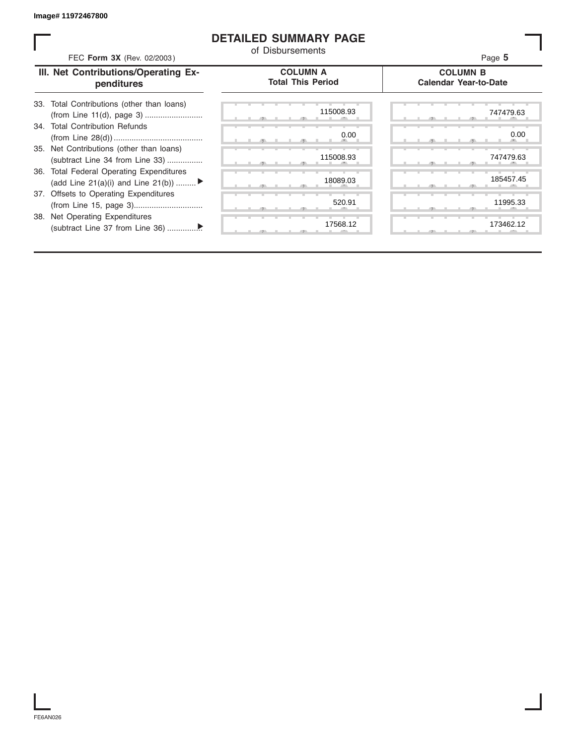### **DETAILED SUMMARY PAGE**

| FEC Form 3X (Rev. 02/2003)                                                     | of Disbursements                            | Page 5                                          |
|--------------------------------------------------------------------------------|---------------------------------------------|-------------------------------------------------|
| III. Net Contributions/Operating Ex-<br>penditures                             | <b>COLUMN A</b><br><b>Total This Period</b> | <b>COLUMN B</b><br><b>Calendar Year-to-Date</b> |
| 33. Total Contributions (other than loans)                                     | 115008.93                                   | 747479.63                                       |
| 34. Total Contribution Refunds                                                 | 0.00                                        | 0.00                                            |
| 35. Net Contributions (other than loans)<br>(subtract Line 34 from Line 33)    | 115008.93                                   | 747479.63                                       |
| 36. Total Federal Operating Expenditures<br>(add Line 21(a)(i) and Line 21(b)) | 18089.03                                    | 185457.45                                       |
| 37. Offsets to Operating Expenditures                                          | 520.91                                      | 11995.33                                        |
| 38. Net Operating Expenditures                                                 | 17568.12                                    | 173462.12                                       |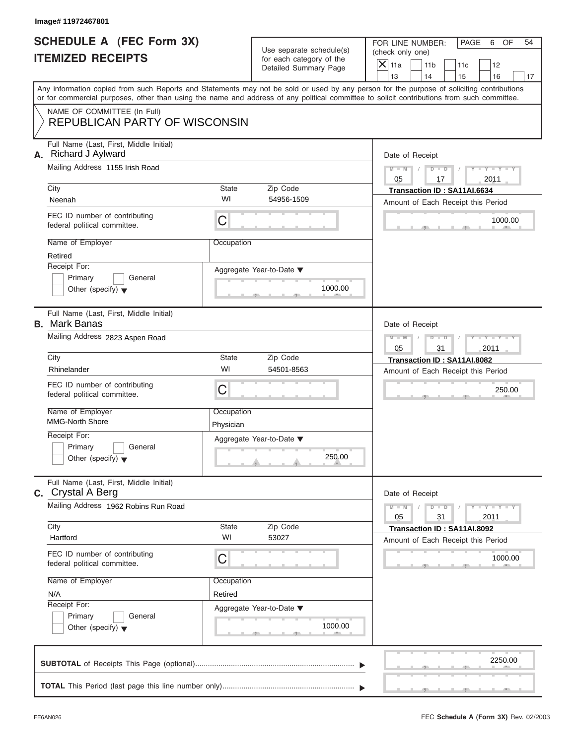# **SCHEDULE A (FEC Form 3X) ITEMIZED RECEIPTS**

FOR LINE NUMBER: PAGE 6 OF<br>(check only one)

| SCHEDULE A (FEC Form 3X)                                                   |                                            | Use separate schedule(s)                          | FOR LINE NUMBER:<br>PAGE<br>6<br>OF<br>54<br>(check only one)                                                                                                                                                                                                                           |  |  |
|----------------------------------------------------------------------------|--------------------------------------------|---------------------------------------------------|-----------------------------------------------------------------------------------------------------------------------------------------------------------------------------------------------------------------------------------------------------------------------------------------|--|--|
| <b>ITEMIZED RECEIPTS</b>                                                   |                                            | for each category of the<br>Detailed Summary Page | $\overline{\mathsf{x}}$<br>11a<br>11 <sub>b</sub><br>12<br>11c<br>13<br>14<br>16<br>15<br>17                                                                                                                                                                                            |  |  |
|                                                                            |                                            |                                                   | Any information copied from such Reports and Statements may not be sold or used by any person for the purpose of soliciting contributions<br>or for commercial purposes, other than using the name and address of any political committee to solicit contributions from such committee. |  |  |
| NAME OF COMMITTEE (In Full)<br><b>REPUBLICAN PARTY OF WISCONSIN</b>        |                                            |                                                   |                                                                                                                                                                                                                                                                                         |  |  |
| Full Name (Last, First, Middle Initial)<br>Richard J Aylward<br>А.         |                                            |                                                   |                                                                                                                                                                                                                                                                                         |  |  |
| Mailing Address 1155 Irish Road                                            | City<br>Zip Code<br><b>State</b>           |                                                   |                                                                                                                                                                                                                                                                                         |  |  |
| Neenah                                                                     | WI                                         | 54956-1509                                        | Transaction ID: SA11AI.6634<br>Amount of Each Receipt this Period                                                                                                                                                                                                                       |  |  |
| FEC ID number of contributing<br>federal political committee.              | $\mathsf C$                                |                                                   | 1000.00                                                                                                                                                                                                                                                                                 |  |  |
| Name of Employer<br>Retired                                                | Occupation                                 |                                                   |                                                                                                                                                                                                                                                                                         |  |  |
| Receipt For:<br>Primary<br>General<br>Other (specify) $\blacktriangledown$ |                                            | Aggregate Year-to-Date ▼<br>1000.00<br>$-9$       |                                                                                                                                                                                                                                                                                         |  |  |
| Full Name (Last, First, Middle Initial)<br><b>B.</b> Mark Banas            |                                            |                                                   | Date of Receipt                                                                                                                                                                                                                                                                         |  |  |
| Mailing Address 2823 Aspen Road                                            | $M - M$<br>D<br>$\Box$<br>05<br>2011<br>31 |                                                   |                                                                                                                                                                                                                                                                                         |  |  |
| City                                                                       | <b>State</b>                               | Zip Code                                          | Transaction ID: SA11AI.8082                                                                                                                                                                                                                                                             |  |  |
| Rhinelander                                                                | WI                                         | 54501-8563                                        | Amount of Each Receipt this Period                                                                                                                                                                                                                                                      |  |  |
| FEC ID number of contributing<br>federal political committee.              | C                                          |                                                   | 250.00                                                                                                                                                                                                                                                                                  |  |  |
| Name of Employer<br><b>MMG-North Shore</b>                                 | Occupation<br>Physician                    |                                                   |                                                                                                                                                                                                                                                                                         |  |  |
| Receipt For:                                                               |                                            | Aggregate Year-to-Date ▼                          |                                                                                                                                                                                                                                                                                         |  |  |
| General<br>Primary<br>Other (specify) $\blacktriangledown$                 |                                            | 250.00<br>æ.                                      |                                                                                                                                                                                                                                                                                         |  |  |
| Full Name (Last, First, Middle Initial)<br><b>c.</b> Crystal A Berg        |                                            |                                                   | Date of Receipt                                                                                                                                                                                                                                                                         |  |  |
| Mailing Address 1962 Robins Run Road                                       |                                            |                                                   |                                                                                                                                                                                                                                                                                         |  |  |
| City                                                                       | <b>State</b>                               | Zip Code                                          | Transaction ID: SA11AI.8092                                                                                                                                                                                                                                                             |  |  |
| Hartford                                                                   | WI                                         | 53027                                             | Amount of Each Receipt this Period                                                                                                                                                                                                                                                      |  |  |
| FEC ID number of contributing<br>federal political committee.              | C                                          |                                                   | 1000.00                                                                                                                                                                                                                                                                                 |  |  |
| Name of Employer                                                           | Occupation                                 |                                                   |                                                                                                                                                                                                                                                                                         |  |  |
| N/A<br>Receipt For:                                                        | Retired                                    |                                                   |                                                                                                                                                                                                                                                                                         |  |  |
| Primary<br>General<br>Other (specify) $\blacktriangledown$                 |                                            | Aggregate Year-to-Date ▼<br>1000.00               |                                                                                                                                                                                                                                                                                         |  |  |
|                                                                            |                                            |                                                   | 2250.00                                                                                                                                                                                                                                                                                 |  |  |
|                                                                            |                                            |                                                   |                                                                                                                                                                                                                                                                                         |  |  |

S S S , , .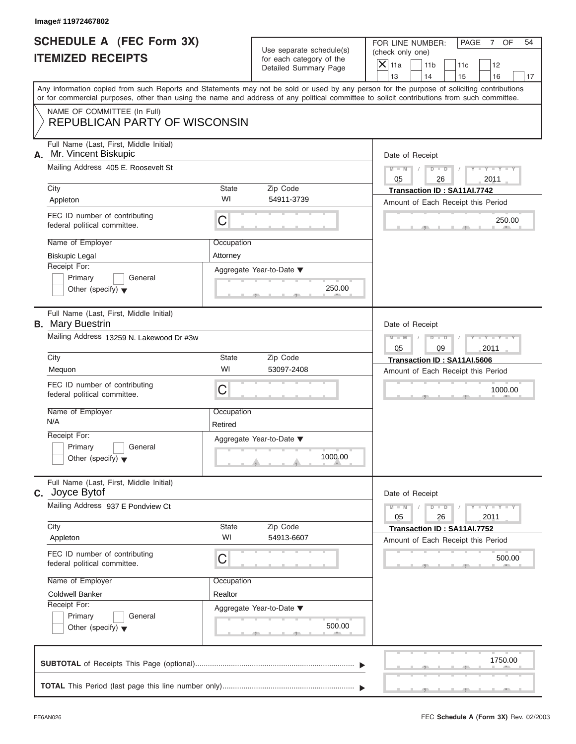# **SCHEDULE A (FEC Form 3X) ITEMIZED RECEIPTS**

FOR LINE NUMBER: PAGE 7 OF<br>(check only one)

| SCHEDULE A (FEC Form 3X)<br><b>ITEMIZED RECEIPTS</b>                                                                                       |                                          | Use separate schedule(s)<br>for each category of the                    | FOR LINE NUMBER:<br>PAGE<br>OF<br>54<br>$\overline{7}$<br>(check only one)                                                                |  |  |
|--------------------------------------------------------------------------------------------------------------------------------------------|------------------------------------------|-------------------------------------------------------------------------|-------------------------------------------------------------------------------------------------------------------------------------------|--|--|
|                                                                                                                                            |                                          | Detailed Summary Page                                                   | $\mathsf{X}$ 11a<br>11 <sub>b</sub><br>11c<br>12<br>13<br>14<br>15<br>16<br>17                                                            |  |  |
| or for commercial purposes, other than using the name and address of any political committee to solicit contributions from such committee. |                                          |                                                                         | Any information copied from such Reports and Statements may not be sold or used by any person for the purpose of soliciting contributions |  |  |
| NAME OF COMMITTEE (In Full)<br><b>REPUBLICAN PARTY OF WISCONSIN</b>                                                                        |                                          |                                                                         |                                                                                                                                           |  |  |
| Full Name (Last, First, Middle Initial)<br>Mr. Vincent Biskupic<br>А.                                                                      |                                          |                                                                         |                                                                                                                                           |  |  |
| Mailing Address 405 E. Roosevelt St                                                                                                        | City<br>Zip Code<br>State                |                                                                         |                                                                                                                                           |  |  |
| Appleton                                                                                                                                   | WI                                       | 54911-3739                                                              | Transaction ID: SA11Al.7742<br>Amount of Each Receipt this Period                                                                         |  |  |
| FEC ID number of contributing<br>federal political committee.                                                                              | C                                        |                                                                         | 250.00                                                                                                                                    |  |  |
| Name of Employer<br><b>Biskupic Legal</b>                                                                                                  | Occupation<br>Attorney                   |                                                                         |                                                                                                                                           |  |  |
| Receipt For:<br>Primary<br>General<br>Other (specify) $\blacktriangledown$                                                                 |                                          | Aggregate Year-to-Date ▼<br>250.00<br>- 91                              |                                                                                                                                           |  |  |
| Full Name (Last, First, Middle Initial)<br><b>B.</b> Mary Buestrin                                                                         |                                          |                                                                         | Date of Receipt<br>$M - M$<br>$\blacksquare$<br>D                                                                                         |  |  |
|                                                                                                                                            | Mailing Address 13259 N. Lakewood Dr #3w |                                                                         |                                                                                                                                           |  |  |
| City<br>Mequon                                                                                                                             | <b>State</b><br>WI                       | Zip Code<br>53097-2408                                                  | Transaction ID: SA11AI.5606<br>Amount of Each Receipt this Period                                                                         |  |  |
| FEC ID number of contributing<br>federal political committee.                                                                              | C                                        |                                                                         | 1000.00                                                                                                                                   |  |  |
| Name of Employer<br>N/A                                                                                                                    | Occupation<br>Retired                    |                                                                         |                                                                                                                                           |  |  |
| Receipt For:<br>General<br>Primary<br>Other (specify) $\blacktriangledown$                                                                 |                                          | Aggregate Year-to-Date ▼<br>1000.00<br>$\theta$ and the set of $\theta$ |                                                                                                                                           |  |  |
| Full Name (Last, First, Middle Initial)<br>Joyce Bytof<br>C.                                                                               |                                          |                                                                         | Date of Receipt                                                                                                                           |  |  |
| Mailing Address 937 E Pondview Ct                                                                                                          |                                          |                                                                         |                                                                                                                                           |  |  |
| City<br>Appleton                                                                                                                           | State<br>WI                              | Zip Code<br>54913-6607                                                  | Transaction ID: SA11AI.7752<br>Amount of Each Receipt this Period                                                                         |  |  |
| FEC ID number of contributing<br>federal political committee.                                                                              | С                                        |                                                                         | 500.00                                                                                                                                    |  |  |
| Name of Employer                                                                                                                           | Occupation                               |                                                                         |                                                                                                                                           |  |  |
| <b>Coldwell Banker</b><br>Receipt For:<br>Primary<br>General<br>Other (specify) $\blacktriangledown$                                       | Realtor                                  | Aggregate Year-to-Date ▼<br>500.00                                      |                                                                                                                                           |  |  |
|                                                                                                                                            |                                          |                                                                         | 1750.00                                                                                                                                   |  |  |
|                                                                                                                                            |                                          |                                                                         |                                                                                                                                           |  |  |

 S S S , , . سي ال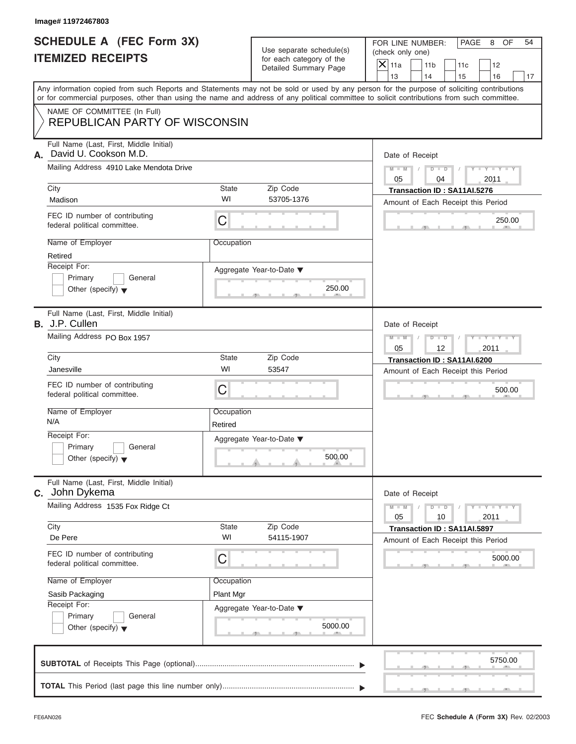### **SCHEDULE A (FEC Form 3X) ITEMIZED RECEIPTS**

FOR LINE NUMBER: PAGE 8 OF<br>(check only one)

| SCHEDULE A (FEC Form 3X)<br><b>ITEMIZED RECEIPTS</b>                                                                                                                                                                                                                                    |                                                          | Use separate schedule(s)                          | FOR LINE NUMBER:<br>PAGE<br>8<br>OF<br>54<br>(check only one)                                |  |  |
|-----------------------------------------------------------------------------------------------------------------------------------------------------------------------------------------------------------------------------------------------------------------------------------------|----------------------------------------------------------|---------------------------------------------------|----------------------------------------------------------------------------------------------|--|--|
|                                                                                                                                                                                                                                                                                         |                                                          | for each category of the<br>Detailed Summary Page | $\overline{\mathsf{x}}$<br>11a<br>11 <sub>b</sub><br>12<br>11c<br>13<br>14<br>15<br>16<br>17 |  |  |
| Any information copied from such Reports and Statements may not be sold or used by any person for the purpose of soliciting contributions<br>or for commercial purposes, other than using the name and address of any political committee to solicit contributions from such committee. |                                                          |                                                   |                                                                                              |  |  |
| NAME OF COMMITTEE (In Full)<br><b>REPUBLICAN PARTY OF WISCONSIN</b>                                                                                                                                                                                                                     |                                                          |                                                   |                                                                                              |  |  |
| Full Name (Last, First, Middle Initial)<br>David U. Cookson M.D.<br>А.                                                                                                                                                                                                                  |                                                          |                                                   |                                                                                              |  |  |
| Mailing Address 4910 Lake Mendota Drive                                                                                                                                                                                                                                                 | City<br>Zip Code<br><b>State</b>                         |                                                   |                                                                                              |  |  |
| Madison                                                                                                                                                                                                                                                                                 | WI                                                       | 53705-1376                                        | Transaction ID: SA11AI.5276<br>Amount of Each Receipt this Period                            |  |  |
| FEC ID number of contributing<br>federal political committee.                                                                                                                                                                                                                           | $\mathsf C$                                              |                                                   | 250.00                                                                                       |  |  |
| Name of Employer<br>Retired                                                                                                                                                                                                                                                             | Occupation                                               |                                                   |                                                                                              |  |  |
| Receipt For:<br>Primary<br>General<br>Other (specify) $\blacktriangledown$                                                                                                                                                                                                              |                                                          | Aggregate Year-to-Date ▼<br>250.00<br>$-9$        |                                                                                              |  |  |
| Full Name (Last, First, Middle Initial)<br><b>B.</b> J.P. Cullen                                                                                                                                                                                                                        | Date of Receipt<br>$M - M$<br>$Y - Y - I$<br>D<br>$\Box$ |                                                   |                                                                                              |  |  |
| Mailing Address PO Box 1957                                                                                                                                                                                                                                                             |                                                          |                                                   |                                                                                              |  |  |
| City                                                                                                                                                                                                                                                                                    | <b>State</b>                                             | Zip Code                                          | Transaction ID: SA11AI.6200                                                                  |  |  |
| Janesville                                                                                                                                                                                                                                                                              | WI                                                       | 53547                                             | Amount of Each Receipt this Period                                                           |  |  |
| FEC ID number of contributing<br>federal political committee.                                                                                                                                                                                                                           | C                                                        |                                                   | 500.00                                                                                       |  |  |
| Name of Employer<br>N/A                                                                                                                                                                                                                                                                 | Occupation<br>Retired                                    |                                                   |                                                                                              |  |  |
| Receipt For:                                                                                                                                                                                                                                                                            |                                                          | Aggregate Year-to-Date ▼                          |                                                                                              |  |  |
| General<br>Primary<br>Other (specify) $\blacktriangledown$                                                                                                                                                                                                                              |                                                          | 500.00<br>o.                                      |                                                                                              |  |  |
| Full Name (Last, First, Middle Initial)<br><b>C.</b> John Dykema                                                                                                                                                                                                                        |                                                          |                                                   | Date of Receipt                                                                              |  |  |
| Mailing Address 1535 Fox Ridge Ct                                                                                                                                                                                                                                                       |                                                          |                                                   |                                                                                              |  |  |
| City<br>De Pere                                                                                                                                                                                                                                                                         | <b>State</b><br>WI                                       | Zip Code<br>54115-1907                            | Transaction ID: SA11AI.5897<br>Amount of Each Receipt this Period                            |  |  |
| FEC ID number of contributing<br>federal political committee.                                                                                                                                                                                                                           | C                                                        |                                                   | 5000.00                                                                                      |  |  |
| Name of Employer                                                                                                                                                                                                                                                                        | Occupation                                               |                                                   |                                                                                              |  |  |
| Sasib Packaging                                                                                                                                                                                                                                                                         | Plant Mgr                                                |                                                   |                                                                                              |  |  |
| Receipt For:<br>Primary<br>General<br>Other (specify) $\blacktriangledown$                                                                                                                                                                                                              |                                                          | Aggregate Year-to-Date ▼<br>5000.00               |                                                                                              |  |  |
|                                                                                                                                                                                                                                                                                         |                                                          |                                                   | 5750.00                                                                                      |  |  |
|                                                                                                                                                                                                                                                                                         |                                                          |                                                   |                                                                                              |  |  |

S S S , , .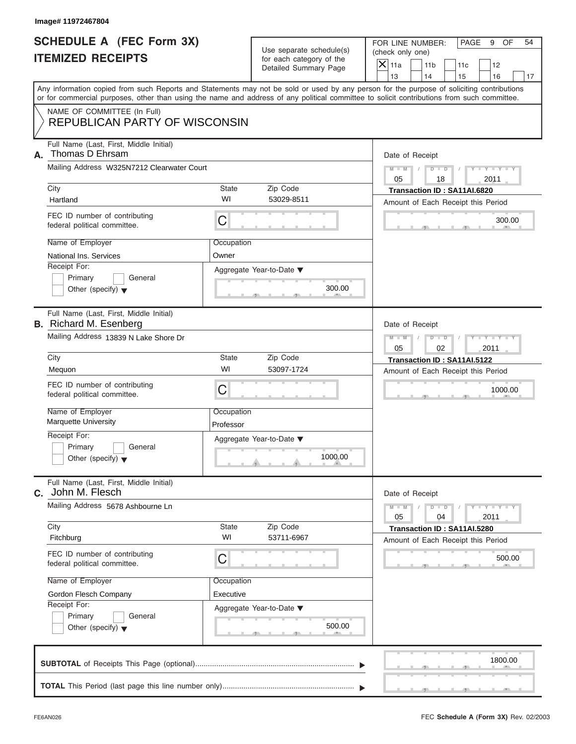# **SCHEDULE A (FEC Form 3X) ITEMIZED RECEIPTS**

FOR LINE NUMBER: PAGE 9 OF<br>(check only one)

| SCHEDULE A (FEC Form 3X)<br><b>ITEMIZED RECEIPTS</b>                       |                                            | Use separate schedule(s)<br>for each category of the                             | FOR LINE NUMBER:<br>PAGE<br>9<br>OF<br>54<br>(check only one)                                                                                                                                                                                                                           |
|----------------------------------------------------------------------------|--------------------------------------------|----------------------------------------------------------------------------------|-----------------------------------------------------------------------------------------------------------------------------------------------------------------------------------------------------------------------------------------------------------------------------------------|
|                                                                            |                                            | Detailed Summary Page                                                            | $\boldsymbol{\times}$<br>11a<br>11 <sub>b</sub><br>12<br>11c<br>13<br>14<br>15<br>16<br>17                                                                                                                                                                                              |
|                                                                            |                                            |                                                                                  | Any information copied from such Reports and Statements may not be sold or used by any person for the purpose of soliciting contributions<br>or for commercial purposes, other than using the name and address of any political committee to solicit contributions from such committee. |
| NAME OF COMMITTEE (In Full)<br><b>REPUBLICAN PARTY OF WISCONSIN</b>        |                                            |                                                                                  |                                                                                                                                                                                                                                                                                         |
| Full Name (Last, First, Middle Initial)<br>Thomas D Ehrsam<br>А.           |                                            |                                                                                  | Date of Receipt                                                                                                                                                                                                                                                                         |
|                                                                            | Mailing Address W325N7212 Clearwater Court |                                                                                  |                                                                                                                                                                                                                                                                                         |
| City<br>Hartland                                                           | State<br>WI                                | Zip Code<br>53029-8511                                                           | Transaction ID: SA11AI.6820<br>Amount of Each Receipt this Period                                                                                                                                                                                                                       |
| FEC ID number of contributing<br>federal political committee.              | C                                          |                                                                                  | 300.00                                                                                                                                                                                                                                                                                  |
| Name of Employer                                                           | Occupation                                 |                                                                                  |                                                                                                                                                                                                                                                                                         |
| National Ins. Services<br>Receipt For:                                     | Owner                                      |                                                                                  |                                                                                                                                                                                                                                                                                         |
| Primary<br>General<br>Other (specify) $\blacktriangledown$                 |                                            | Aggregate Year-to-Date ▼<br>300.00<br>$-9$                                       |                                                                                                                                                                                                                                                                                         |
| Full Name (Last, First, Middle Initial)<br><b>B.</b> Richard M. Esenberg   |                                            |                                                                                  | Date of Receipt                                                                                                                                                                                                                                                                         |
| Mailing Address 13839 N Lake Shore Dr                                      |                                            |                                                                                  |                                                                                                                                                                                                                                                                                         |
| City                                                                       | State<br>WI                                | Zip Code<br>53097-1724                                                           | Transaction ID: SA11AI.5122                                                                                                                                                                                                                                                             |
| Mequon<br>FEC ID number of contributing                                    | C                                          |                                                                                  | Amount of Each Receipt this Period                                                                                                                                                                                                                                                      |
| federal political committee.                                               |                                            |                                                                                  | 1000.00                                                                                                                                                                                                                                                                                 |
| Name of Employer<br><b>Marquette University</b>                            | Occupation<br>Professor                    |                                                                                  |                                                                                                                                                                                                                                                                                         |
| Receipt For:<br>Primary<br>General<br>Other (specify) $\blacktriangledown$ |                                            | Aggregate Year-to-Date ▼<br>1000.00<br>$-$<br>$\theta$ and $\theta$ and $\theta$ |                                                                                                                                                                                                                                                                                         |
| Full Name (Last, First, Middle Initial)<br><b>C.</b> John M. Flesch        |                                            |                                                                                  | Date of Receipt                                                                                                                                                                                                                                                                         |
| Mailing Address 5678 Ashbourne Ln                                          |                                            |                                                                                  |                                                                                                                                                                                                                                                                                         |
| City<br>Fitchburg                                                          | State<br>WI                                | Zip Code<br>53711-6967                                                           | 2011<br>Transaction ID: SA11AI.5280<br>Amount of Each Receipt this Period                                                                                                                                                                                                               |
| FEC ID number of contributing<br>federal political committee.              | C                                          |                                                                                  | 500.00                                                                                                                                                                                                                                                                                  |
| Name of Employer                                                           | Occupation                                 |                                                                                  |                                                                                                                                                                                                                                                                                         |
| Gordon Flesch Company                                                      | Executive                                  |                                                                                  |                                                                                                                                                                                                                                                                                         |
| Receipt For:<br>Primary<br>General<br>Other (specify) $\blacktriangledown$ |                                            | Aggregate Year-to-Date ▼<br>500.00<br>$-9$                                       |                                                                                                                                                                                                                                                                                         |
| CURTOTAL of Possipts This Page (optional)                                  |                                            |                                                                                  | 1800.00                                                                                                                                                                                                                                                                                 |

| $\frac{1}{2}$ . The state of the state of the state of the state of the state of the state of the state of the state of the state of the state of the state of the state of the state of the state of the state of the state of t | 1800.00 |
|-----------------------------------------------------------------------------------------------------------------------------------------------------------------------------------------------------------------------------------|---------|
| the contract of the contract and con-                                                                                                                                                                                             |         |
|                                                                                                                                                                                                                                   |         |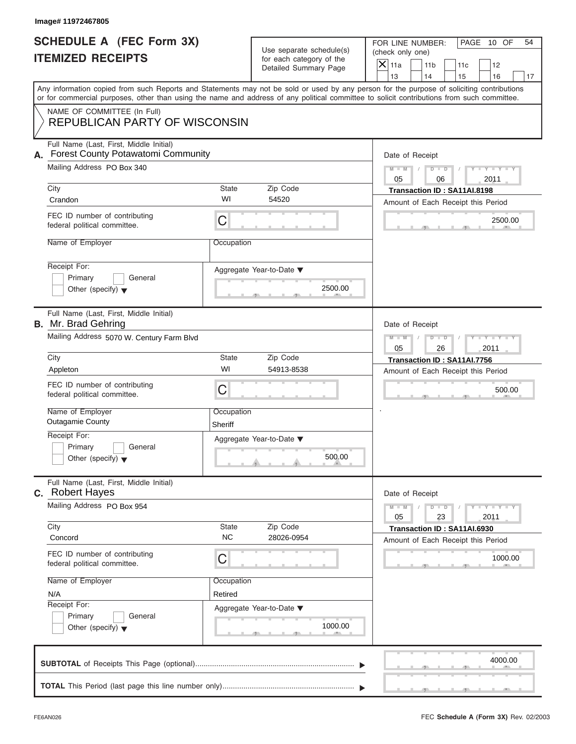|                                                      | Image# 11972467805                                                                                                                         |                                                             |                                                                               |                                                                                                                                                        |  |  |
|------------------------------------------------------|--------------------------------------------------------------------------------------------------------------------------------------------|-------------------------------------------------------------|-------------------------------------------------------------------------------|--------------------------------------------------------------------------------------------------------------------------------------------------------|--|--|
| SCHEDULE A (FEC Form 3X)<br><b>ITEMIZED RECEIPTS</b> |                                                                                                                                            |                                                             | Use separate schedule(s)<br>for each category of the<br>Detailed Summary Page | FOR LINE NUMBER:<br>PAGE 10 OF<br>54<br>(check only one)<br>$\mathsf{X} _{\mathsf{11a}}$<br>11 <sub>b</sub><br>11c<br>12<br>13<br>14<br>15<br>16<br>17 |  |  |
|                                                      | or for commercial purposes, other than using the name and address of any political committee to solicit contributions from such committee. |                                                             |                                                                               | Any information copied from such Reports and Statements may not be sold or used by any person for the purpose of soliciting contributions              |  |  |
|                                                      | NAME OF COMMITTEE (In Full)<br>REPUBLICAN PARTY OF WISCONSIN                                                                               |                                                             |                                                                               |                                                                                                                                                        |  |  |
| А.                                                   | Full Name (Last, First, Middle Initial)<br>Forest County Potawatomi Community<br>Mailing Address PO Box 340                                |                                                             |                                                                               | Date of Receipt<br>$D$ $D$<br>$Y - Y - Y - Y - Y$<br>$M - M$<br>05<br>2011<br>06                                                                       |  |  |
|                                                      | City                                                                                                                                       | <b>State</b>                                                | Zip Code                                                                      | Transaction ID: SA11AI.8198                                                                                                                            |  |  |
|                                                      | Crandon                                                                                                                                    | WI                                                          | 54520                                                                         | Amount of Each Receipt this Period                                                                                                                     |  |  |
|                                                      | FEC ID number of contributing<br>federal political committee.                                                                              | C                                                           |                                                                               | 2500.00                                                                                                                                                |  |  |
|                                                      | Name of Employer                                                                                                                           | Occupation                                                  |                                                                               |                                                                                                                                                        |  |  |
|                                                      | Receipt For:<br>Primary<br>General<br>Other (specify) $\blacktriangledown$                                                                 |                                                             | Aggregate Year-to-Date ▼<br>2500.00                                           |                                                                                                                                                        |  |  |
|                                                      | Full Name (Last, First, Middle Initial)<br><b>B.</b> Mr. Brad Gehring                                                                      |                                                             |                                                                               |                                                                                                                                                        |  |  |
|                                                      | Mailing Address 5070 W. Century Farm Blvd                                                                                                  | Y TYTTYTTY<br>$M - M$<br>$D$ $\Box$ $D$<br>05<br>26<br>2011 |                                                                               |                                                                                                                                                        |  |  |
|                                                      | City                                                                                                                                       | <b>State</b>                                                | Zip Code                                                                      | Transaction ID: SA11AI.7756                                                                                                                            |  |  |
|                                                      | Appleton                                                                                                                                   | WI                                                          | 54913-8538                                                                    | Amount of Each Receipt this Period                                                                                                                     |  |  |
|                                                      | FEC ID number of contributing<br>federal political committee.                                                                              | C                                                           |                                                                               | 500.00                                                                                                                                                 |  |  |
|                                                      | Name of Employer<br><b>Outagamie County</b>                                                                                                | Occupation<br>Sheriff                                       |                                                                               |                                                                                                                                                        |  |  |
|                                                      | Receipt For:                                                                                                                               |                                                             | Aggregate Year-to-Date ▼                                                      |                                                                                                                                                        |  |  |
|                                                      | Primary<br>General<br>Other (specify) $\blacktriangledown$                                                                                 |                                                             | 500.00                                                                        |                                                                                                                                                        |  |  |
|                                                      | Full Name (Last, First, Middle Initial)<br><b>c.</b> Robert Hayes                                                                          |                                                             |                                                                               | Date of Receipt                                                                                                                                        |  |  |
|                                                      | Mailing Address PO Box 954                                                                                                                 |                                                             |                                                                               | $Y = Y$<br>$M - M$<br>$D$ $D$<br>23<br>2011<br>05                                                                                                      |  |  |
|                                                      | City<br>Concord                                                                                                                            | State<br><b>NC</b>                                          | Zip Code<br>28026-0954                                                        | Transaction ID: SA11AI.6930<br>Amount of Each Receipt this Period                                                                                      |  |  |
|                                                      | FEC ID number of contributing<br>federal political committee.                                                                              | C                                                           |                                                                               | 1000.00                                                                                                                                                |  |  |
|                                                      | Name of Employer                                                                                                                           | Occupation                                                  |                                                                               |                                                                                                                                                        |  |  |
|                                                      | N/A                                                                                                                                        | Retired                                                     |                                                                               |                                                                                                                                                        |  |  |
|                                                      | Receipt For:<br>Primary<br>General                                                                                                         |                                                             | Aggregate Year-to-Date ▼                                                      |                                                                                                                                                        |  |  |
|                                                      | Other (specify) $\blacktriangledown$                                                                                                       |                                                             | 1000.00                                                                       |                                                                                                                                                        |  |  |
|                                                      |                                                                                                                                            |                                                             |                                                                               | 4000.00                                                                                                                                                |  |  |
|                                                      |                                                                                                                                            |                                                             |                                                                               |                                                                                                                                                        |  |  |

S S S , , .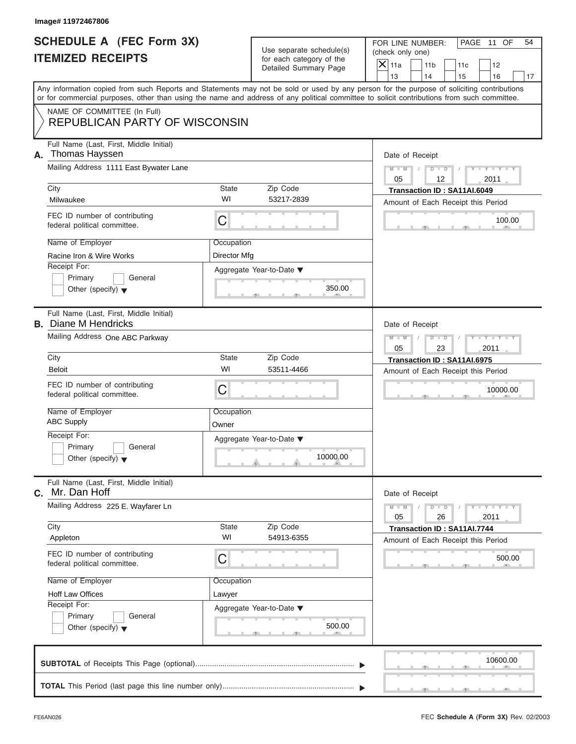| Image# 11972467806                                                                                                         |                            |                                                                               |                                                                                                                                                                                                                                                                                                                       |  |  |
|----------------------------------------------------------------------------------------------------------------------------|----------------------------|-------------------------------------------------------------------------------|-----------------------------------------------------------------------------------------------------------------------------------------------------------------------------------------------------------------------------------------------------------------------------------------------------------------------|--|--|
| <b>SCHEDULE A (FEC Form 3X)</b><br><b>ITEMIZED RECEIPTS</b>                                                                |                            | Use separate schedule(s)<br>for each category of the<br>Detailed Summary Page | FOR LINE NUMBER:<br>PAGE 11 OF<br>54<br>(check only one)<br>$\overline{X}$ 11a<br>11 <sub>b</sub><br>11c<br>12                                                                                                                                                                                                        |  |  |
|                                                                                                                            |                            |                                                                               | 13<br>14<br>15<br>16<br>17<br>Any information copied from such Reports and Statements may not be sold or used by any person for the purpose of soliciting contributions<br>or for commercial purposes, other than using the name and address of any political committee to solicit contributions from such committee. |  |  |
| NAME OF COMMITTEE (In Full)<br><b>REPUBLICAN PARTY OF WISCONSIN</b>                                                        |                            |                                                                               |                                                                                                                                                                                                                                                                                                                       |  |  |
| Full Name (Last, First, Middle Initial)<br><b>Thomas Hayssen</b><br>А.<br>Mailing Address 1111 East Bywater Lane           |                            |                                                                               | Date of Receipt<br>$D$ $D$<br>$Y - Y - Y - Y - I$<br>$M - M$                                                                                                                                                                                                                                                          |  |  |
| City<br>Milwaukee                                                                                                          | State<br>WI                | Zip Code<br>53217-2839                                                        | 05<br>12<br>2011<br>Transaction ID: SA11AI.6049<br>Amount of Each Receipt this Period                                                                                                                                                                                                                                 |  |  |
| FEC ID number of contributing<br>federal political committee.                                                              | C                          |                                                                               | 100.00                                                                                                                                                                                                                                                                                                                |  |  |
| Name of Employer<br>Racine Iron & Wire Works<br>Receipt For:<br>Primary<br>General<br>Other (specify) $\blacktriangledown$ | Occupation<br>Director Mfg | Aggregate Year-to-Date ▼<br>350.00                                            |                                                                                                                                                                                                                                                                                                                       |  |  |
| Full Name (Last, First, Middle Initial)<br><b>B.</b> Diane M Hendricks<br>Mailing Address One ABC Parkway                  |                            |                                                                               | Date of Receipt<br>Y T Y T Y T<br>$M - M$<br>$D$ $D$                                                                                                                                                                                                                                                                  |  |  |
| City<br><b>Beloit</b>                                                                                                      | <b>State</b><br>WI         | Zip Code<br>53511-4466                                                        | 05<br>2011<br>23<br>Transaction ID: SA11AI.6975<br>Amount of Each Receipt this Period                                                                                                                                                                                                                                 |  |  |
| FEC ID number of contributing<br>federal political committee.<br>Name of Employer                                          | C<br>Occupation            |                                                                               | 10000.00                                                                                                                                                                                                                                                                                                              |  |  |
| <b>ABC Supply</b><br>Receipt For:<br>Primary<br>General<br>Other (specify) $\blacktriangledown$                            | Owner                      | Aggregate Year-to-Date ▼<br>10000.00                                          |                                                                                                                                                                                                                                                                                                                       |  |  |
| Full Name (Last, First, Middle Initial)<br>Mr. Dan Hoff<br>С.                                                              |                            |                                                                               | Date of Receipt                                                                                                                                                                                                                                                                                                       |  |  |
| Mailing Address 225 E. Wayfarer Ln<br>City                                                                                 | State                      | Zip Code                                                                      | $Y + Y$<br>$M - M$<br>$D$ $D$<br>05<br>26<br>2011<br>Transaction ID: SA11AI.7744                                                                                                                                                                                                                                      |  |  |
| Appleton<br>FEC ID number of contributing<br>federal political committee.                                                  | WI<br>C                    | 54913-6355                                                                    | Amount of Each Receipt this Period<br>500.00                                                                                                                                                                                                                                                                          |  |  |
| Name of Employer<br>Hoff Law Offices                                                                                       | Occupation<br>Lawyer       |                                                                               |                                                                                                                                                                                                                                                                                                                       |  |  |
| Receipt For:<br>Primary<br>General<br>Other (specify) $\blacktriangledown$                                                 |                            | Aggregate Year-to-Date ▼<br>500.00                                            |                                                                                                                                                                                                                                                                                                                       |  |  |
|                                                                                                                            |                            |                                                                               | 10600.00                                                                                                                                                                                                                                                                                                              |  |  |
|                                                                                                                            |                            |                                                                               |                                                                                                                                                                                                                                                                                                                       |  |  |

S S S , , .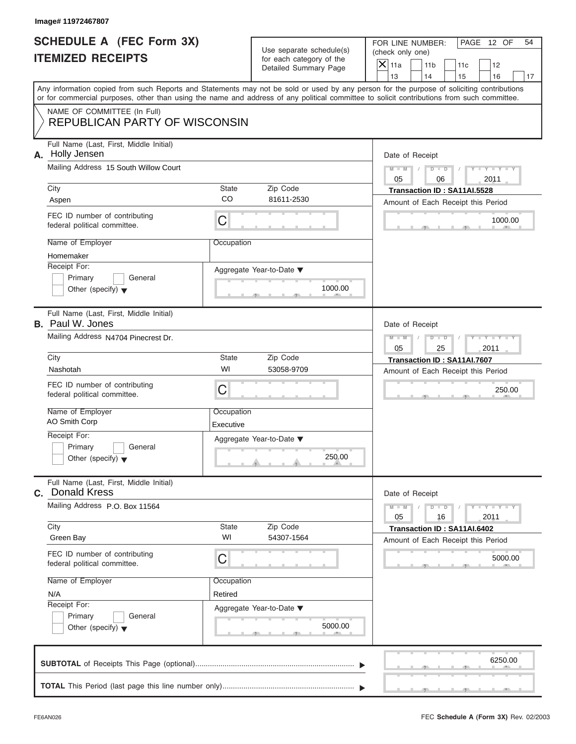| Image# 11972467807<br><b>SCHEDULE A (FEC Form 3X)</b>                                                                                                                                                                                                                                   |                         |                                                                               | FOR LINE NUMBER:                                        | PAGE 12 OF<br>54                                                  |  |
|-----------------------------------------------------------------------------------------------------------------------------------------------------------------------------------------------------------------------------------------------------------------------------------------|-------------------------|-------------------------------------------------------------------------------|---------------------------------------------------------|-------------------------------------------------------------------|--|
| <b>ITEMIZED RECEIPTS</b>                                                                                                                                                                                                                                                                |                         | Use separate schedule(s)<br>for each category of the<br>Detailed Summary Page | (check only one)<br>$\mathsf{X}$ 11a<br>11 <sub>b</sub> | 11c<br>12                                                         |  |
|                                                                                                                                                                                                                                                                                         |                         |                                                                               | 13<br>14                                                | 15<br>16<br>17                                                    |  |
| Any information copied from such Reports and Statements may not be sold or used by any person for the purpose of soliciting contributions<br>or for commercial purposes, other than using the name and address of any political committee to solicit contributions from such committee. |                         |                                                                               |                                                         |                                                                   |  |
| NAME OF COMMITTEE (In Full)<br><b>REPUBLICAN PARTY OF WISCONSIN</b>                                                                                                                                                                                                                     |                         |                                                                               |                                                         |                                                                   |  |
| Full Name (Last, First, Middle Initial)<br>A. Holly Jensen                                                                                                                                                                                                                              |                         |                                                                               | Date of Receipt                                         |                                                                   |  |
| Mailing Address 15 South Willow Court                                                                                                                                                                                                                                                   |                         |                                                                               | $M - M$<br>05                                           | $D$ $D$<br>$Y - Y - Y - Y - Y$<br>2011<br>06                      |  |
| City                                                                                                                                                                                                                                                                                    | <b>State</b>            | Zip Code                                                                      |                                                         | Transaction ID: SA11AI.5528                                       |  |
| Aspen                                                                                                                                                                                                                                                                                   | CO                      | 81611-2530                                                                    |                                                         | Amount of Each Receipt this Period                                |  |
| FEC ID number of contributing<br>federal political committee.                                                                                                                                                                                                                           | C                       |                                                                               |                                                         | 1000.00                                                           |  |
| Name of Employer<br>Homemaker                                                                                                                                                                                                                                                           | Occupation              |                                                                               |                                                         |                                                                   |  |
| Receipt For:                                                                                                                                                                                                                                                                            |                         | Aggregate Year-to-Date ▼                                                      |                                                         |                                                                   |  |
| Primary<br>General<br>Other (specify) $\blacktriangledown$                                                                                                                                                                                                                              |                         | 1000.00                                                                       |                                                         |                                                                   |  |
| Full Name (Last, First, Middle Initial)<br><b>B.</b> Paul W. Jones                                                                                                                                                                                                                      |                         |                                                                               | Date of Receipt                                         |                                                                   |  |
| Mailing Address N4704 Pinecrest Dr.                                                                                                                                                                                                                                                     |                         |                                                                               | $M - M$<br>05                                           | $Y - Y - Y - Y - Y$<br>$D$ $\Box$ $D$<br>2011<br>25               |  |
| City                                                                                                                                                                                                                                                                                    | <b>State</b>            | Zip Code                                                                      |                                                         | Transaction ID: SA11AI.7607                                       |  |
| Nashotah                                                                                                                                                                                                                                                                                | WI                      | 53058-9709                                                                    |                                                         | Amount of Each Receipt this Period                                |  |
| FEC ID number of contributing<br>federal political committee.                                                                                                                                                                                                                           | C                       |                                                                               |                                                         | 250.00                                                            |  |
| Name of Employer<br>AO Smith Corp                                                                                                                                                                                                                                                       | Occupation<br>Executive |                                                                               |                                                         |                                                                   |  |
| Receipt For:                                                                                                                                                                                                                                                                            |                         | Aggregate Year-to-Date ▼                                                      |                                                         |                                                                   |  |
| Primary<br>General<br>Other (specify) $\blacktriangledown$                                                                                                                                                                                                                              |                         | 250.00                                                                        |                                                         |                                                                   |  |
| Full Name (Last, First, Middle Initial)<br>C. Donald Kress                                                                                                                                                                                                                              |                         |                                                                               | Date of Receipt                                         |                                                                   |  |
| Mailing Address P.O. Box 11564                                                                                                                                                                                                                                                          |                         |                                                                               | $M - M$<br>05                                           | $Y = Y$<br>$D$ $D$<br>2011<br>16                                  |  |
| City<br>Green Bay                                                                                                                                                                                                                                                                       | State<br>WI             | Zip Code<br>54307-1564                                                        |                                                         | Transaction ID: SA11AI.6402<br>Amount of Each Receipt this Period |  |
| FEC ID number of contributing<br>federal political committee.                                                                                                                                                                                                                           | C                       |                                                                               |                                                         | 5000.00                                                           |  |
| Name of Employer                                                                                                                                                                                                                                                                        | Occupation              |                                                                               |                                                         |                                                                   |  |
| N/A                                                                                                                                                                                                                                                                                     | Retired                 |                                                                               |                                                         |                                                                   |  |
| Receipt For:                                                                                                                                                                                                                                                                            |                         | Aggregate Year-to-Date ▼                                                      |                                                         |                                                                   |  |
| Primary<br>General<br>Other (specify) $\blacktriangledown$                                                                                                                                                                                                                              |                         | 5000.00                                                                       |                                                         |                                                                   |  |
|                                                                                                                                                                                                                                                                                         |                         |                                                                               |                                                         | 6250.00                                                           |  |
|                                                                                                                                                                                                                                                                                         |                         |                                                                               |                                                         |                                                                   |  |

S S S , , .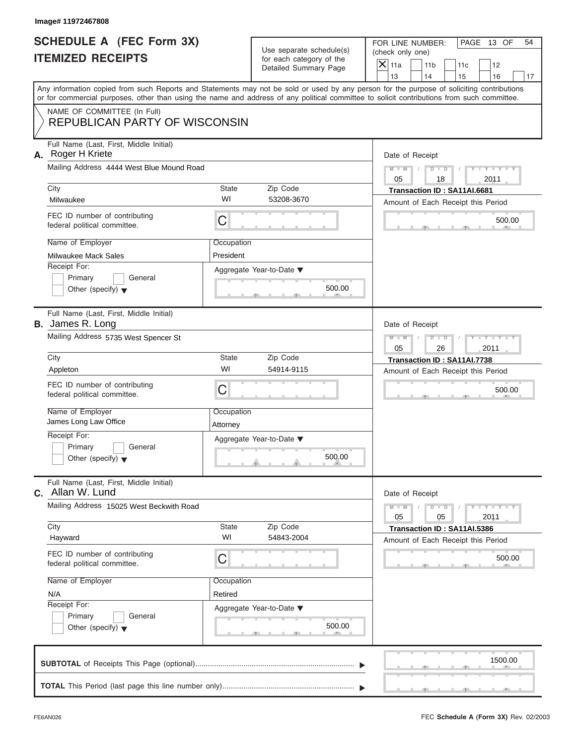| Image# 11972467808                                                         |                                          |                                                      |                                                                                                                                                                                                                                                                                         |
|----------------------------------------------------------------------------|------------------------------------------|------------------------------------------------------|-----------------------------------------------------------------------------------------------------------------------------------------------------------------------------------------------------------------------------------------------------------------------------------------|
| <b>SCHEDULE A (FEC Form 3X)</b><br><b>ITEMIZED RECEIPTS</b>                |                                          | Use separate schedule(s)<br>for each category of the | FOR LINE NUMBER:<br>PAGE 13 OF<br>54<br>(check only one)<br>$\mathsf{X}$ 11a<br>11 <sub>b</sub><br>11c<br>12                                                                                                                                                                            |
|                                                                            |                                          | Detailed Summary Page                                | 13<br>14<br>15<br>16<br>17                                                                                                                                                                                                                                                              |
|                                                                            |                                          |                                                      | Any information copied from such Reports and Statements may not be sold or used by any person for the purpose of soliciting contributions<br>or for commercial purposes, other than using the name and address of any political committee to solicit contributions from such committee. |
| NAME OF COMMITTEE (In Full)<br><b>REPUBLICAN PARTY OF WISCONSIN</b>        |                                          |                                                      |                                                                                                                                                                                                                                                                                         |
| Full Name (Last, First, Middle Initial)<br>A. Roger H Kriete               |                                          |                                                      | Date of Receipt                                                                                                                                                                                                                                                                         |
| Mailing Address 4444 West Blue Mound Road                                  |                                          |                                                      | $Y - Y - Y - Y - Y$<br>$M - M$<br>$D$ $D$<br>05<br>2011<br>18                                                                                                                                                                                                                           |
| City<br>Milwaukee                                                          | State<br>WI                              | Zip Code<br>53208-3670                               | Transaction ID: SA11AI.6681<br>Amount of Each Receipt this Period                                                                                                                                                                                                                       |
| FEC ID number of contributing<br>federal political committee.              | C                                        |                                                      | 500.00                                                                                                                                                                                                                                                                                  |
| Name of Employer<br>Milwaukee Mack Sales                                   | Occupation<br>President                  |                                                      |                                                                                                                                                                                                                                                                                         |
| Receipt For:<br>Primary<br>General<br>Other (specify) $\blacktriangledown$ |                                          | Aggregate Year-to-Date ▼<br>500.00                   |                                                                                                                                                                                                                                                                                         |
| Full Name (Last, First, Middle Initial)<br><b>B.</b> James R. Long         |                                          |                                                      | Date of Receipt                                                                                                                                                                                                                                                                         |
| Mailing Address 5735 West Spencer St                                       |                                          |                                                      | Y TY TY<br>$M - M$<br>$D$ $D$<br>05<br>2011<br>26                                                                                                                                                                                                                                       |
| City                                                                       | State                                    | Zip Code                                             | Transaction ID: SA11AI.7738                                                                                                                                                                                                                                                             |
| Appleton                                                                   | WI                                       | 54914-9115                                           | Amount of Each Receipt this Period                                                                                                                                                                                                                                                      |
| FEC ID number of contributing<br>federal political committee.              | C                                        |                                                      | 500.00                                                                                                                                                                                                                                                                                  |
| Name of Employer<br>James Long Law Office                                  | Occupation<br>Attorney                   |                                                      |                                                                                                                                                                                                                                                                                         |
| Receipt For:<br>Primary<br>General<br>Other (specify) $\blacktriangledown$ |                                          | Aggregate Year-to-Date ▼<br>500.00                   |                                                                                                                                                                                                                                                                                         |
| Full Name (Last, First, Middle Initial)<br>Allan W. Lund<br>C.             |                                          |                                                      | Date of Receipt                                                                                                                                                                                                                                                                         |
|                                                                            | Mailing Address 15025 West Beckwith Road |                                                      |                                                                                                                                                                                                                                                                                         |
| City<br>Hayward                                                            | State<br>WI                              | Zip Code<br>54843-2004                               | Transaction ID: SA11AI.5386<br>Amount of Each Receipt this Period                                                                                                                                                                                                                       |
| FEC ID number of contributing<br>federal political committee.              | C                                        |                                                      | 500.00                                                                                                                                                                                                                                                                                  |
| Name of Employer                                                           | Occupation                               |                                                      |                                                                                                                                                                                                                                                                                         |
| N/A<br>Receipt For:                                                        | Retired                                  |                                                      |                                                                                                                                                                                                                                                                                         |
| Primary<br>General                                                         |                                          | Aggregate Year-to-Date ▼                             |                                                                                                                                                                                                                                                                                         |
| Other (specify) $\blacktriangledown$                                       |                                          | 500.00                                               |                                                                                                                                                                                                                                                                                         |
|                                                                            |                                          |                                                      | 1500.00                                                                                                                                                                                                                                                                                 |
|                                                                            |                                          |                                                      |                                                                                                                                                                                                                                                                                         |

S S S , , .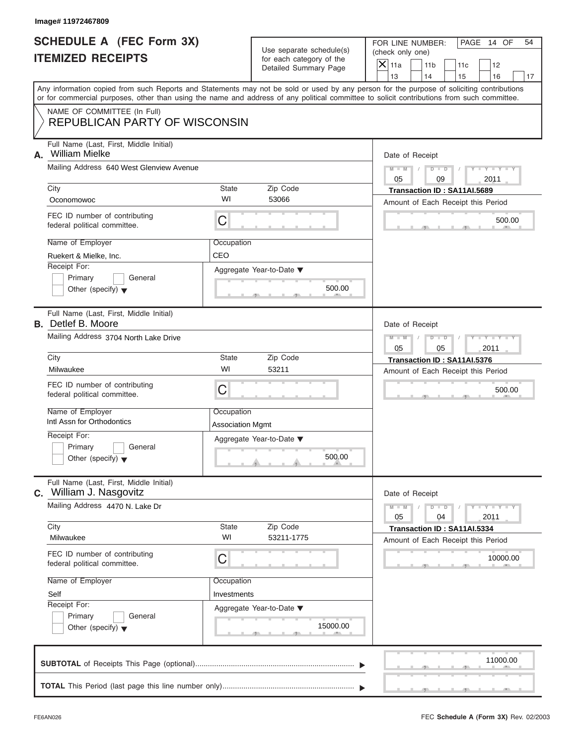|                                                                                                               | Image# 11972467809                                                                                                                                                                                                                                                                                                                                             |                                       |                                                      |    |                                      |                       |               |                                                                   |                       |                     |    |
|---------------------------------------------------------------------------------------------------------------|----------------------------------------------------------------------------------------------------------------------------------------------------------------------------------------------------------------------------------------------------------------------------------------------------------------------------------------------------------------|---------------------------------------|------------------------------------------------------|----|--------------------------------------|-----------------------|---------------|-------------------------------------------------------------------|-----------------------|---------------------|----|
| <b>SCHEDULE A (FEC Form 3X)</b><br><b>ITEMIZED RECEIPTS</b>                                                   |                                                                                                                                                                                                                                                                                                                                                                |                                       | Use separate schedule(s)<br>for each category of the |    | FOR LINE NUMBER:<br>(check only one) |                       |               |                                                                   |                       | PAGE 14 OF          | 54 |
|                                                                                                               |                                                                                                                                                                                                                                                                                                                                                                |                                       | Detailed Summary Page                                |    | $\mathsf{X}$ 11a<br>13               | 11 <sub>b</sub><br>14 |               | 11c<br>15                                                         |                       | 12<br>16            | 17 |
|                                                                                                               | Any information copied from such Reports and Statements may not be sold or used by any person for the purpose of soliciting contributions<br>or for commercial purposes, other than using the name and address of any political committee to solicit contributions from such committee.<br>NAME OF COMMITTEE (In Full)<br><b>REPUBLICAN PARTY OF WISCONSIN</b> |                                       |                                                      |    |                                      |                       |               |                                                                   |                       |                     |    |
| А.                                                                                                            | Full Name (Last, First, Middle Initial)<br><b>William Mielke</b><br>Mailing Address 640 West Glenview Avenue                                                                                                                                                                                                                                                   |                                       |                                                      |    | Date of Receipt<br>$M - M$           | $\sqrt{2}$            | $D$ $D$       | $\sqrt{ }$                                                        |                       | $Y - Y - Y - Y - Y$ |    |
|                                                                                                               |                                                                                                                                                                                                                                                                                                                                                                |                                       |                                                      | 05 |                                      | 09                    |               |                                                                   | 2011                  |                     |    |
|                                                                                                               | City<br>State<br>WI<br>Oconomowoc                                                                                                                                                                                                                                                                                                                              |                                       | Zip Code<br>53066                                    |    |                                      |                       |               | Transaction ID: SA11AI.5689<br>Amount of Each Receipt this Period |                       |                     |    |
|                                                                                                               | FEC ID number of contributing<br>federal political committee.                                                                                                                                                                                                                                                                                                  | C                                     |                                                      |    |                                      |                       |               |                                                                   |                       | 500.00              |    |
|                                                                                                               | Name of Employer                                                                                                                                                                                                                                                                                                                                               | Occupation                            |                                                      |    |                                      |                       |               |                                                                   |                       |                     |    |
|                                                                                                               | Ruekert & Mielke, Inc.                                                                                                                                                                                                                                                                                                                                         | CEO                                   |                                                      |    |                                      |                       |               |                                                                   |                       |                     |    |
|                                                                                                               | Receipt For:<br>Primary<br>General<br>Other (specify) $\blacktriangledown$                                                                                                                                                                                                                                                                                     |                                       | Aggregate Year-to-Date ▼<br>500.00                   |    |                                      |                       |               |                                                                   |                       |                     |    |
| Full Name (Last, First, Middle Initial)<br><b>B.</b> Detlef B. Moore<br>Mailing Address 3704 North Lake Drive |                                                                                                                                                                                                                                                                                                                                                                |                                       |                                                      |    | Date of Receipt<br>$M - M$           |                       | $D - D$       |                                                                   |                       | Y T Y T Y T         |    |
|                                                                                                               |                                                                                                                                                                                                                                                                                                                                                                |                                       |                                                      |    |                                      |                       | 05            |                                                                   | 2011                  |                     |    |
|                                                                                                               | City<br>State<br>Zip Code<br>WI<br>53211<br>Milwaukee                                                                                                                                                                                                                                                                                                          |                                       |                                                      |    |                                      |                       |               | Transaction ID: SA11AI.5376<br>Amount of Each Receipt this Period |                       |                     |    |
|                                                                                                               | FEC ID number of contributing<br>federal political committee.                                                                                                                                                                                                                                                                                                  | C                                     |                                                      |    |                                      |                       |               |                                                                   |                       | 500.00              |    |
|                                                                                                               | Name of Employer<br>Intl Assn for Orthodontics                                                                                                                                                                                                                                                                                                                 | Occupation<br><b>Association Mgmt</b> |                                                      |    |                                      |                       |               |                                                                   |                       |                     |    |
|                                                                                                               | Receipt For:<br>Primary<br>General<br>Other (specify) $\blacktriangledown$                                                                                                                                                                                                                                                                                     |                                       | Aggregate Year-to-Date ▼<br>500.00                   |    |                                      |                       |               |                                                                   |                       |                     |    |
| C.                                                                                                            | Full Name (Last, First, Middle Initial)<br>William J. Nasgovitz                                                                                                                                                                                                                                                                                                |                                       |                                                      |    | Date of Receipt                      |                       |               |                                                                   |                       |                     |    |
|                                                                                                               | Mailing Address 4470 N. Lake Dr                                                                                                                                                                                                                                                                                                                                |                                       |                                                      |    | $M - M$<br>05                        |                       | $D$ $D$<br>04 |                                                                   | $Y = Y + Y +$<br>2011 |                     |    |
|                                                                                                               | City<br>Milwaukee                                                                                                                                                                                                                                                                                                                                              | State<br>WI                           | Zip Code<br>53211-1775                               |    |                                      |                       |               | Transaction ID: SA11AI.5334<br>Amount of Each Receipt this Period |                       |                     |    |
|                                                                                                               | FEC ID number of contributing<br>federal political committee.                                                                                                                                                                                                                                                                                                  | C                                     |                                                      |    |                                      |                       |               |                                                                   |                       | 10000.00            |    |
|                                                                                                               | Name of Employer                                                                                                                                                                                                                                                                                                                                               | Occupation                            |                                                      |    |                                      |                       |               |                                                                   |                       |                     |    |
|                                                                                                               | Self                                                                                                                                                                                                                                                                                                                                                           |                                       |                                                      |    |                                      |                       |               |                                                                   |                       |                     |    |
|                                                                                                               | Receipt For:<br>Primary<br>General<br>Other (specify) $\blacktriangledown$                                                                                                                                                                                                                                                                                     |                                       | Aggregate Year-to-Date ▼<br>15000.00                 |    |                                      |                       |               |                                                                   |                       |                     |    |
|                                                                                                               |                                                                                                                                                                                                                                                                                                                                                                |                                       |                                                      |    |                                      |                       |               |                                                                   |                       | 11000.00            |    |

**TOTAL** This Period (last page this line number only) ............................................................... T T

S S S , , .

سي ال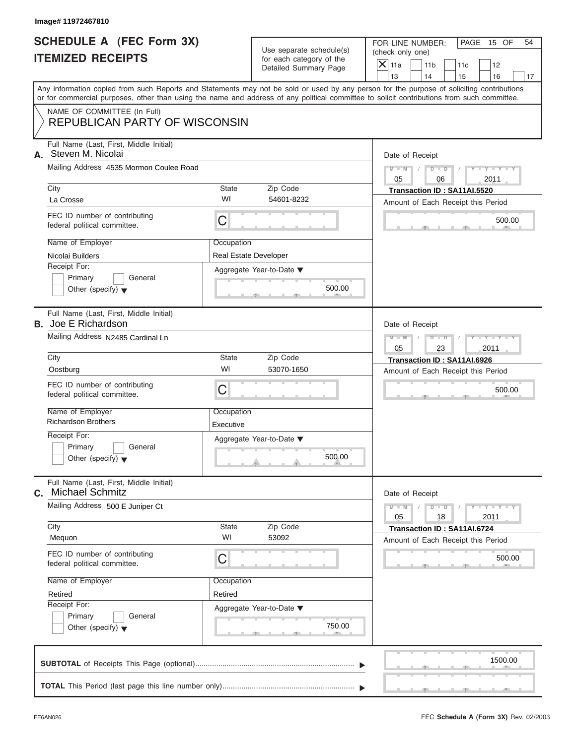| Image# 11972467810                                                                                                                         |                    |                                                      |                                                                                                                                           |
|--------------------------------------------------------------------------------------------------------------------------------------------|--------------------|------------------------------------------------------|-------------------------------------------------------------------------------------------------------------------------------------------|
| <b>SCHEDULE A (FEC Form 3X)</b><br><b>ITEMIZED RECEIPTS</b>                                                                                |                    | Use separate schedule(s)<br>for each category of the | FOR LINE NUMBER:<br>PAGE 15 OF<br>54<br>(check only one)<br>$\mathsf{X}$ 11a<br>11 <sub>b</sub><br>11c<br>12                              |
|                                                                                                                                            |                    | Detailed Summary Page                                | 13<br>14<br>15<br>16<br>17                                                                                                                |
| or for commercial purposes, other than using the name and address of any political committee to solicit contributions from such committee. |                    |                                                      | Any information copied from such Reports and Statements may not be sold or used by any person for the purpose of soliciting contributions |
| NAME OF COMMITTEE (In Full)                                                                                                                |                    |                                                      |                                                                                                                                           |
| <b>REPUBLICAN PARTY OF WISCONSIN</b>                                                                                                       |                    |                                                      |                                                                                                                                           |
| Full Name (Last, First, Middle Initial)<br>Steven M. Nicolai<br>А.<br>Mailing Address 4535 Mormon Coulee Road<br>City<br>State             |                    |                                                      | Date of Receipt                                                                                                                           |
|                                                                                                                                            |                    |                                                      | $D$ $D$<br>$Y - Y - Y - Y - Y$<br>$M - M$<br>05<br>2011<br>06                                                                             |
|                                                                                                                                            |                    | Zip Code                                             | Transaction ID: SA11AI.5520                                                                                                               |
| La Crosse                                                                                                                                  | WI                 | 54601-8232                                           | Amount of Each Receipt this Period                                                                                                        |
| FEC ID number of contributing<br>federal political committee.                                                                              | C                  |                                                      | 500.00                                                                                                                                    |
| Name of Employer                                                                                                                           | Occupation         |                                                      |                                                                                                                                           |
| Nicolai Builders                                                                                                                           |                    | Real Estate Developer                                |                                                                                                                                           |
| Receipt For:                                                                                                                               |                    | Aggregate Year-to-Date ▼                             |                                                                                                                                           |
| Primary<br>General                                                                                                                         |                    | 500.00                                               |                                                                                                                                           |
| Other (specify) $\blacktriangledown$                                                                                                       |                    |                                                      |                                                                                                                                           |
| Full Name (Last, First, Middle Initial)<br><b>B.</b> Joe E Richardson                                                                      |                    |                                                      | Date of Receipt                                                                                                                           |
| Mailing Address N2485 Cardinal Ln                                                                                                          |                    |                                                      | $M - M$<br>$D$ $D$<br>$Y = Y + Y + Y$<br>05<br>23<br>2011                                                                                 |
| City                                                                                                                                       | State              | Zip Code                                             | Transaction ID: SA11AI.6926                                                                                                               |
| Oostburg                                                                                                                                   | WI                 | 53070-1650                                           | Amount of Each Receipt this Period                                                                                                        |
| FEC ID number of contributing<br>federal political committee.                                                                              | C                  |                                                      | 500.00                                                                                                                                    |
| Name of Employer                                                                                                                           | Occupation         |                                                      |                                                                                                                                           |
| <b>Richardson Brothers</b>                                                                                                                 | Executive          |                                                      |                                                                                                                                           |
| Receipt For:                                                                                                                               |                    | Aggregate Year-to-Date ▼                             |                                                                                                                                           |
| Primary<br>General<br>Other (specify) $\blacktriangledown$                                                                                 |                    | 500.00                                               |                                                                                                                                           |
| Full Name (Last, First, Middle Initial)<br><b>Michael Schmitz</b><br>C.                                                                    |                    |                                                      | Date of Receipt                                                                                                                           |
| Mailing Address 500 E Juniper Ct                                                                                                           |                    |                                                      | $Y - Y - Y - Y - I$<br>$M - M$<br>$D$ $D$<br>2011<br>05<br>18                                                                             |
| City<br>Mequon                                                                                                                             | <b>State</b><br>WI | Zip Code<br>53092                                    | Transaction ID: SA11AI.6724<br>Amount of Each Receipt this Period                                                                         |
| FEC ID number of contributing<br>federal political committee.                                                                              | C                  |                                                      | 500.00                                                                                                                                    |
| Name of Employer                                                                                                                           | Occupation         |                                                      |                                                                                                                                           |
| Retired                                                                                                                                    | Retired            |                                                      |                                                                                                                                           |
| Receipt For:                                                                                                                               |                    | Aggregate Year-to-Date ▼                             |                                                                                                                                           |
| Primary<br>General                                                                                                                         |                    |                                                      |                                                                                                                                           |
| Other (specify) $\blacktriangledown$                                                                                                       |                    | 750.00                                               |                                                                                                                                           |
|                                                                                                                                            |                    |                                                      |                                                                                                                                           |
|                                                                                                                                            |                    |                                                      | 1500.00                                                                                                                                   |
|                                                                                                                                            |                    |                                                      |                                                                                                                                           |

FEC **Schedule A (Form 3X)** Rev. 02/2003

S S S , , .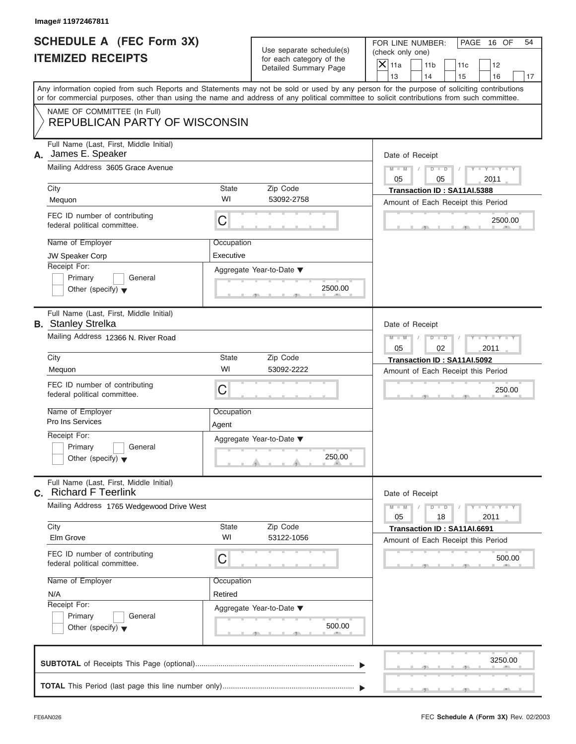|                                                                   | Image# 11972467811                                                                                                                         |                     |                                                                               |                                                                                                                                           |  |  |  |
|-------------------------------------------------------------------|--------------------------------------------------------------------------------------------------------------------------------------------|---------------------|-------------------------------------------------------------------------------|-------------------------------------------------------------------------------------------------------------------------------------------|--|--|--|
| <b>SCHEDULE A (FEC Form 3X)</b><br><b>ITEMIZED RECEIPTS</b>       |                                                                                                                                            |                     | Use separate schedule(s)<br>for each category of the<br>Detailed Summary Page | FOR LINE NUMBER:<br>PAGE 16 OF<br>54<br>(check only one)<br>$\overline{X}$ 11a<br>11 <sub>b</sub><br>11c<br>12                            |  |  |  |
|                                                                   |                                                                                                                                            |                     |                                                                               | 13<br>14<br>15<br>16<br>17                                                                                                                |  |  |  |
|                                                                   | or for commercial purposes, other than using the name and address of any political committee to solicit contributions from such committee. |                     |                                                                               | Any information copied from such Reports and Statements may not be sold or used by any person for the purpose of soliciting contributions |  |  |  |
|                                                                   | NAME OF COMMITTEE (In Full)<br><b>REPUBLICAN PARTY OF WISCONSIN</b>                                                                        |                     |                                                                               |                                                                                                                                           |  |  |  |
| Full Name (Last, First, Middle Initial)<br>James E. Speaker<br>А. |                                                                                                                                            |                     |                                                                               | Date of Receipt                                                                                                                           |  |  |  |
|                                                                   | Mailing Address 3605 Grace Avenue                                                                                                          |                     |                                                                               | $D$ $D$<br>$Y - Y - Y - Y - I$<br>$M - M$<br>05<br>2011<br>05                                                                             |  |  |  |
|                                                                   | City                                                                                                                                       | <b>State</b>        | Zip Code                                                                      | Transaction ID: SA11AI.5388                                                                                                               |  |  |  |
|                                                                   | Mequon                                                                                                                                     | WI                  | 53092-2758                                                                    | Amount of Each Receipt this Period                                                                                                        |  |  |  |
|                                                                   | FEC ID number of contributing<br>federal political committee.                                                                              | $\mathsf C$         |                                                                               | 2500.00                                                                                                                                   |  |  |  |
|                                                                   | Name of Employer                                                                                                                           | Occupation          |                                                                               |                                                                                                                                           |  |  |  |
|                                                                   | JW Speaker Corp<br>Receipt For:                                                                                                            | Executive           |                                                                               |                                                                                                                                           |  |  |  |
|                                                                   | Primary<br>General<br>Other (specify) $\blacktriangledown$                                                                                 |                     | Aggregate Year-to-Date ▼<br>2500.00                                           |                                                                                                                                           |  |  |  |
|                                                                   | Full Name (Last, First, Middle Initial)<br><b>B.</b> Stanley Strelka                                                                       |                     |                                                                               | Date of Receipt                                                                                                                           |  |  |  |
|                                                                   | Mailing Address 12366 N. River Road                                                                                                        |                     |                                                                               | $M - M$<br>$D$ $D$<br>$Y = Y + Y + T$<br>05<br>2011<br>02                                                                                 |  |  |  |
|                                                                   | City                                                                                                                                       | <b>State</b>        | Zip Code                                                                      | Transaction ID: SA11AI.5092                                                                                                               |  |  |  |
|                                                                   | Mequon                                                                                                                                     | WI                  | 53092-2222                                                                    | Amount of Each Receipt this Period                                                                                                        |  |  |  |
|                                                                   | FEC ID number of contributing<br>federal political committee.                                                                              | C                   |                                                                               | 250.00                                                                                                                                    |  |  |  |
|                                                                   | Name of Employer<br>Pro Ins Services                                                                                                       | Occupation<br>Agent |                                                                               |                                                                                                                                           |  |  |  |
|                                                                   | Receipt For:                                                                                                                               |                     | Aggregate Year-to-Date ▼                                                      |                                                                                                                                           |  |  |  |
|                                                                   | Primary<br>General<br>Other (specify) $\blacktriangledown$                                                                                 |                     | 250.00                                                                        |                                                                                                                                           |  |  |  |
|                                                                   | Full Name (Last, First, Middle Initial)<br><b>C.</b> Richard F Teerlink                                                                    |                     |                                                                               | Date of Receipt                                                                                                                           |  |  |  |
|                                                                   | Mailing Address 1765 Wedgewood Drive West                                                                                                  |                     |                                                                               | $Y + Y$<br>$M - M$<br>$D$ $D$<br>05<br>18<br>2011                                                                                         |  |  |  |
|                                                                   | City<br>Elm Grove                                                                                                                          | State<br>WI         | Zip Code<br>53122-1056                                                        | Transaction ID: SA11AI.6691<br>Amount of Each Receipt this Period                                                                         |  |  |  |
|                                                                   | FEC ID number of contributing<br>federal political committee.                                                                              | C                   |                                                                               | 500.00                                                                                                                                    |  |  |  |
|                                                                   | Name of Employer                                                                                                                           | Occupation          |                                                                               |                                                                                                                                           |  |  |  |
|                                                                   | N/A                                                                                                                                        | Retired             |                                                                               |                                                                                                                                           |  |  |  |
|                                                                   | Receipt For:<br>Primary<br>General<br>Other (specify) $\blacktriangledown$                                                                 |                     | Aggregate Year-to-Date ▼<br>500.00                                            |                                                                                                                                           |  |  |  |
|                                                                   |                                                                                                                                            |                     |                                                                               | 3250.00                                                                                                                                   |  |  |  |
|                                                                   |                                                                                                                                            |                     |                                                                               |                                                                                                                                           |  |  |  |
|                                                                   |                                                                                                                                            |                     |                                                                               |                                                                                                                                           |  |  |  |

FEC **Schedule A (Form 3X)** Rev. 02/2003

 $S = \{x_1, x_2, \ldots, x_{n-1}, x_{n-1}, \ldots, x_{n-1}, x_{n-1}, \ldots, x_{n-1}, x_{n-1}, \ldots, x_{n-1}, x_{n-1}, \ldots, x_{n-1}, x_{n-1}, \ldots, x_{n-1}, \ldots, x_{n-1}, \ldots, x_{n-1}, \ldots, x_{n-1}, \ldots, x_{n-1}, \ldots, x_{n-1}, \ldots, x_{n-1}, \ldots, x_{n-1}, \ldots, x_{n-1}, \ldots, x_{n-1}, \ldots, x_{n-1}, \ldots, x_{n-1}, \ldots, x_{n-$ 

سي ال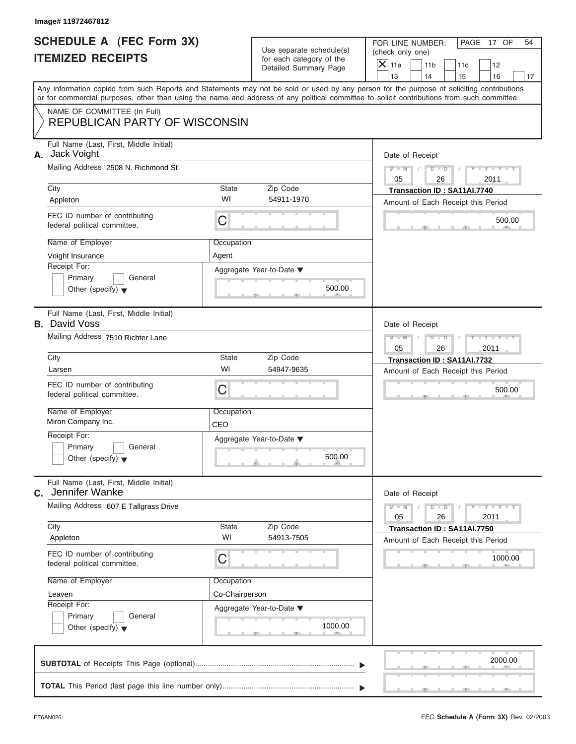|                                                             | Image# 11972467812                                                                                                                                                                                                                                                                                  |                                                  |                                                                               |                                                                                                                                                         |
|-------------------------------------------------------------|-----------------------------------------------------------------------------------------------------------------------------------------------------------------------------------------------------------------------------------------------------------------------------------------------------|--------------------------------------------------|-------------------------------------------------------------------------------|---------------------------------------------------------------------------------------------------------------------------------------------------------|
| <b>SCHEDULE A (FEC Form 3X)</b><br><b>ITEMIZED RECEIPTS</b> |                                                                                                                                                                                                                                                                                                     |                                                  | Use separate schedule(s)<br>for each category of the<br>Detailed Summary Page | FOR LINE NUMBER:<br>PAGE 17 OF<br>54<br>(check only one)<br>$\overline{X}$ 11a<br>11 <sub>b</sub><br>11c<br>12<br>13<br>14<br>15<br>16<br>17            |
|                                                             | or for commercial purposes, other than using the name and address of any political committee to solicit contributions from such committee.                                                                                                                                                          |                                                  |                                                                               | Any information copied from such Reports and Statements may not be sold or used by any person for the purpose of soliciting contributions               |
|                                                             | NAME OF COMMITTEE (In Full)<br><b>REPUBLICAN PARTY OF WISCONSIN</b>                                                                                                                                                                                                                                 |                                                  |                                                                               |                                                                                                                                                         |
| А.                                                          | Full Name (Last, First, Middle Initial)<br>Jack Voight<br>Mailing Address 2508 N. Richmond St<br>City<br>Appleton<br>FEC ID number of contributing<br>federal political committee.<br>Name of Employer<br>Voight Insurance<br>Receipt For:<br>Primary<br>General                                    | State<br>WI<br>C<br>Occupation<br>Agent          | Zip Code<br>54911-1970<br>Aggregate Year-to-Date ▼<br>500.00                  | Date of Receipt<br>$M - M$<br>$D$ $D$<br>$Y - Y - Y$<br>05<br>26<br>2011<br>Transaction ID: SA11AI.7740<br>Amount of Each Receipt this Period<br>500.00 |
|                                                             | Other (specify) $\blacktriangledown$<br>Full Name (Last, First, Middle Initial)<br><b>B.</b> David Voss<br>Mailing Address 7510 Richter Lane<br>City                                                                                                                                                | State                                            | Zip Code                                                                      | Date of Receipt<br>Y TY TY<br>$M - M$<br>$D$ $D$<br>05<br>26<br>2011                                                                                    |
|                                                             | Larsen<br>FEC ID number of contributing<br>federal political committee.<br>Name of Employer<br>Miron Company Inc.<br>Receipt For:<br>Primary<br>General<br>Other (specify) $\blacktriangledown$                                                                                                     | WI<br>C<br>Occupation<br>CEO                     | 54947-9635<br>Aggregate Year-to-Date ▼<br>500.00                              | Transaction ID: SA11AI.7732<br>Amount of Each Receipt this Period<br>500.00                                                                             |
| C.                                                          | Full Name (Last, First, Middle Initial)<br>Jennifer Wanke<br>Mailing Address 607 E Tallgrass Drive<br>City<br>Appleton<br>FEC ID number of contributing<br>federal political committee.<br>Name of Employer<br>Leaven<br>Receipt For:<br>Primary<br>General<br>Other (specify) $\blacktriangledown$ | State<br>WI<br>С<br>Occupation<br>Co-Chairperson | Zip Code<br>54913-7505<br>Aggregate Year-to-Date ▼<br>1000.00                 | Date of Receipt<br>$M - M$<br>$Y = Y$<br>$D - D$<br>2011<br>05<br>26<br>Transaction ID: SA11AI.7750<br>Amount of Each Receipt this Period<br>1000.00    |
|                                                             |                                                                                                                                                                                                                                                                                                     |                                                  |                                                                               | 2000.00                                                                                                                                                 |
|                                                             |                                                                                                                                                                                                                                                                                                     |                                                  |                                                                               |                                                                                                                                                         |

S S S , , .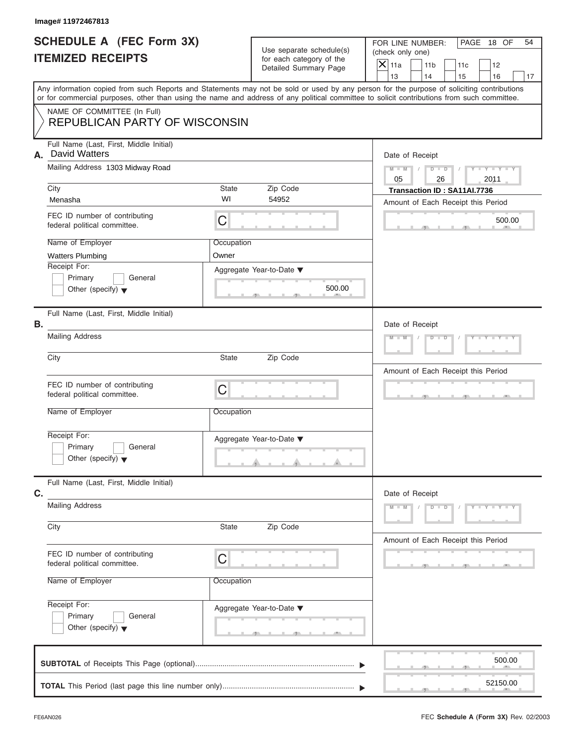| Image# 11972467813                                                                                        |                     |                                                      |                                                                                                                                                                                                                                                                                         |  |  |
|-----------------------------------------------------------------------------------------------------------|---------------------|------------------------------------------------------|-----------------------------------------------------------------------------------------------------------------------------------------------------------------------------------------------------------------------------------------------------------------------------------------|--|--|
| SCHEDULE A (FEC Form 3X)<br><b>ITEMIZED RECEIPTS</b>                                                      |                     | Use separate schedule(s)<br>for each category of the | FOR LINE NUMBER:<br>PAGE 18 OF<br>54<br>(check only one)<br>$\mathsf{X}$ 11a<br>11 <sub>b</sub><br>11c<br>12                                                                                                                                                                            |  |  |
|                                                                                                           |                     | Detailed Summary Page                                | 13<br>14<br>15<br>16<br>17                                                                                                                                                                                                                                                              |  |  |
|                                                                                                           |                     |                                                      | Any information copied from such Reports and Statements may not be sold or used by any person for the purpose of soliciting contributions<br>or for commercial purposes, other than using the name and address of any political committee to solicit contributions from such committee. |  |  |
| NAME OF COMMITTEE (In Full)<br><b>REPUBLICAN PARTY OF WISCONSIN</b>                                       |                     |                                                      |                                                                                                                                                                                                                                                                                         |  |  |
| Full Name (Last, First, Middle Initial)<br><b>David Watters</b><br>А.<br>Mailing Address 1303 Midway Road |                     |                                                      | Date of Receipt                                                                                                                                                                                                                                                                         |  |  |
|                                                                                                           |                     |                                                      | $D$ $D$ $I$<br>$Y - Y - Y - Y - Y$<br>$M - M$<br>$\sqrt{2}$<br>05<br>2011<br>26                                                                                                                                                                                                         |  |  |
| City<br>Menasha                                                                                           | State<br>WI         | Zip Code<br>54952                                    | Transaction ID: SA11AI.7736<br>Amount of Each Receipt this Period                                                                                                                                                                                                                       |  |  |
| FEC ID number of contributing<br>federal political committee.                                             | C                   |                                                      | 500.00                                                                                                                                                                                                                                                                                  |  |  |
| Name of Employer<br><b>Watters Plumbing</b>                                                               | Occupation<br>Owner |                                                      |                                                                                                                                                                                                                                                                                         |  |  |
| Receipt For:<br>Primary<br>General<br>Other (specify) $\blacktriangledown$                                |                     | Aggregate Year-to-Date ▼<br>500.00                   |                                                                                                                                                                                                                                                                                         |  |  |
| Full Name (Last, First, Middle Initial)<br>В.<br><b>Mailing Address</b>                                   |                     |                                                      | Date of Receipt                                                                                                                                                                                                                                                                         |  |  |
|                                                                                                           |                     |                                                      | $Y = Y = Y' + Y' + Y$<br>$D$ $D$<br>$M - M$                                                                                                                                                                                                                                             |  |  |
| City                                                                                                      | State               | Zip Code                                             | Amount of Each Receipt this Period                                                                                                                                                                                                                                                      |  |  |
| FEC ID number of contributing<br>federal political committee.                                             | C                   |                                                      | $-9$                                                                                                                                                                                                                                                                                    |  |  |
| Name of Employer                                                                                          | Occupation          |                                                      |                                                                                                                                                                                                                                                                                         |  |  |
| Receipt For:<br>Primary<br>General<br>Other (specify) $\blacktriangledown$                                |                     | Aggregate Year-to-Date ▼                             |                                                                                                                                                                                                                                                                                         |  |  |
| Full Name (Last, First, Middle Initial)<br>C.                                                             |                     |                                                      | Date of Receipt                                                                                                                                                                                                                                                                         |  |  |
| <b>Mailing Address</b>                                                                                    |                     |                                                      | $Y - Y - Y - Y - Y$<br>$M - M$<br>$D$ $D$                                                                                                                                                                                                                                               |  |  |
| City                                                                                                      | State               | Zip Code                                             | Amount of Each Receipt this Period                                                                                                                                                                                                                                                      |  |  |
| FEC ID number of contributing<br>federal political committee.                                             | C                   |                                                      |                                                                                                                                                                                                                                                                                         |  |  |
| Name of Employer                                                                                          | Occupation          |                                                      |                                                                                                                                                                                                                                                                                         |  |  |
| Receipt For:<br>Primary<br>General                                                                        |                     | Aggregate Year-to-Date ▼                             |                                                                                                                                                                                                                                                                                         |  |  |
| Other (specify) $\blacktriangledown$                                                                      |                     | $-7$                                                 |                                                                                                                                                                                                                                                                                         |  |  |
|                                                                                                           |                     |                                                      | 500.00                                                                                                                                                                                                                                                                                  |  |  |
|                                                                                                           |                     |                                                      | 52150.00                                                                                                                                                                                                                                                                                |  |  |
|                                                                                                           |                     |                                                      |                                                                                                                                                                                                                                                                                         |  |  |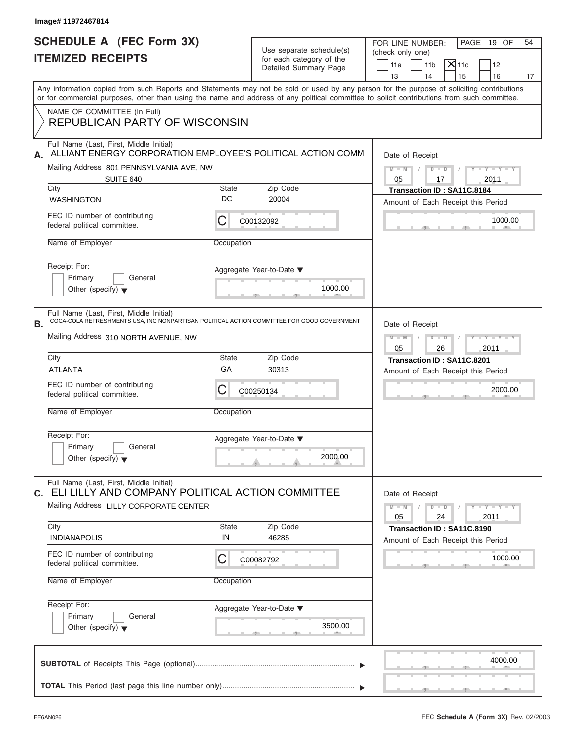|                          | <b>SCHEDULE A (FEC Form 3X)</b> |
|--------------------------|---------------------------------|
| <b>ITEMIZED RECEIPTS</b> |                                 |

| Image# 11972467814                                                                                                                                                                                                |                                        |                                                                               |                                                                                                                                           |  |
|-------------------------------------------------------------------------------------------------------------------------------------------------------------------------------------------------------------------|----------------------------------------|-------------------------------------------------------------------------------|-------------------------------------------------------------------------------------------------------------------------------------------|--|
| <b>SCHEDULE A (FEC Form 3X)</b><br><b>ITEMIZED RECEIPTS</b>                                                                                                                                                       |                                        | Use separate schedule(s)<br>for each category of the<br>Detailed Summary Page | FOR LINE NUMBER:<br>PAGE 19 OF<br>54<br>(check only one)<br>$X$ 11c<br>11 <sub>b</sub><br>11a<br>12<br>13<br>14<br>15<br>16<br>17         |  |
| or for commercial purposes, other than using the name and address of any political committee to solicit contributions from such committee.<br>NAME OF COMMITTEE (In Full)                                         |                                        |                                                                               | Any information copied from such Reports and Statements may not be sold or used by any person for the purpose of soliciting contributions |  |
| <b>REPUBLICAN PARTY OF WISCONSIN</b>                                                                                                                                                                              |                                        |                                                                               |                                                                                                                                           |  |
| Full Name (Last, First, Middle Initial)<br>ALLIANT ENERGY CORPORATION EMPLOYEE'S POLITICAL ACTION COMM<br>А.<br>Mailing Address 801 PENNSYLVANIA AVE, NW<br>SUITE 640<br>City<br>State<br>DC<br><b>WASHINGTON</b> |                                        |                                                                               | Date of Receipt                                                                                                                           |  |
|                                                                                                                                                                                                                   |                                        |                                                                               | $M - M$<br>$D$ $D$<br>$Y - Y - Y - Y - Y$<br>$\sqrt{2}$                                                                                   |  |
|                                                                                                                                                                                                                   |                                        | Zip Code                                                                      | 05<br>2011<br>17<br>Transaction ID: SA11C.8184                                                                                            |  |
|                                                                                                                                                                                                                   |                                        | 20004                                                                         | Amount of Each Receipt this Period                                                                                                        |  |
| FEC ID number of contributing<br>federal political committee.                                                                                                                                                     | С                                      | C00132092                                                                     | 1000.00                                                                                                                                   |  |
| Name of Employer                                                                                                                                                                                                  | Occupation                             |                                                                               |                                                                                                                                           |  |
| Receipt For:<br>Primary<br>General<br>Other (specify) $\blacktriangledown$                                                                                                                                        |                                        | Aggregate Year-to-Date $\blacktriangledown$<br>1000.00                        |                                                                                                                                           |  |
| Full Name (Last, First, Middle Initial)<br>COCA-COLA REFRESHMENTS USA, INC NONPARTISAN POLITICAL ACTION COMMITTEE FOR GOOD GOVERNMENT<br>В.                                                                       |                                        |                                                                               | Date of Receipt                                                                                                                           |  |
| Mailing Address 310 NORTH AVENUE, NW                                                                                                                                                                              |                                        |                                                                               | $D$ $D$<br>$M - M$<br>$Y - Y - Y - Y - Y$<br>2011<br>05<br>26                                                                             |  |
| City                                                                                                                                                                                                              | Zip Code<br>State                      |                                                                               |                                                                                                                                           |  |
| <b>ATLANTA</b>                                                                                                                                                                                                    | GА                                     | 30313                                                                         | Transaction ID: SA11C.8201<br>Amount of Each Receipt this Period                                                                          |  |
| FEC ID number of contributing<br>federal political committee.                                                                                                                                                     | С                                      | C00250134                                                                     | 2000.00                                                                                                                                   |  |
| Name of Employer                                                                                                                                                                                                  | Occupation                             |                                                                               |                                                                                                                                           |  |
| Receipt For:                                                                                                                                                                                                      |                                        | Aggregate Year-to-Date ▼                                                      |                                                                                                                                           |  |
| Primary<br>General<br>Other (specify) $\blacktriangledown$                                                                                                                                                        |                                        | 2000.00                                                                       |                                                                                                                                           |  |
| Full Name (Last, First, Middle Initial)<br>ELI LILLY AND COMPANY POLITICAL ACTION COMMITTEE<br>C.                                                                                                                 |                                        |                                                                               | Date of Receipt                                                                                                                           |  |
|                                                                                                                                                                                                                   | Mailing Address LILLY CORPORATE CENTER |                                                                               |                                                                                                                                           |  |
| City<br><b>INDIANAPOLIS</b>                                                                                                                                                                                       | State<br>IN                            | Zip Code<br>46285                                                             | Transaction ID: SA11C.8190<br>Amount of Each Receipt this Period                                                                          |  |
| FEC ID number of contributing<br>federal political committee.                                                                                                                                                     | С                                      | C00082792                                                                     | 1000.00                                                                                                                                   |  |
| Name of Employer                                                                                                                                                                                                  | Occupation                             |                                                                               |                                                                                                                                           |  |
| Receipt For:<br>Primary<br>General                                                                                                                                                                                |                                        | Aggregate Year-to-Date ▼                                                      |                                                                                                                                           |  |
| Other (specify) $\blacktriangledown$                                                                                                                                                                              |                                        | 3500.00                                                                       |                                                                                                                                           |  |
|                                                                                                                                                                                                                   |                                        |                                                                               | 4000.00                                                                                                                                   |  |
|                                                                                                                                                                                                                   |                                        |                                                                               |                                                                                                                                           |  |

S S S , , .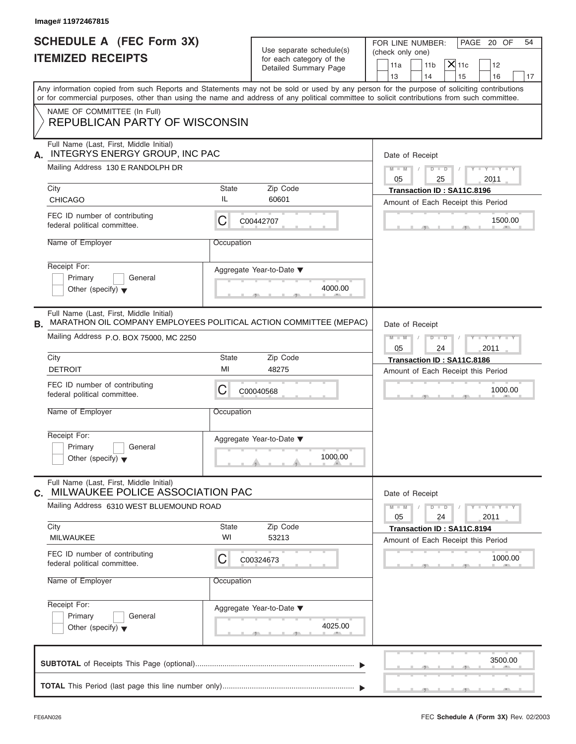| Image# 11972467815                                                                                                                                                    |                    |                                                                               |                                                                                                                                                                                                                                                                                         |
|-----------------------------------------------------------------------------------------------------------------------------------------------------------------------|--------------------|-------------------------------------------------------------------------------|-----------------------------------------------------------------------------------------------------------------------------------------------------------------------------------------------------------------------------------------------------------------------------------------|
| <b>SCHEDULE A (FEC Form 3X)</b><br><b>ITEMIZED RECEIPTS</b>                                                                                                           |                    | Use separate schedule(s)<br>for each category of the<br>Detailed Summary Page | FOR LINE NUMBER:<br>PAGE 20 OF<br>54<br>(check only one)<br>$X$ 11c<br>11 <sub>b</sub><br>11a<br>12<br>13<br>14<br>15<br>16<br>17                                                                                                                                                       |
|                                                                                                                                                                       |                    |                                                                               | Any information copied from such Reports and Statements may not be sold or used by any person for the purpose of soliciting contributions<br>or for commercial purposes, other than using the name and address of any political committee to solicit contributions from such committee. |
| NAME OF COMMITTEE (In Full)<br><b>REPUBLICAN PARTY OF WISCONSIN</b>                                                                                                   |                    |                                                                               |                                                                                                                                                                                                                                                                                         |
| Full Name (Last, First, Middle Initial)<br>INTEGRYS ENERGY GROUP, INC PAC<br>А.<br>Mailing Address 130 E RANDOLPH DR                                                  |                    |                                                                               | Date of Receipt<br>$D - D$<br>$M - M$<br>$Y - Y - Y - Y$<br>05<br>25<br>2011                                                                                                                                                                                                            |
| City                                                                                                                                                                  | State<br>IL        | Zip Code                                                                      | Transaction ID: SA11C.8196                                                                                                                                                                                                                                                              |
| <b>CHICAGO</b><br>FEC ID number of contributing<br>federal political committee.                                                                                       | С                  | 60601<br>C00442707                                                            | Amount of Each Receipt this Period<br>1500.00                                                                                                                                                                                                                                           |
| Name of Employer<br>Receipt For:<br>Primary<br>General<br>Other (specify) $\blacktriangledown$                                                                        | Occupation         | Aggregate Year-to-Date ▼<br>4000.00                                           |                                                                                                                                                                                                                                                                                         |
| Full Name (Last, First, Middle Initial)<br>MARATHON OIL COMPANY EMPLOYEES POLITICAL ACTION COMMITTEE (MEPAC)<br>В.<br>Mailing Address P.O. BOX 75000, MC 2250<br>City | State              | Zip Code                                                                      | Date of Receipt<br>$M - M$<br>$D - D$<br>Y T Y T Y T<br>2011<br>05<br>24<br>Transaction ID: SA11C.8186                                                                                                                                                                                  |
| <b>DETROIT</b>                                                                                                                                                        | MI                 | 48275                                                                         | Amount of Each Receipt this Period                                                                                                                                                                                                                                                      |
| FEC ID number of contributing<br>federal political committee.<br>Name of Employer                                                                                     | С<br>Occupation    | C00040568                                                                     | 1000.00                                                                                                                                                                                                                                                                                 |
| Receipt For:<br>Primary<br>General<br>Other (specify) $\blacktriangledown$                                                                                            |                    | Aggregate Year-to-Date ▼<br>1000.00                                           |                                                                                                                                                                                                                                                                                         |
| Full Name (Last, First, Middle Initial)<br>MILWAUKEE POLICE ASSOCIATION PAC<br>С.                                                                                     |                    |                                                                               | Date of Receipt                                                                                                                                                                                                                                                                         |
| Mailing Address 6310 WEST BLUEMOUND ROAD                                                                                                                              |                    |                                                                               | $M - M$<br>$\mathbf{I} = \mathbf{Y} + \mathbf{I} - \mathbf{Y}$<br>$D$ $D$<br>2011<br>05<br>24                                                                                                                                                                                           |
| City<br>MILWAUKEE                                                                                                                                                     | <b>State</b><br>WI | Zip Code<br>53213                                                             | Transaction ID: SA11C.8194<br>Amount of Each Receipt this Period                                                                                                                                                                                                                        |
| FEC ID number of contributing<br>federal political committee.                                                                                                         | С                  | C00324673                                                                     | 1000.00                                                                                                                                                                                                                                                                                 |
| Name of Employer<br>Occupation                                                                                                                                        |                    |                                                                               |                                                                                                                                                                                                                                                                                         |
| Receipt For:<br>Primary<br>General<br>Other (specify) $\blacktriangledown$                                                                                            |                    | Aggregate Year-to-Date ▼<br>4025.00                                           |                                                                                                                                                                                                                                                                                         |
|                                                                                                                                                                       |                    |                                                                               | 3500.00                                                                                                                                                                                                                                                                                 |
|                                                                                                                                                                       |                    |                                                                               |                                                                                                                                                                                                                                                                                         |

FEC **Schedule A (Form 3X)** Rev. 02/2003

S S S , , .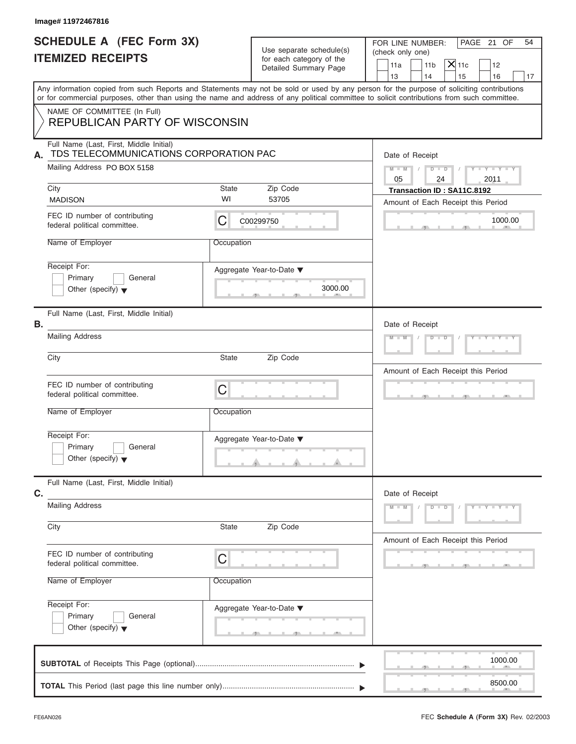| Image# 11972467816                                                                                   |             |                                                                               |                                                                                                                                                                                                                                                                                         |
|------------------------------------------------------------------------------------------------------|-------------|-------------------------------------------------------------------------------|-----------------------------------------------------------------------------------------------------------------------------------------------------------------------------------------------------------------------------------------------------------------------------------------|
| <b>SCHEDULE A (FEC Form 3X)</b><br><b>ITEMIZED RECEIPTS</b>                                          |             | Use separate schedule(s)<br>for each category of the<br>Detailed Summary Page | PAGE 21 OF<br>FOR LINE NUMBER:<br>54<br>(check only one)<br>$\mathsf{X}$ 11c<br>11a<br>11 <sub>b</sub><br>12<br>13<br>14<br>15<br>16<br>17                                                                                                                                              |
|                                                                                                      |             |                                                                               | Any information copied from such Reports and Statements may not be sold or used by any person for the purpose of soliciting contributions<br>or for commercial purposes, other than using the name and address of any political committee to solicit contributions from such committee. |
| NAME OF COMMITTEE (In Full)<br><b>REPUBLICAN PARTY OF WISCONSIN</b>                                  |             |                                                                               |                                                                                                                                                                                                                                                                                         |
| Full Name (Last, First, Middle Initial)<br>TDS TELECOMMUNICATIONS CORPORATION PAC<br>А.              |             |                                                                               | Date of Receipt                                                                                                                                                                                                                                                                         |
| Mailing Address PO BOX 5158                                                                          |             |                                                                               | $D$ $D$<br>$Y - Y - Y - Y - Y$<br>$M - M$<br>05<br>24<br>2011                                                                                                                                                                                                                           |
| City<br><b>MADISON</b>                                                                               | State<br>WI | Zip Code<br>53705                                                             | Transaction ID: SA11C.8192<br>Amount of Each Receipt this Period                                                                                                                                                                                                                        |
| FEC ID number of contributing<br>federal political committee.                                        | С           | C00299750                                                                     | 1000.00                                                                                                                                                                                                                                                                                 |
| Name of Employer                                                                                     | Occupation  |                                                                               |                                                                                                                                                                                                                                                                                         |
| Receipt For:<br>Primary<br>General<br>Other (specify) $\blacktriangledown$                           |             | Aggregate Year-to-Date ▼<br>3000.00                                           |                                                                                                                                                                                                                                                                                         |
| Full Name (Last, First, Middle Initial)<br>В.                                                        |             |                                                                               | Date of Receipt                                                                                                                                                                                                                                                                         |
| <b>Mailing Address</b>                                                                               |             |                                                                               | $Y = Y = Y' + Y' + Y$<br>$M - M$<br>$D$ $D$                                                                                                                                                                                                                                             |
| State<br>City                                                                                        |             | Zip Code                                                                      | Amount of Each Receipt this Period                                                                                                                                                                                                                                                      |
| FEC ID number of contributing<br>federal political committee.                                        | C           |                                                                               | $\mathbf{1}$                                                                                                                                                                                                                                                                            |
| Name of Employer                                                                                     | Occupation  |                                                                               |                                                                                                                                                                                                                                                                                         |
| Receipt For:<br>Primary<br>General<br>Other (specify) $\blacktriangledown$                           |             | Aggregate Year-to-Date ▼                                                      |                                                                                                                                                                                                                                                                                         |
| Full Name (Last, First, Middle Initial)<br>C.                                                        |             |                                                                               | Date of Receipt                                                                                                                                                                                                                                                                         |
| <b>Mailing Address</b>                                                                               |             |                                                                               | $M - M$<br>$D$ $\Box$ $D$<br>$Y - Y - Y - Y$                                                                                                                                                                                                                                            |
| City                                                                                                 | State       | Zip Code                                                                      | Amount of Each Receipt this Period                                                                                                                                                                                                                                                      |
| FEC ID number of contributing<br>C<br>federal political committee.<br>Name of Employer<br>Occupation |             |                                                                               |                                                                                                                                                                                                                                                                                         |
|                                                                                                      |             |                                                                               |                                                                                                                                                                                                                                                                                         |
| Receipt For:<br>Primary<br>General<br>Other (specify) $\blacktriangledown$                           |             | Aggregate Year-to-Date ▼                                                      |                                                                                                                                                                                                                                                                                         |
|                                                                                                      |             |                                                                               | 1000.00                                                                                                                                                                                                                                                                                 |
|                                                                                                      |             |                                                                               | 8500.00                                                                                                                                                                                                                                                                                 |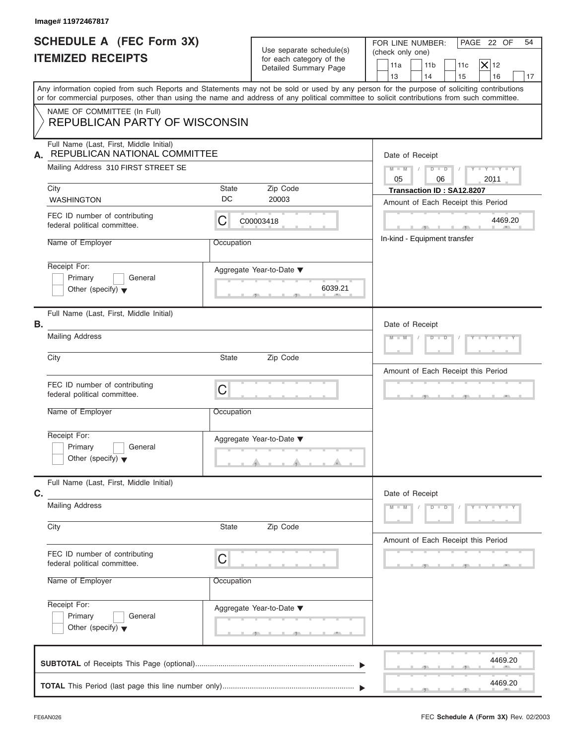|                                                                                 | Image# 11972467817                                                                                                                                                                                                                |                                |                                                                               |                                                                                                                                                                                                |
|---------------------------------------------------------------------------------|-----------------------------------------------------------------------------------------------------------------------------------------------------------------------------------------------------------------------------------|--------------------------------|-------------------------------------------------------------------------------|------------------------------------------------------------------------------------------------------------------------------------------------------------------------------------------------|
|                                                                                 | <b>SCHEDULE A (FEC Form 3X)</b><br><b>ITEMIZED RECEIPTS</b>                                                                                                                                                                       |                                | Use separate schedule(s)<br>for each category of the<br>Detailed Summary Page | PAGE 22 OF<br>FOR LINE NUMBER:<br>54<br>(check only one)<br>$ \mathsf{X} $ 12<br>11 <sub>b</sub><br>11a<br>11c<br>13<br>14<br>16<br>15<br>17                                                   |
|                                                                                 | or for commercial purposes, other than using the name and address of any political committee to solicit contributions from such committee.                                                                                        |                                |                                                                               | Any information copied from such Reports and Statements may not be sold or used by any person for the purpose of soliciting contributions                                                      |
|                                                                                 | NAME OF COMMITTEE (In Full)<br><b>REPUBLICAN PARTY OF WISCONSIN</b>                                                                                                                                                               |                                |                                                                               |                                                                                                                                                                                                |
| А.                                                                              | Full Name (Last, First, Middle Initial)<br>REPUBLICAN NATIONAL COMMITTEE<br>Mailing Address 310 FIRST STREET SE<br>City<br><b>WASHINGTON</b><br>FEC ID number of contributing<br>federal political committee.<br>Name of Employer | State<br>DC<br>С<br>Occupation | Zip Code<br>20003<br>C00003418                                                | Date of Receipt<br>$M - M$<br>$D$ $D$<br>$Y - Y - Y - Y - Y$<br>05<br>06<br>2011<br>Transaction ID: SA12.8207<br>Amount of Each Receipt this Period<br>4469.20<br>In-kind - Equipment transfer |
|                                                                                 | Receipt For:<br>Primary<br>General<br>Other (specify) $\blacktriangledown$                                                                                                                                                        |                                | Aggregate Year-to-Date ▼<br>6039.21                                           |                                                                                                                                                                                                |
| В.                                                                              | Full Name (Last, First, Middle Initial)<br><b>Mailing Address</b><br>City<br>FEC ID number of contributing<br>federal political committee.                                                                                        | State<br>C                     | Zip Code                                                                      | Date of Receipt<br>Y I Y I Y I Y<br>$M - M$<br>$D$ $D$<br>Amount of Each Receipt this Period                                                                                                   |
|                                                                                 | Name of Employer<br>Receipt For:<br>Primary<br>General<br>Other (specify) $\blacktriangledown$                                                                                                                                    | Occupation                     | Aggregate Year-to-Date ▼                                                      |                                                                                                                                                                                                |
| Full Name (Last, First, Middle Initial)<br>C.<br><b>Mailing Address</b><br>City |                                                                                                                                                                                                                                   | State                          | Zip Code                                                                      | Date of Receipt<br>$M - M$<br>D<br>$Y = Y + Y +$<br>$\overline{D}$                                                                                                                             |
|                                                                                 | FEC ID number of contributing<br>federal political committee.<br>Name of Employer                                                                                                                                                 | С<br>Occupation                |                                                                               | Amount of Each Receipt this Period                                                                                                                                                             |
|                                                                                 | Receipt For:<br>Primary<br>General<br>Other (specify) $\blacktriangledown$                                                                                                                                                        |                                | Aggregate Year-to-Date ▼                                                      |                                                                                                                                                                                                |
|                                                                                 |                                                                                                                                                                                                                                   |                                |                                                                               | 4469.20<br>4469.20                                                                                                                                                                             |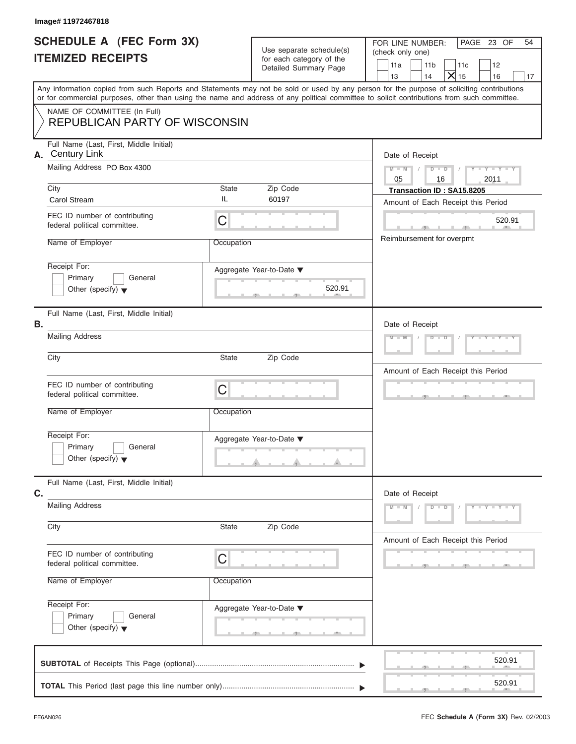|                                                             | Image# 11972467818                                                                                                                                                                                                                                                                      |            |                                                      |                                                                                   |  |
|-------------------------------------------------------------|-----------------------------------------------------------------------------------------------------------------------------------------------------------------------------------------------------------------------------------------------------------------------------------------|------------|------------------------------------------------------|-----------------------------------------------------------------------------------|--|
| <b>SCHEDULE A (FEC Form 3X)</b><br><b>ITEMIZED RECEIPTS</b> |                                                                                                                                                                                                                                                                                         |            | Use separate schedule(s)<br>for each category of the | FOR LINE NUMBER:<br>PAGE 23 OF<br>54<br>(check only one)                          |  |
|                                                             |                                                                                                                                                                                                                                                                                         |            | Detailed Summary Page                                | 11a<br>11 <sub>b</sub><br>11c<br>12<br>$\mathsf{X}$ 15<br>13<br>14<br>16<br>17    |  |
|                                                             | Any information copied from such Reports and Statements may not be sold or used by any person for the purpose of soliciting contributions<br>or for commercial purposes, other than using the name and address of any political committee to solicit contributions from such committee. |            |                                                      |                                                                                   |  |
|                                                             | NAME OF COMMITTEE (In Full)<br><b>REPUBLICAN PARTY OF WISCONSIN</b>                                                                                                                                                                                                                     |            |                                                      |                                                                                   |  |
|                                                             | Full Name (Last, First, Middle Initial)<br>A. Century Link<br>Mailing Address PO Box 4300                                                                                                                                                                                               |            |                                                      | Date of Receipt<br>$Y - Y - Y - Y - Y$<br>$M - M$<br>$D$ $\Box$ $D$<br>$\sqrt{ }$ |  |
|                                                             | City                                                                                                                                                                                                                                                                                    | State      | Zip Code                                             | 05<br>16<br>2011<br>Transaction ID: SA15.8205                                     |  |
|                                                             | <b>Carol Stream</b>                                                                                                                                                                                                                                                                     | IL         | 60197                                                | Amount of Each Receipt this Period                                                |  |
|                                                             | FEC ID number of contributing<br>federal political committee.                                                                                                                                                                                                                           | C          |                                                      | 520.91<br><b>ALC 1999</b>                                                         |  |
|                                                             | Name of Employer                                                                                                                                                                                                                                                                        | Occupation |                                                      | Reimbursement for overpmt                                                         |  |
|                                                             | Receipt For:<br>Primary<br>General<br>Other (specify) $\blacktriangledown$                                                                                                                                                                                                              |            | Aggregate Year-to-Date ▼<br>520.91                   |                                                                                   |  |
| В.                                                          | Full Name (Last, First, Middle Initial)                                                                                                                                                                                                                                                 |            |                                                      | Date of Receipt                                                                   |  |
|                                                             | <b>Mailing Address</b>                                                                                                                                                                                                                                                                  |            |                                                      | $Y = Y = Y' = Y'$<br>$D$ $D$                                                      |  |
|                                                             | City                                                                                                                                                                                                                                                                                    | State      | Zip Code                                             | Amount of Each Receipt this Period                                                |  |
|                                                             | FEC ID number of contributing<br>federal political committee.                                                                                                                                                                                                                           | C          |                                                      | $-1$                                                                              |  |
|                                                             | Name of Employer                                                                                                                                                                                                                                                                        | Occupation |                                                      |                                                                                   |  |
|                                                             | Receipt For:                                                                                                                                                                                                                                                                            |            | Aggregate Year-to-Date ▼                             |                                                                                   |  |
|                                                             | Primary<br>General<br>Other (specify) $\blacktriangledown$                                                                                                                                                                                                                              |            |                                                      |                                                                                   |  |
| C.                                                          | Full Name (Last, First, Middle Initial)                                                                                                                                                                                                                                                 |            |                                                      | Date of Receipt                                                                   |  |
|                                                             | <b>Mailing Address</b>                                                                                                                                                                                                                                                                  |            |                                                      | $Y - Y - Y - Y - Y$<br>$M - M$<br>$D$ $D$                                         |  |
|                                                             | City                                                                                                                                                                                                                                                                                    | State      | Zip Code                                             | Amount of Each Receipt this Period                                                |  |
|                                                             | FEC ID number of contributing<br>federal political committee.                                                                                                                                                                                                                           | C          |                                                      |                                                                                   |  |
|                                                             | Name of Employer                                                                                                                                                                                                                                                                        | Occupation |                                                      |                                                                                   |  |
|                                                             | Receipt For:<br>Primary<br>General                                                                                                                                                                                                                                                      |            | Aggregate Year-to-Date ▼                             |                                                                                   |  |
|                                                             | Other (specify) $\blacktriangledown$                                                                                                                                                                                                                                                    |            |                                                      |                                                                                   |  |
|                                                             |                                                                                                                                                                                                                                                                                         |            |                                                      | 520.91                                                                            |  |
|                                                             |                                                                                                                                                                                                                                                                                         |            |                                                      | 520.91                                                                            |  |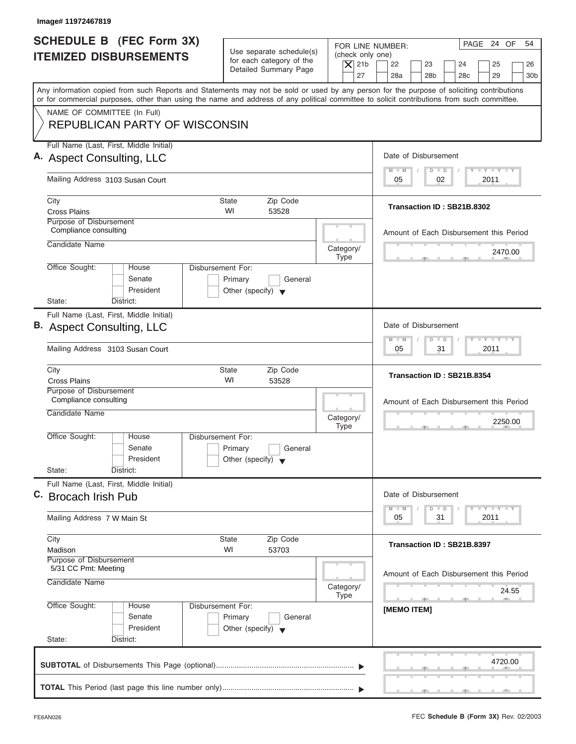| Image# 11972467819                                                                                                                                                                                                                                                                      |                                                                                 |                          |                                                                                                  |
|-----------------------------------------------------------------------------------------------------------------------------------------------------------------------------------------------------------------------------------------------------------------------------------------|---------------------------------------------------------------------------------|--------------------------|--------------------------------------------------------------------------------------------------|
| <b>SCHEDULE B (FEC Form 3X)</b><br><b>ITEMIZED DISBURSEMENTS</b>                                                                                                                                                                                                                        | Use separate schedule(s)<br>for each category of the                            | (check only one)         | PAGE 24 OF<br>54<br>FOR LINE NUMBER:                                                             |
|                                                                                                                                                                                                                                                                                         | Detailed Summary Page                                                           | $\overline{X}$ 21b<br>27 | 22<br>23<br>24<br>25<br>26<br>28a<br>28 <sub>b</sub><br>28 <sub>c</sub><br>29<br>30 <sub>b</sub> |
| Any information copied from such Reports and Statements may not be sold or used by any person for the purpose of soliciting contributions<br>or for commercial purposes, other than using the name and address of any political committee to solicit contributions from such committee. |                                                                                 |                          |                                                                                                  |
| NAME OF COMMITTEE (In Full)<br><b>REPUBLICAN PARTY OF WISCONSIN</b>                                                                                                                                                                                                                     |                                                                                 |                          |                                                                                                  |
| Full Name (Last, First, Middle Initial)                                                                                                                                                                                                                                                 |                                                                                 |                          |                                                                                                  |
| A. Aspect Consulting, LLC                                                                                                                                                                                                                                                               |                                                                                 |                          | Date of Disbursement                                                                             |
| Mailing Address 3103 Susan Court                                                                                                                                                                                                                                                        |                                                                                 |                          | $T - Y = T - Y = T - Y$<br>$M - M$<br>$D$ $D$<br>02<br>2011<br>05                                |
| City                                                                                                                                                                                                                                                                                    | <b>State</b><br>Zip Code                                                        |                          | Transaction ID: SB21B.8302                                                                       |
| <b>Cross Plains</b><br>Purpose of Disbursement                                                                                                                                                                                                                                          | WI<br>53528                                                                     |                          |                                                                                                  |
| Compliance consulting                                                                                                                                                                                                                                                                   |                                                                                 |                          | Amount of Each Disbursement this Period                                                          |
| Candidate Name                                                                                                                                                                                                                                                                          |                                                                                 | Category/                | 2470.00                                                                                          |
| Office Sought:<br>House                                                                                                                                                                                                                                                                 | Disbursement For:                                                               | <b>Type</b>              |                                                                                                  |
| Senate<br>President                                                                                                                                                                                                                                                                     | Primary<br>General<br>Other (specify) $\blacktriangledown$                      |                          |                                                                                                  |
| State:<br>District:                                                                                                                                                                                                                                                                     |                                                                                 |                          |                                                                                                  |
| Full Name (Last, First, Middle Initial)<br>B. Aspect Consulting, LLC                                                                                                                                                                                                                    |                                                                                 |                          | Date of Disbursement                                                                             |
| Mailing Address 3103 Susan Court                                                                                                                                                                                                                                                        |                                                                                 |                          | $-1 - Y - 1 - Y - 1 - Y$<br>$M - M$<br>$\overline{D}$<br>$\Box$<br>2011<br>05<br>31              |
| City<br><b>Cross Plains</b>                                                                                                                                                                                                                                                             | <b>State</b><br>Zip Code<br>WI<br>53528                                         |                          | Transaction ID: SB21B.8354                                                                       |
| Purpose of Disbursement<br>Compliance consulting                                                                                                                                                                                                                                        |                                                                                 |                          | Amount of Each Disbursement this Period                                                          |
| Candidate Name                                                                                                                                                                                                                                                                          |                                                                                 | Category/<br><b>Type</b> | 2250.00<br>$-5$                                                                                  |
| Office Sought:<br>House<br>Senate<br>President                                                                                                                                                                                                                                          | Disbursement For:<br>Primary<br>General<br>Other (specify) $\blacktriangledown$ |                          |                                                                                                  |
| State:<br>District:                                                                                                                                                                                                                                                                     |                                                                                 |                          |                                                                                                  |
| Full Name (Last, First, Middle Initial)<br>C. Brocach Irish Pub                                                                                                                                                                                                                         |                                                                                 |                          | Date of Disbursement                                                                             |
| Mailing Address 7 W Main St                                                                                                                                                                                                                                                             |                                                                                 |                          | <b>LY LY LY</b><br>$M - M$<br>$\overline{D}$<br>$\Box$<br>2011<br>05<br>31                       |
| City<br>Madison                                                                                                                                                                                                                                                                         | Zip Code<br><b>State</b><br>WI<br>53703                                         |                          | Transaction ID: SB21B.8397                                                                       |
| Purpose of Disbursement<br>5/31 CC Pmt: Meeting                                                                                                                                                                                                                                         |                                                                                 |                          |                                                                                                  |
| Candidate Name                                                                                                                                                                                                                                                                          |                                                                                 | Category/<br><b>Type</b> | Amount of Each Disbursement this Period<br>24.55                                                 |
| Office Sought:<br>House<br>Senate<br>President<br>State:<br>District:                                                                                                                                                                                                                   | Disbursement For:<br>Primary<br>General<br>Other (specify) $\blacktriangledown$ |                          | -91<br>[MEMO ITEM]                                                                               |
|                                                                                                                                                                                                                                                                                         |                                                                                 |                          |                                                                                                  |
|                                                                                                                                                                                                                                                                                         |                                                                                 |                          | 4720.00                                                                                          |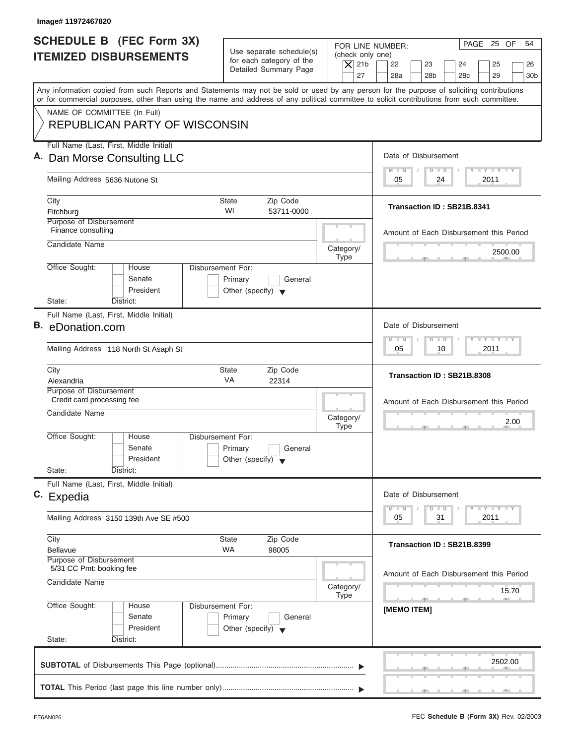| Image# 11972467820                                                                                                                                                                                                                                                                                                     |                                                                                                                         |                                                                                     |
|------------------------------------------------------------------------------------------------------------------------------------------------------------------------------------------------------------------------------------------------------------------------------------------------------------------------|-------------------------------------------------------------------------------------------------------------------------|-------------------------------------------------------------------------------------|
| <b>SCHEDULE B (FEC Form 3X)</b><br><b>ITEMIZED DISBURSEMENTS</b>                                                                                                                                                                                                                                                       | Use separate schedule(s)<br>(check only one)<br>for each category of the<br>$\vert$ $\chi$ 21b<br>Detailed Summary Page | PAGE 25 OF<br>54<br>FOR LINE NUMBER:<br>22<br>23<br>24<br>25<br>26                  |
| Any information copied from such Reports and Statements may not be sold or used by any person for the purpose of soliciting contributions<br>or for commercial purposes, other than using the name and address of any political committee to solicit contributions from such committee.<br>NAME OF COMMITTEE (In Full) | 27                                                                                                                      | 28a<br>28 <sub>b</sub><br>28 <sub>c</sub><br>29<br>30 <sub>b</sub>                  |
| <b>REPUBLICAN PARTY OF WISCONSIN</b>                                                                                                                                                                                                                                                                                   |                                                                                                                         |                                                                                     |
| Full Name (Last, First, Middle Initial)<br>A. Dan Morse Consulting LLC                                                                                                                                                                                                                                                 |                                                                                                                         | Date of Disbursement                                                                |
| Mailing Address 5636 Nutone St                                                                                                                                                                                                                                                                                         |                                                                                                                         | $T - Y = T - Y = T - Y$<br>$D$ $D$<br>$M - M$<br>2011<br>05<br>24                   |
| City<br>Fitchburg                                                                                                                                                                                                                                                                                                      | <b>State</b><br>Zip Code<br>WI<br>53711-0000                                                                            | Transaction ID: SB21B.8341                                                          |
| Purpose of Disbursement<br>Finance consulting<br>Candidate Name                                                                                                                                                                                                                                                        |                                                                                                                         | Amount of Each Disbursement this Period                                             |
| Office Sought:<br>House                                                                                                                                                                                                                                                                                                | Category/<br><b>Type</b><br>Disbursement For:                                                                           | 2500.00                                                                             |
| Senate<br>President<br>State:<br>District:                                                                                                                                                                                                                                                                             | Primary<br>General<br>Other (specify) $\blacktriangledown$                                                              |                                                                                     |
| Full Name (Last, First, Middle Initial)<br>B. eDonation.com                                                                                                                                                                                                                                                            |                                                                                                                         | Date of Disbursement                                                                |
| Mailing Address 118 North St Asaph St                                                                                                                                                                                                                                                                                  |                                                                                                                         | $-1 - Y - 1 - Y - 1 - Y$<br>$M - M$<br>$\overline{D}$<br>$\Box$<br>2011<br>05<br>10 |
| City<br>Alexandria                                                                                                                                                                                                                                                                                                     | <b>State</b><br>Zip Code<br><b>VA</b><br>22314                                                                          | Transaction ID: SB21B.8308                                                          |
| Purpose of Disbursement<br>Credit card processing fee<br>Candidate Name                                                                                                                                                                                                                                                | Category/<br><b>Type</b>                                                                                                | Amount of Each Disbursement this Period<br>2.00<br>$\overline{2}$                   |
| Office Sought:<br>House<br>Senate<br>President                                                                                                                                                                                                                                                                         | Disbursement For:<br>Primary<br>General<br>Other (specify) $\blacktriangledown$                                         |                                                                                     |
| State:<br>District:<br>Full Name (Last, First, Middle Initial)                                                                                                                                                                                                                                                         |                                                                                                                         |                                                                                     |
| c. Expedia                                                                                                                                                                                                                                                                                                             |                                                                                                                         | Date of Disbursement<br>$T - Y = Y - T Y$<br>$M - M$<br>$\overline{D}$<br>$\Box$    |
| Mailing Address 3150 139th Ave SE #500                                                                                                                                                                                                                                                                                 |                                                                                                                         | 2011<br>05<br>31                                                                    |
| City<br><b>Bellavue</b><br>Purpose of Disbursement                                                                                                                                                                                                                                                                     | <b>State</b><br>Zip Code<br><b>WA</b><br>98005                                                                          | Transaction ID: SB21B.8399                                                          |
| 5/31 CC Pmt: booking fee<br>Candidate Name                                                                                                                                                                                                                                                                             | Category/<br><b>Type</b>                                                                                                | Amount of Each Disbursement this Period<br>15.70                                    |
| Office Sought:<br>House<br>Senate<br>President<br>State:<br>District:                                                                                                                                                                                                                                                  | Disbursement For:<br>Primary<br>General<br>Other (specify) $\blacktriangledown$                                         | -91<br>[MEMO ITEM]                                                                  |
|                                                                                                                                                                                                                                                                                                                        |                                                                                                                         | 2502.00                                                                             |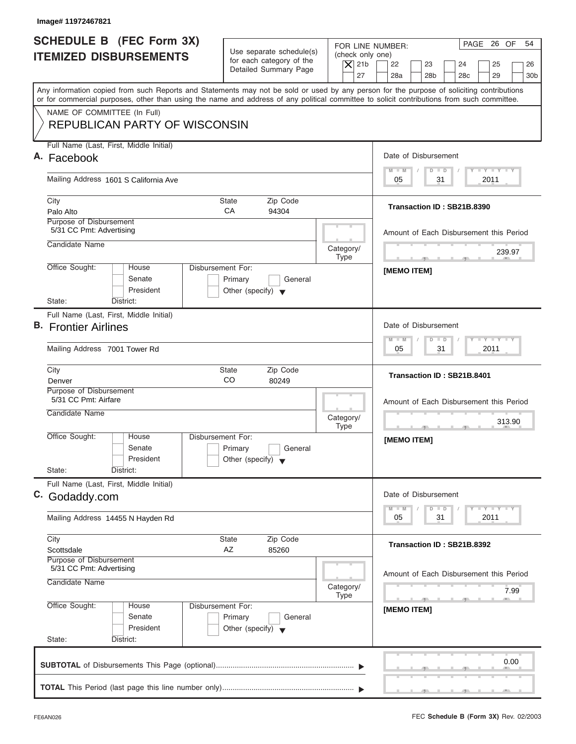| Image# 11972467821                                                                                                                                                        |                                                                                 |                                                                                                                                                                                          |
|---------------------------------------------------------------------------------------------------------------------------------------------------------------------------|---------------------------------------------------------------------------------|------------------------------------------------------------------------------------------------------------------------------------------------------------------------------------------|
| <b>SCHEDULE B (FEC Form 3X)</b><br><b>ITEMIZED DISBURSEMENTS</b>                                                                                                          | Use separate schedule(s)<br>for each category of the<br>Detailed Summary Page   | PAGE 26 OF<br>54<br>FOR LINE NUMBER:<br>(check only one)<br>$ \mathsf{X} $ 21b<br>22<br>23<br>24<br>25<br>26<br>27<br>28a<br>28 <sub>b</sub><br>28 <sub>c</sub><br>29<br>30 <sub>b</sub> |
| or for commercial purposes, other than using the name and address of any political committee to solicit contributions from such committee.<br>NAME OF COMMITTEE (In Full) |                                                                                 | Any information copied from such Reports and Statements may not be sold or used by any person for the purpose of soliciting contributions                                                |
| <b>REPUBLICAN PARTY OF WISCONSIN</b>                                                                                                                                      |                                                                                 |                                                                                                                                                                                          |
| Full Name (Last, First, Middle Initial)<br>A. Facebook                                                                                                                    |                                                                                 | Date of Disbursement                                                                                                                                                                     |
| Mailing Address 1601 S California Ave                                                                                                                                     |                                                                                 | $T - Y = T - Y = T - Y$<br>$M - M$<br>$D$ $D$<br>2011<br>05<br>31                                                                                                                        |
| City<br>Palo Alto                                                                                                                                                         | <b>State</b><br>Zip Code<br>CA<br>94304                                         | Transaction ID: SB21B.8390                                                                                                                                                               |
| Purpose of Disbursement<br>5/31 CC Pmt: Advertising                                                                                                                       |                                                                                 | Amount of Each Disbursement this Period                                                                                                                                                  |
| Candidate Name                                                                                                                                                            | Category/<br><b>Type</b>                                                        | 239.97<br>the control of the control of the                                                                                                                                              |
| Office Sought:<br>House<br>Senate<br>President<br>State:<br>District:                                                                                                     | Disbursement For:<br>Primary<br>General<br>Other (specify) $\blacktriangledown$ | [MEMO ITEM]                                                                                                                                                                              |
| Full Name (Last, First, Middle Initial)<br><b>B.</b> Frontier Airlines                                                                                                    |                                                                                 | Date of Disbursement                                                                                                                                                                     |
| Mailing Address 7001 Tower Rd                                                                                                                                             |                                                                                 | $-1 - Y - 1 - Y - 1 - Y$<br>$M - M$<br>$D$ $D$<br>2011<br>05<br>31                                                                                                                       |
| City<br>Denver                                                                                                                                                            | <b>State</b><br>Zip Code<br>CO<br>80249                                         | Transaction ID: SB21B.8401                                                                                                                                                               |
| Purpose of Disbursement<br>5/31 CC Pmt: Airfare<br>Candidate Name                                                                                                         | Category/<br><b>Type</b>                                                        | Amount of Each Disbursement this Period<br>313.90<br>$-5$                                                                                                                                |
| Office Sought:<br>House<br>Senate<br>President                                                                                                                            | Disbursement For:<br>Primary<br>General<br>Other (specify) $\blacktriangledown$ | [MEMO ITEM]                                                                                                                                                                              |
| State:<br>District:<br>Full Name (Last, First, Middle Initial)<br>C. Godaddy.com                                                                                          |                                                                                 | Date of Disbursement                                                                                                                                                                     |
| Mailing Address 14455 N Hayden Rd                                                                                                                                         |                                                                                 | <b>THEY THEY</b><br>$M - M$<br>$\overline{D}$<br>$\Box$<br>2011<br>05<br>31                                                                                                              |
| City<br>Scottsdale                                                                                                                                                        | Zip Code<br><b>State</b><br>AZ<br>85260                                         | Transaction ID: SB21B.8392                                                                                                                                                               |
| Purpose of Disbursement<br>5/31 CC Pmt: Advertising<br>Candidate Name                                                                                                     | Category/<br><b>Type</b>                                                        | Amount of Each Disbursement this Period<br>7.99                                                                                                                                          |
| Office Sought:<br>House<br>Senate<br>President<br>State:<br>District:                                                                                                     | Disbursement For:<br>Primary<br>General<br>Other (specify) $\blacktriangledown$ | $-7$<br>[MEMO ITEM]                                                                                                                                                                      |
|                                                                                                                                                                           |                                                                                 | 0.00                                                                                                                                                                                     |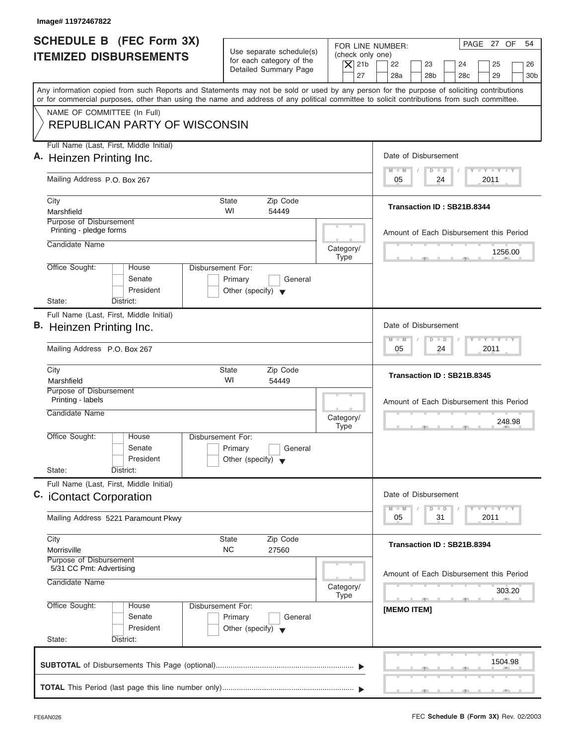| Image# 11972467822                                                                                                                                                                                                |                                                                                                |                                                                                                            |
|-------------------------------------------------------------------------------------------------------------------------------------------------------------------------------------------------------------------|------------------------------------------------------------------------------------------------|------------------------------------------------------------------------------------------------------------|
| <b>SCHEDULE B (FEC Form 3X)</b><br><b>ITEMIZED DISBURSEMENTS</b>                                                                                                                                                  | Use separate schedule(s)<br>for each category of the<br>$\overline{X}$ 21b                     | PAGE 27 OF<br>54<br>FOR LINE NUMBER:<br>(check only one)<br>22<br>23<br>24<br>25<br>26                     |
| Any information copied from such Reports and Statements may not be sold or used by any person for the purpose of soliciting contributions                                                                         | Detailed Summary Page                                                                          | 27<br>28a<br>28 <sub>b</sub><br>28 <sub>c</sub><br>29<br>30 <sub>b</sub>                                   |
| or for commercial purposes, other than using the name and address of any political committee to solicit contributions from such committee.<br>NAME OF COMMITTEE (In Full)<br><b>REPUBLICAN PARTY OF WISCONSIN</b> |                                                                                                |                                                                                                            |
| Full Name (Last, First, Middle Initial)<br>A. Heinzen Printing Inc.                                                                                                                                               |                                                                                                | Date of Disbursement                                                                                       |
| Mailing Address P.O. Box 267                                                                                                                                                                                      |                                                                                                | $T - Y = T - Y = T - Y$<br>$M - M$<br>$D$ $D$<br>24<br>2011<br>05                                          |
| City<br>Marshfield<br>Purpose of Disbursement                                                                                                                                                                     | <b>State</b><br>Zip Code<br>WI<br>54449                                                        | Transaction ID: SB21B.8344                                                                                 |
| Printing - pledge forms<br>Candidate Name                                                                                                                                                                         | Category/                                                                                      | Amount of Each Disbursement this Period<br>1256.00                                                         |
| Office Sought:<br>House<br>Senate<br>President<br>State:<br>District:                                                                                                                                             | <b>Type</b><br>Disbursement For:<br>Primary<br>General<br>Other (specify) $\blacktriangledown$ |                                                                                                            |
| Full Name (Last, First, Middle Initial)<br>B. Heinzen Printing Inc.<br>Mailing Address P.O. Box 267                                                                                                               |                                                                                                | Date of Disbursement<br>$-1 - Y - 1 - Y - 1 - Y$<br>M<br>W<br>$\overline{D}$<br>$\Box$<br>2011<br>05<br>24 |
| City<br>Marshfield                                                                                                                                                                                                | <b>State</b><br>Zip Code<br>WI<br>54449                                                        | Transaction ID: SB21B.8345                                                                                 |
| Purpose of Disbursement<br>Printing - labels<br>Candidate Name                                                                                                                                                    | Category/<br><b>Type</b>                                                                       | Amount of Each Disbursement this Period<br>248.98<br>__                                                    |
| Office Sought:<br>House<br>Senate<br>President<br>State:<br>District:                                                                                                                                             | Disbursement For:<br>Primary<br>General<br>Other (specify) $\blacktriangledown$                |                                                                                                            |
| Full Name (Last, First, Middle Initial)<br>C. iContact Corporation                                                                                                                                                |                                                                                                | Date of Disbursement<br>$T - Y$ $T - Y$ $T - Y$                                                            |
| Mailing Address 5221 Paramount Pkwy                                                                                                                                                                               |                                                                                                | $M - M$<br>D<br>$\Box$<br>2011<br>05<br>31                                                                 |
| City<br>Morrisville<br>Purpose of Disbursement<br>5/31 CC Pmt: Advertising                                                                                                                                        | Zip Code<br>State<br>NC.<br>27560                                                              | Transaction ID: SB21B.8394                                                                                 |
| Candidate Name                                                                                                                                                                                                    | Category/<br><b>Type</b>                                                                       | Amount of Each Disbursement this Period<br>303.20                                                          |
| Office Sought:<br>House<br>Senate<br>President<br>State:<br>District:                                                                                                                                             | Disbursement For:<br>Primary<br>General<br>Other (specify) $\blacktriangledown$                | [MEMO ITEM]                                                                                                |
|                                                                                                                                                                                                                   |                                                                                                | 1504.98                                                                                                    |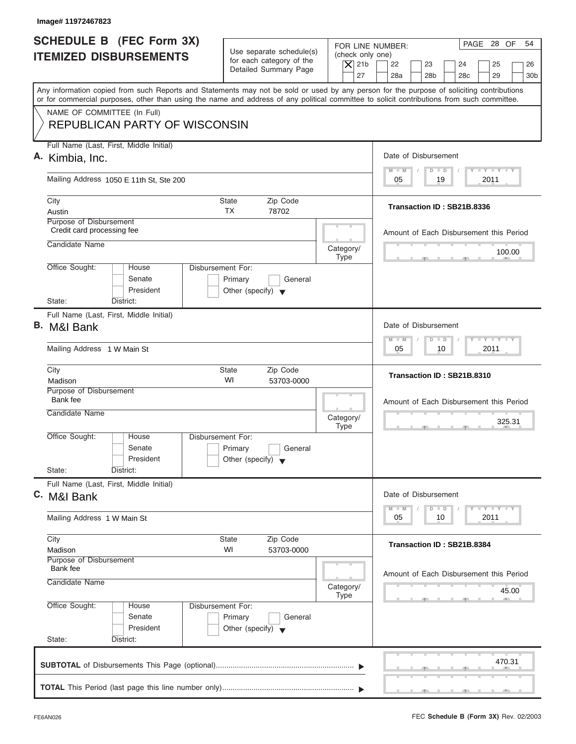| Image# 11972467823                                                                                                                                                                                                                                                                      |                                                                               |                                                    |                                                   |
|-----------------------------------------------------------------------------------------------------------------------------------------------------------------------------------------------------------------------------------------------------------------------------------------|-------------------------------------------------------------------------------|----------------------------------------------------|---------------------------------------------------|
| <b>SCHEDULE B (FEC Form 3X)</b>                                                                                                                                                                                                                                                         |                                                                               | FOR LINE NUMBER:                                   | PAGE 28 OF<br>54                                  |
| <b>ITEMIZED DISBURSEMENTS</b>                                                                                                                                                                                                                                                           | Use separate schedule(s)<br>for each category of the<br>Detailed Summary Page | (check only one)<br>$\overline{X}$ 21b<br>22<br>23 | 24<br>25<br>26                                    |
|                                                                                                                                                                                                                                                                                         |                                                                               | 27<br>28a<br>28 <sub>b</sub>                       | 28 <sub>c</sub><br>29<br>30 <sub>b</sub>          |
| Any information copied from such Reports and Statements may not be sold or used by any person for the purpose of soliciting contributions<br>or for commercial purposes, other than using the name and address of any political committee to solicit contributions from such committee. |                                                                               |                                                    |                                                   |
| NAME OF COMMITTEE (In Full)<br><b>REPUBLICAN PARTY OF WISCONSIN</b>                                                                                                                                                                                                                     |                                                                               |                                                    |                                                   |
| Full Name (Last, First, Middle Initial)                                                                                                                                                                                                                                                 |                                                                               |                                                    |                                                   |
| A. Kimbia, Inc.                                                                                                                                                                                                                                                                         |                                                                               | Date of Disbursement                               |                                                   |
| Mailing Address 1050 E 11th St, Ste 200                                                                                                                                                                                                                                                 |                                                                               | $M - M$<br>05                                      | $T - Y = T - Y = T - Y$<br>$D$ $D$<br>19<br>2011  |
| City                                                                                                                                                                                                                                                                                    | <b>State</b><br>Zip Code                                                      |                                                    |                                                   |
| Austin                                                                                                                                                                                                                                                                                  | <b>TX</b><br>78702                                                            |                                                    | Transaction ID: SB21B.8336                        |
| Purpose of Disbursement<br>Credit card processing fee                                                                                                                                                                                                                                   |                                                                               |                                                    | Amount of Each Disbursement this Period           |
| Candidate Name                                                                                                                                                                                                                                                                          |                                                                               | Category/<br><b>Type</b>                           | 100.00                                            |
| Office Sought:<br>House                                                                                                                                                                                                                                                                 | Disbursement For:                                                             |                                                    |                                                   |
| Senate<br>President                                                                                                                                                                                                                                                                     | Primary<br>General<br>Other (specify) $\blacktriangledown$                    |                                                    |                                                   |
| State:<br>District:                                                                                                                                                                                                                                                                     |                                                                               |                                                    |                                                   |
| Full Name (Last, First, Middle Initial)<br>B. M&I Bank                                                                                                                                                                                                                                  |                                                                               | Date of Disbursement                               |                                                   |
| Mailing Address 1 W Main St                                                                                                                                                                                                                                                             |                                                                               | $M - M$<br>$\overline{D}$<br>05                    | $-1 - Y - 1 - Y - 1 - Y$<br>$\Box$<br>2011<br>10  |
| City<br>Madison                                                                                                                                                                                                                                                                         | <b>State</b><br>Zip Code<br>WI<br>53703-0000                                  |                                                    | Transaction ID: SB21B.8310                        |
| Purpose of Disbursement<br>Bank fee                                                                                                                                                                                                                                                     |                                                                               |                                                    |                                                   |
| Candidate Name                                                                                                                                                                                                                                                                          |                                                                               | Category/                                          | Amount of Each Disbursement this Period<br>325.31 |
| Office Sought:<br>House                                                                                                                                                                                                                                                                 | Disbursement For:                                                             | <b>Type</b>                                        | $\sim$                                            |
| Senate                                                                                                                                                                                                                                                                                  | Primary<br>General                                                            |                                                    |                                                   |
| President<br>State:<br>District:                                                                                                                                                                                                                                                        | Other (specify) $\blacktriangledown$                                          |                                                    |                                                   |
| Full Name (Last, First, Middle Initial)                                                                                                                                                                                                                                                 |                                                                               |                                                    |                                                   |
| C. M&I Bank                                                                                                                                                                                                                                                                             |                                                                               | Date of Disbursement                               |                                                   |
| Mailing Address 1 W Main St                                                                                                                                                                                                                                                             |                                                                               | $M - M$<br>$\overline{D}$<br>05                    | $T - Y$ $T - Y$<br>$\Box$<br>2011<br>10           |
| City                                                                                                                                                                                                                                                                                    | Zip Code<br>State                                                             |                                                    | Transaction ID: SB21B.8384                        |
| Madison<br>Purpose of Disbursement                                                                                                                                                                                                                                                      | WI<br>53703-0000                                                              |                                                    |                                                   |
| Bank fee<br>Candidate Name                                                                                                                                                                                                                                                              |                                                                               |                                                    | Amount of Each Disbursement this Period           |
|                                                                                                                                                                                                                                                                                         |                                                                               | Category/<br><b>Type</b>                           | 45.00                                             |
| Office Sought:<br>House<br>Senate                                                                                                                                                                                                                                                       | Disbursement For:<br>Primary<br>General                                       |                                                    |                                                   |
| President<br>State:<br>District:                                                                                                                                                                                                                                                        | Other (specify) $\blacktriangledown$                                          |                                                    |                                                   |
|                                                                                                                                                                                                                                                                                         |                                                                               |                                                    | 470.31                                            |
|                                                                                                                                                                                                                                                                                         |                                                                               |                                                    |                                                   |
|                                                                                                                                                                                                                                                                                         |                                                                               |                                                    |                                                   |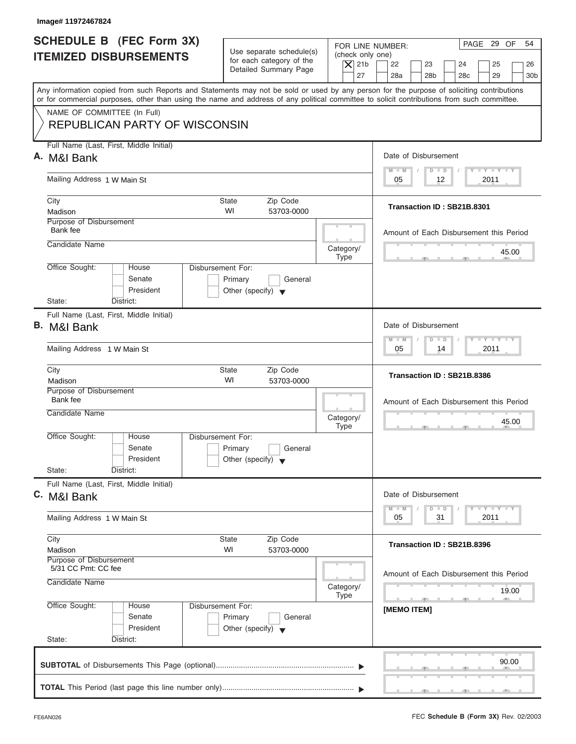| Image# 11972467824                                                                                                                         |                                                            |                                                                            |
|--------------------------------------------------------------------------------------------------------------------------------------------|------------------------------------------------------------|----------------------------------------------------------------------------|
| <b>SCHEDULE B (FEC Form 3X)</b>                                                                                                            |                                                            | PAGE 29 OF<br>54<br>FOR LINE NUMBER:                                       |
| <b>ITEMIZED DISBURSEMENTS</b>                                                                                                              | Use separate schedule(s)<br>for each category of the       | (check only one)<br>$\overline{X}$ 21b<br>22<br>23<br>24<br>25<br>26       |
|                                                                                                                                            | Detailed Summary Page                                      | 27<br>28a<br>28 <sub>b</sub><br>28 <sub>c</sub><br>29<br>30 <sub>b</sub>   |
| Any information copied from such Reports and Statements may not be sold or used by any person for the purpose of soliciting contributions  |                                                            |                                                                            |
| or for commercial purposes, other than using the name and address of any political committee to solicit contributions from such committee. |                                                            |                                                                            |
| NAME OF COMMITTEE (In Full)<br><b>REPUBLICAN PARTY OF WISCONSIN</b>                                                                        |                                                            |                                                                            |
| Full Name (Last, First, Middle Initial)                                                                                                    |                                                            |                                                                            |
| A. M&I Bank                                                                                                                                |                                                            | Date of Disbursement                                                       |
| Mailing Address 1 W Main St                                                                                                                |                                                            | $T - Y = T - Y = T - Y$<br>$M - M$<br>$D$ $D$<br>2011<br>05<br>12          |
| City                                                                                                                                       | <b>State</b><br>Zip Code                                   |                                                                            |
| Madison                                                                                                                                    | WI<br>53703-0000                                           | Transaction ID: SB21B.8301                                                 |
| Purpose of Disbursement<br>Bank fee                                                                                                        |                                                            | Amount of Each Disbursement this Period                                    |
| Candidate Name                                                                                                                             | Category/                                                  |                                                                            |
|                                                                                                                                            | <b>Type</b>                                                | 45.00<br>m.                                                                |
| Office Sought:<br>House<br>Senate                                                                                                          | Disbursement For:<br>Primary<br>General                    |                                                                            |
| President                                                                                                                                  | Other (specify) $\blacktriangledown$                       |                                                                            |
| State:<br>District:                                                                                                                        |                                                            |                                                                            |
| Full Name (Last, First, Middle Initial)<br>B. M&I Bank                                                                                     |                                                            | Date of Disbursement                                                       |
|                                                                                                                                            |                                                            | $-1 - Y - 1 - Y - 1 - Y$<br>$M - M$<br>$\overline{D}$<br>$\Box$            |
| Mailing Address 1 W Main St                                                                                                                |                                                            | 2011<br>05<br>14                                                           |
| City<br>Madison                                                                                                                            | <b>State</b><br>Zip Code<br>WI<br>53703-0000               | Transaction ID: SB21B.8386                                                 |
| Purpose of Disbursement<br>Bank fee                                                                                                        |                                                            |                                                                            |
| Candidate Name                                                                                                                             |                                                            | Amount of Each Disbursement this Period                                    |
|                                                                                                                                            | Category/<br><b>Type</b>                                   | 45.00<br>$\overline{2}$<br>$-7$                                            |
| Office Sought:<br>House                                                                                                                    | Disbursement For:                                          |                                                                            |
| Senate<br>President                                                                                                                        | Primary<br>General<br>Other (specify) $\blacktriangledown$ |                                                                            |
| State:<br>District:                                                                                                                        |                                                            |                                                                            |
| Full Name (Last, First, Middle Initial)                                                                                                    |                                                            |                                                                            |
| C. M&I Bank                                                                                                                                |                                                            | Date of Disbursement                                                       |
| Mailing Address 1 W Main St                                                                                                                |                                                            | $T - Y$ $T - Y$<br>$M - M$<br>$\overline{D}$<br>$\Box$<br>2011<br>05<br>31 |
| City                                                                                                                                       | Zip Code<br>State                                          | Transaction ID: SB21B.8396                                                 |
| Madison<br>Purpose of Disbursement                                                                                                         | WI<br>53703-0000                                           |                                                                            |
| 5/31 CC Pmt: CC fee                                                                                                                        |                                                            | Amount of Each Disbursement this Period                                    |
| Candidate Name                                                                                                                             | Category/                                                  | 19.00                                                                      |
| Office Sought:<br>House                                                                                                                    | <b>Type</b><br>Disbursement For:                           | -91                                                                        |
| Senate                                                                                                                                     | Primary<br>General                                         | [MEMO ITEM]                                                                |
| President                                                                                                                                  | Other (specify) $\blacktriangledown$                       |                                                                            |
| State:<br>District:                                                                                                                        |                                                            |                                                                            |
|                                                                                                                                            |                                                            | 90.00                                                                      |
|                                                                                                                                            |                                                            |                                                                            |
|                                                                                                                                            |                                                            |                                                                            |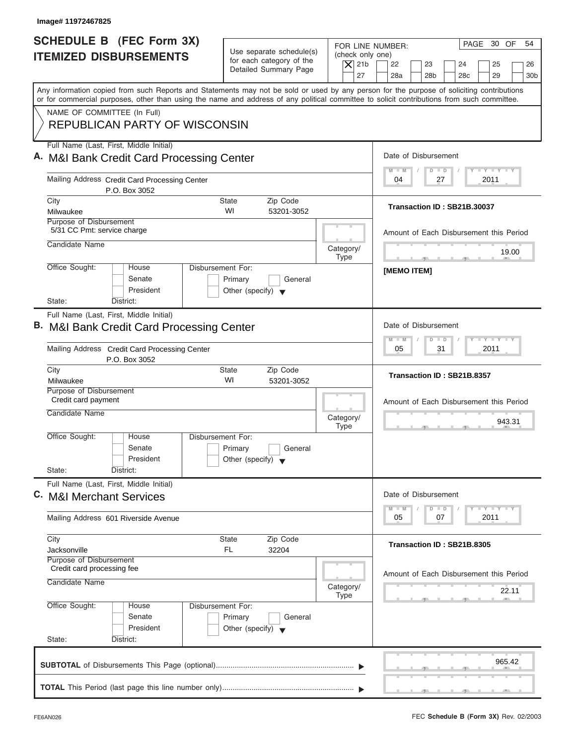| Image# 11972467825                                                                                                                                                                                                                                                                                                     |                                                                                 |                                                                  |                                                                                                                      |
|------------------------------------------------------------------------------------------------------------------------------------------------------------------------------------------------------------------------------------------------------------------------------------------------------------------------|---------------------------------------------------------------------------------|------------------------------------------------------------------|----------------------------------------------------------------------------------------------------------------------|
| SCHEDULE B (FEC Form 3X)<br><b>ITEMIZED DISBURSEMENTS</b>                                                                                                                                                                                                                                                              | Use separate schedule(s)<br>for each category of the<br>Detailed Summary Page   | FOR LINE NUMBER:<br>(check only one)<br>$\overline{X}$ 21b<br>27 | PAGE 30 OF<br>54<br>22<br>23<br>24<br>25<br>26<br>28a<br>28 <sub>b</sub><br>28 <sub>c</sub><br>29<br>30 <sub>b</sub> |
| Any information copied from such Reports and Statements may not be sold or used by any person for the purpose of soliciting contributions<br>or for commercial purposes, other than using the name and address of any political committee to solicit contributions from such committee.<br>NAME OF COMMITTEE (In Full) |                                                                                 |                                                                  |                                                                                                                      |
| <b>REPUBLICAN PARTY OF WISCONSIN</b><br>Full Name (Last, First, Middle Initial)                                                                                                                                                                                                                                        |                                                                                 |                                                                  |                                                                                                                      |
| A. M&I Bank Credit Card Processing Center                                                                                                                                                                                                                                                                              |                                                                                 |                                                                  | Date of Disbursement<br>$T - Y = T - Y = T - Y$<br>$M - M$<br>$D$ $D$                                                |
| Mailing Address Credit Card Processing Center<br>P.O. Box 3052                                                                                                                                                                                                                                                         |                                                                                 |                                                                  | 2011<br>04<br>27                                                                                                     |
| City<br>Milwaukee                                                                                                                                                                                                                                                                                                      | <b>State</b><br>Zip Code<br>WI<br>53201-3052                                    |                                                                  | Transaction ID: SB21B.30037                                                                                          |
| Purpose of Disbursement<br>5/31 CC Pmt: service charge<br>Candidate Name                                                                                                                                                                                                                                               |                                                                                 |                                                                  | Amount of Each Disbursement this Period                                                                              |
| Office Sought:<br>House                                                                                                                                                                                                                                                                                                | Disbursement For:                                                               | Category/<br><b>Type</b>                                         | 19.00                                                                                                                |
| Senate<br>President<br>State:<br>District:                                                                                                                                                                                                                                                                             | Primary<br>General<br>Other (specify) $\blacktriangledown$                      |                                                                  | [MEMO ITEM]                                                                                                          |
| Full Name (Last, First, Middle Initial)<br>B. M&I Bank Credit Card Processing Center                                                                                                                                                                                                                                   |                                                                                 |                                                                  | Date of Disbursement                                                                                                 |
| Mailing Address Credit Card Processing Center<br>P.O. Box 3052                                                                                                                                                                                                                                                         |                                                                                 |                                                                  | <b>LY LY LY</b><br>$M - M$<br>$\overline{D}$<br>$\Box$<br>2011<br>05<br>31                                           |
| City<br>Milwaukee<br>Purpose of Disbursement                                                                                                                                                                                                                                                                           | Zip Code<br><b>State</b><br>WI<br>53201-3052                                    |                                                                  | Transaction ID: SB21B.8357                                                                                           |
| Credit card payment<br>Candidate Name                                                                                                                                                                                                                                                                                  |                                                                                 | Category/<br><b>Type</b>                                         | Amount of Each Disbursement this Period<br>943.31                                                                    |
| Office Sought:<br>House<br>Senate<br>President                                                                                                                                                                                                                                                                         | Disbursement For:<br>Primary<br>General<br>Other (specify) $\blacktriangledown$ |                                                                  |                                                                                                                      |
| State:<br>District:<br>Full Name (Last, First, Middle Initial)<br>C. M&I Merchant Services                                                                                                                                                                                                                             |                                                                                 |                                                                  | Date of Disbursement                                                                                                 |
| Mailing Address 601 Riverside Avenue                                                                                                                                                                                                                                                                                   |                                                                                 |                                                                  | $T - Y$ $T - Y$ $T - Y$<br>$M - M$<br>$\overline{D}$<br>$\Box$<br>05<br>07<br>2011                                   |
| City<br>Jacksonville                                                                                                                                                                                                                                                                                                   | <b>State</b><br>Zip Code<br>FL<br>32204                                         |                                                                  | Transaction ID: SB21B.8305                                                                                           |
| Purpose of Disbursement<br>Credit card processing fee<br>Candidate Name                                                                                                                                                                                                                                                |                                                                                 | Category/<br><b>Type</b>                                         | Amount of Each Disbursement this Period<br>22.11                                                                     |
| Office Sought:<br>House<br>Senate<br>President                                                                                                                                                                                                                                                                         | Disbursement For:<br>Primary<br>General<br>Other (specify) $\blacktriangledown$ |                                                                  |                                                                                                                      |
| State:<br>District:                                                                                                                                                                                                                                                                                                    |                                                                                 |                                                                  | 965.42                                                                                                               |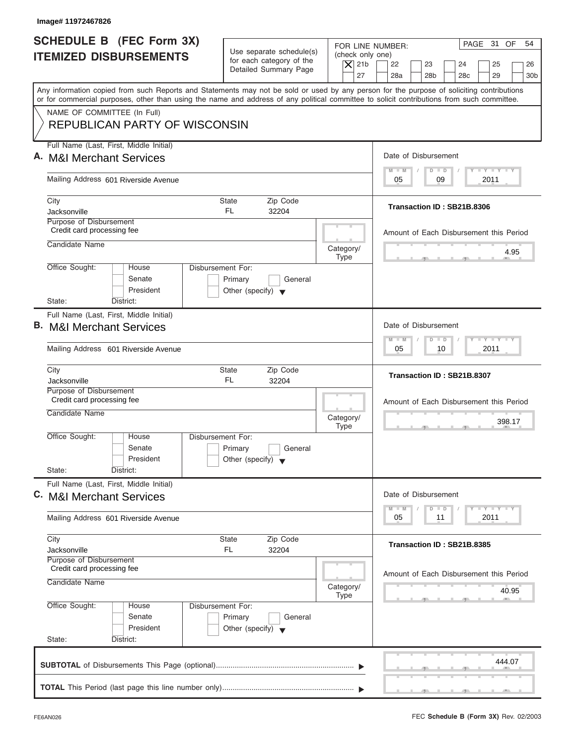| Image# 11972467826                                                                                                                                                                                                                                                                      |                                                            |                          |                                                                          |
|-----------------------------------------------------------------------------------------------------------------------------------------------------------------------------------------------------------------------------------------------------------------------------------------|------------------------------------------------------------|--------------------------|--------------------------------------------------------------------------|
| <b>SCHEDULE B (FEC Form 3X)</b>                                                                                                                                                                                                                                                         |                                                            | FOR LINE NUMBER:         | PAGE 31 OF<br>54                                                         |
| <b>ITEMIZED DISBURSEMENTS</b>                                                                                                                                                                                                                                                           | Use separate schedule(s)<br>for each category of the       | (check only one)         |                                                                          |
|                                                                                                                                                                                                                                                                                         | Detailed Summary Page                                      | $\vert$ $\chi$ 21b       | 22<br>23<br>24<br>25<br>26                                               |
|                                                                                                                                                                                                                                                                                         |                                                            | 27                       | 28a<br>28 <sub>b</sub><br>28 <sub>c</sub><br>29<br>30 <sub>b</sub>       |
| Any information copied from such Reports and Statements may not be sold or used by any person for the purpose of soliciting contributions<br>or for commercial purposes, other than using the name and address of any political committee to solicit contributions from such committee. |                                                            |                          |                                                                          |
| NAME OF COMMITTEE (In Full)                                                                                                                                                                                                                                                             |                                                            |                          |                                                                          |
| <b>REPUBLICAN PARTY OF WISCONSIN</b>                                                                                                                                                                                                                                                    |                                                            |                          |                                                                          |
| Full Name (Last, First, Middle Initial)                                                                                                                                                                                                                                                 |                                                            |                          |                                                                          |
| A. M&I Merchant Services                                                                                                                                                                                                                                                                |                                                            |                          | Date of Disbursement                                                     |
| Mailing Address 601 Riverside Avenue                                                                                                                                                                                                                                                    |                                                            |                          | $T - Y = T - Y = T - Y$<br>$\blacksquare$<br>$D$ $D$<br>09<br>2011<br>05 |
| City                                                                                                                                                                                                                                                                                    | State<br>Zip Code                                          |                          |                                                                          |
| Jacksonville                                                                                                                                                                                                                                                                            | FL.<br>32204                                               |                          | Transaction ID: SB21B.8306                                               |
| Purpose of Disbursement<br>Credit card processing fee                                                                                                                                                                                                                                   |                                                            |                          |                                                                          |
| Candidate Name                                                                                                                                                                                                                                                                          |                                                            |                          | Amount of Each Disbursement this Period                                  |
|                                                                                                                                                                                                                                                                                         |                                                            | Category/<br><b>Type</b> | 4.95                                                                     |
| Office Sought:<br>House                                                                                                                                                                                                                                                                 | Disbursement For:                                          |                          |                                                                          |
| Senate                                                                                                                                                                                                                                                                                  | Primary<br>General                                         |                          |                                                                          |
| President<br>State:<br>District:                                                                                                                                                                                                                                                        | Other (specify) $\blacktriangledown$                       |                          |                                                                          |
| Full Name (Last, First, Middle Initial)                                                                                                                                                                                                                                                 |                                                            |                          |                                                                          |
| <b>B.</b> M&I Merchant Services                                                                                                                                                                                                                                                         |                                                            |                          | Date of Disbursement                                                     |
|                                                                                                                                                                                                                                                                                         |                                                            |                          | $-1 - Y - 1 - Y - 1 - Y$<br>M<br>W<br>$\overline{D}$<br>$\Box$           |
| Mailing Address 601 Riverside Avenue                                                                                                                                                                                                                                                    |                                                            |                          | 2011<br>05<br>10                                                         |
| City                                                                                                                                                                                                                                                                                    | State<br>Zip Code                                          |                          | Transaction ID: SB21B.8307                                               |
| Jacksonville<br>Purpose of Disbursement                                                                                                                                                                                                                                                 | FL.<br>32204                                               |                          |                                                                          |
| Credit card processing fee                                                                                                                                                                                                                                                              |                                                            |                          | Amount of Each Disbursement this Period                                  |
| Candidate Name                                                                                                                                                                                                                                                                          |                                                            | Category/                |                                                                          |
|                                                                                                                                                                                                                                                                                         |                                                            | <b>Type</b>              | 398.17<br>$\sim$                                                         |
| Office Sought:<br>House                                                                                                                                                                                                                                                                 | Disbursement For:                                          |                          |                                                                          |
| Senate<br>President                                                                                                                                                                                                                                                                     | Primary<br>General<br>Other (specify) $\blacktriangledown$ |                          |                                                                          |
| State:<br>District:                                                                                                                                                                                                                                                                     |                                                            |                          |                                                                          |
| Full Name (Last, First, Middle Initial)                                                                                                                                                                                                                                                 |                                                            |                          |                                                                          |
| C. M&I Merchant Services                                                                                                                                                                                                                                                                |                                                            |                          | Date of Disbursement                                                     |
|                                                                                                                                                                                                                                                                                         |                                                            |                          | $T - Y$ $T - Y$<br>M<br>W<br>$\overline{D}$<br>$\Box$                    |
| Mailing Address 601 Riverside Avenue                                                                                                                                                                                                                                                    |                                                            |                          | 2011<br>05<br>11                                                         |
| City                                                                                                                                                                                                                                                                                    | State<br>Zip Code                                          |                          | Transaction ID: SB21B.8385                                               |
| Jacksonville                                                                                                                                                                                                                                                                            | FL<br>32204                                                |                          |                                                                          |
| Purpose of Disbursement<br>Credit card processing fee                                                                                                                                                                                                                                   |                                                            |                          |                                                                          |
| Candidate Name                                                                                                                                                                                                                                                                          |                                                            | Category/                | Amount of Each Disbursement this Period                                  |
|                                                                                                                                                                                                                                                                                         |                                                            | <b>Type</b>              | 40.95                                                                    |
| Office Sought:<br>House                                                                                                                                                                                                                                                                 | Disbursement For:                                          |                          |                                                                          |
| Senate                                                                                                                                                                                                                                                                                  | Primary<br>General                                         |                          |                                                                          |
| President<br>State:<br>District:                                                                                                                                                                                                                                                        | Other (specify) $\blacktriangledown$                       |                          |                                                                          |
|                                                                                                                                                                                                                                                                                         |                                                            |                          |                                                                          |
|                                                                                                                                                                                                                                                                                         |                                                            |                          | 444.07                                                                   |
|                                                                                                                                                                                                                                                                                         |                                                            |                          |                                                                          |
|                                                                                                                                                                                                                                                                                         |                                                            |                          |                                                                          |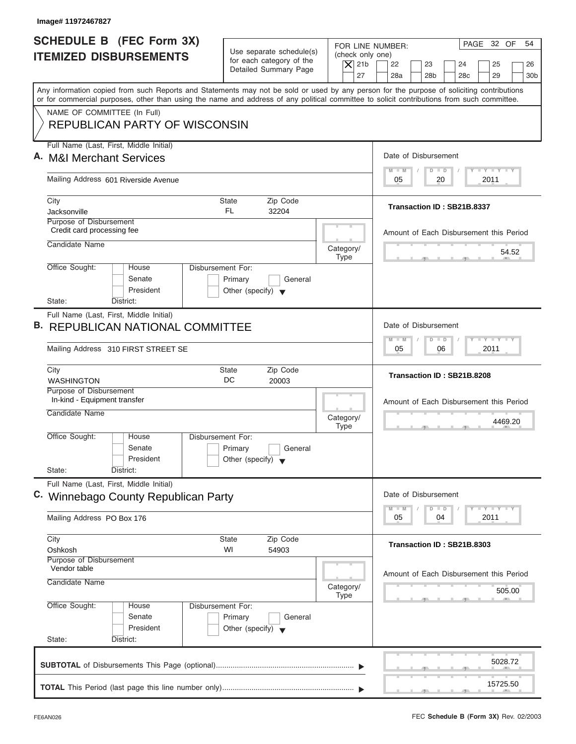| Image# 11972467827                                                                                                                                                                                                                                                                      |                                                                               |                          |                                                                              |
|-----------------------------------------------------------------------------------------------------------------------------------------------------------------------------------------------------------------------------------------------------------------------------------------|-------------------------------------------------------------------------------|--------------------------|------------------------------------------------------------------------------|
| <b>SCHEDULE B (FEC Form 3X)</b>                                                                                                                                                                                                                                                         |                                                                               |                          | PAGE 32 OF<br>54<br>FOR LINE NUMBER:                                         |
| <b>ITEMIZED DISBURSEMENTS</b>                                                                                                                                                                                                                                                           | Use separate schedule(s)<br>for each category of the<br>Detailed Summary Page | $\vert$ $\chi$ 21b       | (check only one)<br>22<br>23<br>24<br>25<br>26                               |
|                                                                                                                                                                                                                                                                                         |                                                                               |                          | 27<br>28a<br>28 <sub>b</sub><br>28 <sub>c</sub><br>29<br>30 <sub>b</sub>     |
| Any information copied from such Reports and Statements may not be sold or used by any person for the purpose of soliciting contributions<br>or for commercial purposes, other than using the name and address of any political committee to solicit contributions from such committee. |                                                                               |                          |                                                                              |
| NAME OF COMMITTEE (In Full)                                                                                                                                                                                                                                                             |                                                                               |                          |                                                                              |
| <b>REPUBLICAN PARTY OF WISCONSIN</b>                                                                                                                                                                                                                                                    |                                                                               |                          |                                                                              |
| Full Name (Last, First, Middle Initial)                                                                                                                                                                                                                                                 |                                                                               |                          |                                                                              |
| A. M&I Merchant Services                                                                                                                                                                                                                                                                |                                                                               |                          | Date of Disbursement<br>$T - Y = T - Y = T - Y$<br>$M - M$<br>$D$ $D$        |
| Mailing Address 601 Riverside Avenue                                                                                                                                                                                                                                                    |                                                                               |                          | 20<br>2011<br>05                                                             |
| City                                                                                                                                                                                                                                                                                    | <b>State</b><br>Zip Code                                                      |                          |                                                                              |
| Jacksonville                                                                                                                                                                                                                                                                            | FL.<br>32204                                                                  |                          | Transaction ID: SB21B.8337                                                   |
| Purpose of Disbursement<br>Credit card processing fee                                                                                                                                                                                                                                   |                                                                               |                          | Amount of Each Disbursement this Period                                      |
| Candidate Name                                                                                                                                                                                                                                                                          |                                                                               | Category/                |                                                                              |
|                                                                                                                                                                                                                                                                                         |                                                                               | <b>Type</b>              | 54.52                                                                        |
| Office Sought:<br>House<br>Senate                                                                                                                                                                                                                                                       | Disbursement For:<br>Primary<br>General                                       |                          |                                                                              |
| President                                                                                                                                                                                                                                                                               | Other (specify) $\blacktriangledown$                                          |                          |                                                                              |
| State:<br>District:                                                                                                                                                                                                                                                                     |                                                                               |                          |                                                                              |
| Full Name (Last, First, Middle Initial)<br><b>B. REPUBLICAN NATIONAL COMMITTEE</b>                                                                                                                                                                                                      |                                                                               |                          | Date of Disbursement                                                         |
|                                                                                                                                                                                                                                                                                         |                                                                               |                          | $-1 - Y - 1 - Y - 1 - Y$<br>$M - M$<br>$D$ $D$                               |
| Mailing Address 310 FIRST STREET SE                                                                                                                                                                                                                                                     |                                                                               |                          | 06<br>2011<br>05                                                             |
| City<br><b>WASHINGTON</b>                                                                                                                                                                                                                                                               | Zip Code<br><b>State</b><br>DC<br>20003                                       |                          | Transaction ID: SB21B.8208                                                   |
| Purpose of Disbursement                                                                                                                                                                                                                                                                 |                                                                               |                          |                                                                              |
| In-kind - Equipment transfer<br>Candidate Name                                                                                                                                                                                                                                          |                                                                               |                          | Amount of Each Disbursement this Period                                      |
|                                                                                                                                                                                                                                                                                         |                                                                               | Category/<br><b>Type</b> | 4469.20<br>$\sim$                                                            |
| Office Sought:<br>House                                                                                                                                                                                                                                                                 | Disbursement For:                                                             |                          |                                                                              |
| Senate<br>President                                                                                                                                                                                                                                                                     | Primary<br>General<br>Other (specify) $\blacktriangledown$                    |                          |                                                                              |
| State:<br>District:                                                                                                                                                                                                                                                                     |                                                                               |                          |                                                                              |
| Full Name (Last, First, Middle Initial)                                                                                                                                                                                                                                                 |                                                                               |                          |                                                                              |
| C. Winnebago County Republican Party                                                                                                                                                                                                                                                    |                                                                               |                          | Date of Disbursement                                                         |
| Mailing Address PO Box 176                                                                                                                                                                                                                                                              |                                                                               |                          | $T - Y = Y - T Y$<br>$M - M$<br>$\overline{D}$<br>$\Box$<br>05<br>04<br>2011 |
|                                                                                                                                                                                                                                                                                         |                                                                               |                          |                                                                              |
| City<br>Oshkosh                                                                                                                                                                                                                                                                         | <b>State</b><br>Zip Code<br>WI<br>54903                                       |                          | Transaction ID: SB21B.8303                                                   |
| Purpose of Disbursement<br>Vendor table                                                                                                                                                                                                                                                 |                                                                               |                          |                                                                              |
| Candidate Name                                                                                                                                                                                                                                                                          |                                                                               |                          | Amount of Each Disbursement this Period                                      |
|                                                                                                                                                                                                                                                                                         |                                                                               | Category/<br><b>Type</b> | 505.00                                                                       |
| Office Sought:<br>House                                                                                                                                                                                                                                                                 | Disbursement For:                                                             |                          |                                                                              |
| Senate<br>President                                                                                                                                                                                                                                                                     | Primary<br>General                                                            |                          |                                                                              |
| State:<br>District:                                                                                                                                                                                                                                                                     | Other (specify) $\blacktriangledown$                                          |                          |                                                                              |
|                                                                                                                                                                                                                                                                                         |                                                                               |                          |                                                                              |
|                                                                                                                                                                                                                                                                                         |                                                                               |                          | 5028.72                                                                      |
|                                                                                                                                                                                                                                                                                         |                                                                               |                          | 15725.50                                                                     |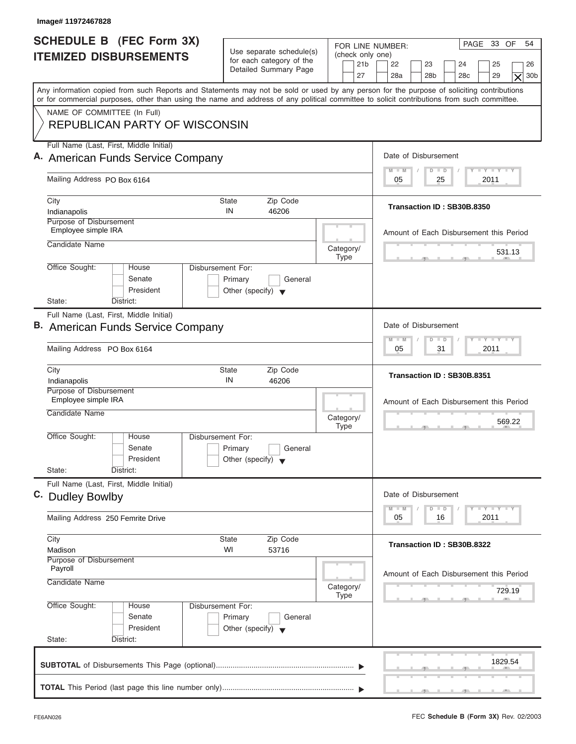| Image# 11972467828                                                                                                                                                                                                                                                                      |                                                                                                |                                                                                                                                                                                                   |
|-----------------------------------------------------------------------------------------------------------------------------------------------------------------------------------------------------------------------------------------------------------------------------------------|------------------------------------------------------------------------------------------------|---------------------------------------------------------------------------------------------------------------------------------------------------------------------------------------------------|
| <b>SCHEDULE B</b> (FEC Form 3X)<br><b>ITEMIZED DISBURSEMENTS</b>                                                                                                                                                                                                                        | Use separate schedule(s)<br>for each category of the<br>Detailed Summary Page                  | PAGE 33 OF<br>54<br>FOR LINE NUMBER:<br>(check only one)<br>21 <sub>b</sub><br>22<br>23<br>24<br>25<br>26<br>27<br>28a<br>28 <sub>b</sub><br>28 <sub>c</sub><br>29<br>30 <sub>b</sub><br>$\times$ |
| Any information copied from such Reports and Statements may not be sold or used by any person for the purpose of soliciting contributions<br>or for commercial purposes, other than using the name and address of any political committee to solicit contributions from such committee. |                                                                                                |                                                                                                                                                                                                   |
| NAME OF COMMITTEE (In Full)<br><b>REPUBLICAN PARTY OF WISCONSIN</b>                                                                                                                                                                                                                     |                                                                                                |                                                                                                                                                                                                   |
| Full Name (Last, First, Middle Initial)                                                                                                                                                                                                                                                 |                                                                                                | Date of Disbursement                                                                                                                                                                              |
| A. American Funds Service Company                                                                                                                                                                                                                                                       |                                                                                                | $T - Y = T - Y = T - Y$<br>$D$ $D$<br>$M$ $M$                                                                                                                                                     |
| Mailing Address PO Box 6164                                                                                                                                                                                                                                                             |                                                                                                | 2011<br>05<br>25                                                                                                                                                                                  |
| City<br>Indianapolis                                                                                                                                                                                                                                                                    | <b>State</b><br>Zip Code<br>IN<br>46206                                                        | Transaction ID: SB30B.8350                                                                                                                                                                        |
| Purpose of Disbursement<br>Employee simple IRA                                                                                                                                                                                                                                          |                                                                                                | Amount of Each Disbursement this Period                                                                                                                                                           |
| Candidate Name                                                                                                                                                                                                                                                                          | Category/<br><b>Type</b>                                                                       | 531.13                                                                                                                                                                                            |
| Office Sought:<br>House<br>Senate<br>President<br>State:<br>District:                                                                                                                                                                                                                   | Disbursement For:<br>Primary<br>General<br>Other (specify) $\blacktriangledown$                |                                                                                                                                                                                                   |
| Full Name (Last, First, Middle Initial)                                                                                                                                                                                                                                                 |                                                                                                |                                                                                                                                                                                                   |
| <b>B.</b> American Funds Service Company                                                                                                                                                                                                                                                | Date of Disbursement                                                                           |                                                                                                                                                                                                   |
| Mailing Address PO Box 6164                                                                                                                                                                                                                                                             | <b>LY LY LY</b><br>$\Box$<br>$M - M$<br>$\overline{D}$<br>2011<br>05<br>31                     |                                                                                                                                                                                                   |
| City<br>Indianapolis                                                                                                                                                                                                                                                                    | State<br>Zip Code<br>IN<br>46206                                                               | Transaction ID: SB30B.8351                                                                                                                                                                        |
| Purpose of Disbursement<br>Employee simple IRA<br>Candidate Name                                                                                                                                                                                                                        |                                                                                                | Amount of Each Disbursement this Period                                                                                                                                                           |
|                                                                                                                                                                                                                                                                                         | Category/<br><b>Type</b>                                                                       | 569.22                                                                                                                                                                                            |
| Office Sought:<br>House<br>Senate<br>President<br>State:<br>District:                                                                                                                                                                                                                   | Disbursement For:<br>Primary<br>General<br>Other (specify) $\blacktriangledown$                |                                                                                                                                                                                                   |
| Full Name (Last, First, Middle Initial)                                                                                                                                                                                                                                                 |                                                                                                |                                                                                                                                                                                                   |
| C. Dudley Bowlby                                                                                                                                                                                                                                                                        |                                                                                                | Date of Disbursement                                                                                                                                                                              |
| Mailing Address 250 Femrite Drive                                                                                                                                                                                                                                                       |                                                                                                | $\mathbf{I}$ $\mathbf{Y}$ $\mathbf{I}$ $\mathbf{Y}$ $\mathbf{I}$ $\mathbf{Y}$<br>$M - M$<br>$\Box$<br>D<br>2011<br>05<br>16                                                                       |
| City<br>Madison                                                                                                                                                                                                                                                                         | Zip Code<br>State<br>WI<br>53716                                                               | Transaction ID: SB30B.8322                                                                                                                                                                        |
| Purpose of Disbursement<br>Payroll<br>Candidate Name                                                                                                                                                                                                                                    | Category/                                                                                      | Amount of Each Disbursement this Period<br>729.19                                                                                                                                                 |
| Office Sought:<br>House<br>Senate<br>President<br>State:<br>District:                                                                                                                                                                                                                   | <b>Type</b><br>Disbursement For:<br>Primary<br>General<br>Other (specify) $\blacktriangledown$ |                                                                                                                                                                                                   |
|                                                                                                                                                                                                                                                                                         |                                                                                                | 1829.54                                                                                                                                                                                           |
|                                                                                                                                                                                                                                                                                         |                                                                                                | $\mathcal{F}$ and $\mathcal{F}$ and $\mathcal{F}$ and $\mathcal{F}$                                                                                                                               |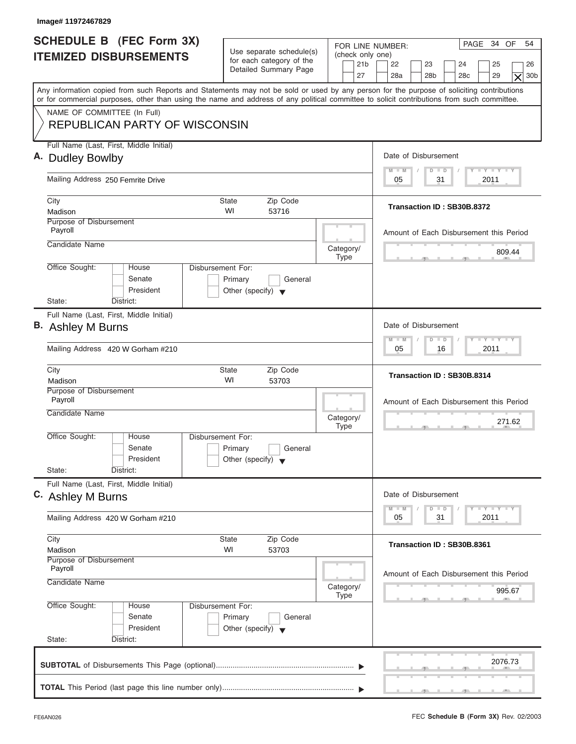| Image# 11972467829                                                                                                                                                                                                                                                                      |                                                                                 |                                                               |                                                                                                                                  |
|-----------------------------------------------------------------------------------------------------------------------------------------------------------------------------------------------------------------------------------------------------------------------------------------|---------------------------------------------------------------------------------|---------------------------------------------------------------|----------------------------------------------------------------------------------------------------------------------------------|
| <b>SCHEDULE B (FEC Form 3X)</b><br><b>ITEMIZED DISBURSEMENTS</b>                                                                                                                                                                                                                        | Use separate schedule(s)<br>for each category of the<br>Detailed Summary Page   | FOR LINE NUMBER:<br>(check only one)<br>21 <sub>b</sub><br>27 | PAGE 34 OF<br>54<br>22<br>23<br>24<br>25<br>26<br>28a<br>28 <sub>b</sub><br>29<br>30 <sub>b</sub><br>28 <sub>c</sub><br>$\times$ |
| Any information copied from such Reports and Statements may not be sold or used by any person for the purpose of soliciting contributions<br>or for commercial purposes, other than using the name and address of any political committee to solicit contributions from such committee. |                                                                                 |                                                               |                                                                                                                                  |
| NAME OF COMMITTEE (In Full)<br><b>REPUBLICAN PARTY OF WISCONSIN</b>                                                                                                                                                                                                                     |                                                                                 |                                                               |                                                                                                                                  |
| Full Name (Last, First, Middle Initial)<br>A. Dudley Bowlby                                                                                                                                                                                                                             |                                                                                 |                                                               | Date of Disbursement                                                                                                             |
| Mailing Address 250 Femrite Drive                                                                                                                                                                                                                                                       |                                                                                 |                                                               | $T - Y = T - Y = T - Y$<br>$M - M$<br>$D$ $D$<br>31<br>2011<br>05                                                                |
| City<br>Madison                                                                                                                                                                                                                                                                         | <b>State</b><br>Zip Code<br>WI<br>53716                                         |                                                               | Transaction ID: SB30B.8372                                                                                                       |
| Purpose of Disbursement<br>Payroll                                                                                                                                                                                                                                                      |                                                                                 |                                                               | Amount of Each Disbursement this Period                                                                                          |
| Candidate Name                                                                                                                                                                                                                                                                          |                                                                                 | Category/<br><b>Type</b>                                      | 809.44                                                                                                                           |
| Office Sought:<br>House<br>Senate<br>President<br>State:<br>District:                                                                                                                                                                                                                   | Disbursement For:<br>Primary<br>General<br>Other (specify) $\blacktriangledown$ |                                                               |                                                                                                                                  |
| Full Name (Last, First, Middle Initial)<br>B. Ashley M Burns                                                                                                                                                                                                                            |                                                                                 |                                                               | Date of Disbursement<br><b>LEYTEY LEY</b><br>$M - M$<br>$\Box$<br>$\overline{D}$                                                 |
| Mailing Address 420 W Gorham #210                                                                                                                                                                                                                                                       |                                                                                 |                                                               | 2011<br>05<br>16                                                                                                                 |
| City<br>Madison                                                                                                                                                                                                                                                                         | Zip Code<br><b>State</b><br>WI<br>53703                                         |                                                               | Transaction ID: SB30B.8314                                                                                                       |
| Purpose of Disbursement<br>Payroll<br>Candidate Name                                                                                                                                                                                                                                    |                                                                                 | Category/<br><b>Type</b>                                      | Amount of Each Disbursement this Period<br>271.62<br>__                                                                          |
| Office Sought:<br>House<br>Senate<br>President<br>State:<br>District:                                                                                                                                                                                                                   | Disbursement For:<br>Primary<br>General<br>Other (specify) $\blacktriangledown$ |                                                               |                                                                                                                                  |
| Full Name (Last, First, Middle Initial)<br>C. Ashley M Burns                                                                                                                                                                                                                            |                                                                                 |                                                               | Date of Disbursement<br>$T - Y$ $T - Y$<br>$M - M$<br>D<br>$\Box$                                                                |
| Mailing Address 420 W Gorham #210                                                                                                                                                                                                                                                       |                                                                                 |                                                               | 2011<br>05<br>31                                                                                                                 |
| City<br>Madison<br>Purpose of Disbursement                                                                                                                                                                                                                                              | Zip Code<br>State<br>WI<br>53703                                                |                                                               | Transaction ID: SB30B.8361                                                                                                       |
| Payroll<br>Candidate Name                                                                                                                                                                                                                                                               |                                                                                 | Category/<br>Type                                             | Amount of Each Disbursement this Period<br>995.67                                                                                |
| Office Sought:<br>House<br>Senate<br>President<br>State:<br>District:                                                                                                                                                                                                                   | Disbursement For:<br>Primary<br>General<br>Other (specify) $\blacktriangledown$ |                                                               |                                                                                                                                  |
|                                                                                                                                                                                                                                                                                         |                                                                                 |                                                               | 2076.73                                                                                                                          |
|                                                                                                                                                                                                                                                                                         |                                                                                 |                                                               |                                                                                                                                  |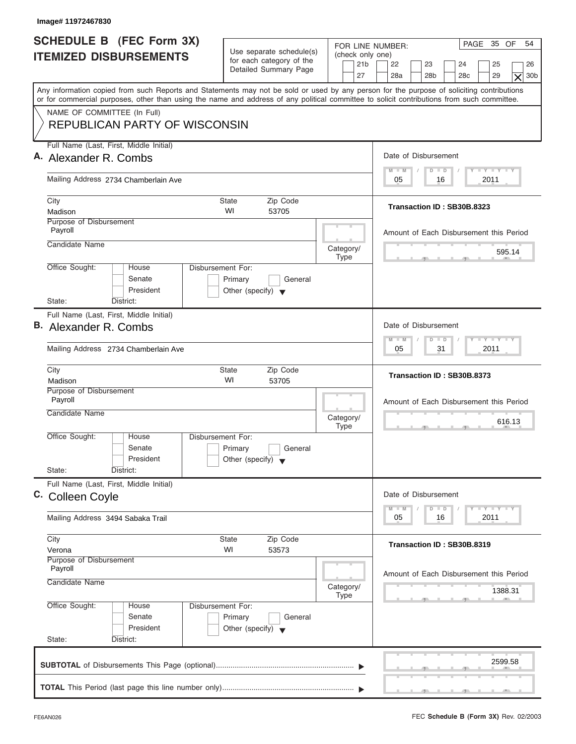| Image# 11972467830                                                                                                                                                                                                                                                                      |                                                                                 |                                                               |                                                                                                                                  |
|-----------------------------------------------------------------------------------------------------------------------------------------------------------------------------------------------------------------------------------------------------------------------------------------|---------------------------------------------------------------------------------|---------------------------------------------------------------|----------------------------------------------------------------------------------------------------------------------------------|
| <b>SCHEDULE B</b> (FEC Form 3X)<br><b>ITEMIZED DISBURSEMENTS</b>                                                                                                                                                                                                                        | Use separate schedule(s)<br>for each category of the<br>Detailed Summary Page   | FOR LINE NUMBER:<br>(check only one)<br>21 <sub>b</sub><br>27 | PAGE 35 OF<br>54<br>22<br>23<br>24<br>25<br>26<br>28a<br>28 <sub>b</sub><br>29<br>28 <sub>c</sub><br>30 <sub>b</sub><br>$\times$ |
| Any information copied from such Reports and Statements may not be sold or used by any person for the purpose of soliciting contributions<br>or for commercial purposes, other than using the name and address of any political committee to solicit contributions from such committee. |                                                                                 |                                                               |                                                                                                                                  |
| NAME OF COMMITTEE (In Full)<br><b>REPUBLICAN PARTY OF WISCONSIN</b>                                                                                                                                                                                                                     |                                                                                 |                                                               |                                                                                                                                  |
| Full Name (Last, First, Middle Initial)<br>A. Alexander R. Combs                                                                                                                                                                                                                        |                                                                                 |                                                               | Date of Disbursement                                                                                                             |
|                                                                                                                                                                                                                                                                                         |                                                                                 |                                                               | $T - Y = T - Y = T - Y$<br>$M - M$<br>$D$ $D$                                                                                    |
| Mailing Address 2734 Chamberlain Ave                                                                                                                                                                                                                                                    |                                                                                 |                                                               | 2011<br>05<br>16                                                                                                                 |
| City<br>Madison                                                                                                                                                                                                                                                                         | Zip Code<br>State<br>WI<br>53705                                                |                                                               | Transaction ID: SB30B.8323                                                                                                       |
| <b>Purpose of Disbursement</b><br>Payroll                                                                                                                                                                                                                                               |                                                                                 |                                                               | Amount of Each Disbursement this Period                                                                                          |
| Candidate Name                                                                                                                                                                                                                                                                          |                                                                                 | Category/<br><b>Type</b>                                      | 595.14                                                                                                                           |
| Office Sought:<br>House<br>Senate<br>President<br>State:<br>District:                                                                                                                                                                                                                   | Disbursement For:<br>Primary<br>General<br>Other (specify) $\blacktriangledown$ |                                                               |                                                                                                                                  |
| Full Name (Last, First, Middle Initial)                                                                                                                                                                                                                                                 |                                                                                 |                                                               |                                                                                                                                  |
| B. Alexander R. Combs                                                                                                                                                                                                                                                                   |                                                                                 |                                                               | Date of Disbursement                                                                                                             |
| Mailing Address 2734 Chamberlain Ave                                                                                                                                                                                                                                                    |                                                                                 |                                                               | <b>LY LY LY</b><br>$M - M$<br>$\Box$<br>$\overline{D}$<br>2011<br>05<br>31                                                       |
| City<br>Madison                                                                                                                                                                                                                                                                         | Zip Code<br><b>State</b><br>WI<br>53705                                         |                                                               | Transaction ID: SB30B.8373                                                                                                       |
| Purpose of Disbursement<br>Payroll                                                                                                                                                                                                                                                      |                                                                                 |                                                               | Amount of Each Disbursement this Period                                                                                          |
| Candidate Name                                                                                                                                                                                                                                                                          |                                                                                 | Category/<br><b>Type</b>                                      | 616.13<br>$-5$                                                                                                                   |
| Office Sought:<br>House<br>Senate<br>President<br>State:<br>District:                                                                                                                                                                                                                   | Disbursement For:<br>Primary<br>General<br>Other (specify) $\blacktriangledown$ |                                                               |                                                                                                                                  |
| Full Name (Last, First, Middle Initial)                                                                                                                                                                                                                                                 |                                                                                 |                                                               |                                                                                                                                  |
| C. Colleen Coyle                                                                                                                                                                                                                                                                        |                                                                                 |                                                               | Date of Disbursement                                                                                                             |
| Mailing Address 3494 Sabaka Trail                                                                                                                                                                                                                                                       |                                                                                 |                                                               | $T - Y$ $T - Y$ $T - Y$<br>$M - M$<br>$\Box$<br>D<br>2011<br>05<br>16                                                            |
| City<br>Verona                                                                                                                                                                                                                                                                          | Zip Code<br><b>State</b><br>WI<br>53573                                         |                                                               | Transaction ID: SB30B.8319                                                                                                       |
| Purpose of Disbursement<br>Payroll<br>Candidate Name                                                                                                                                                                                                                                    |                                                                                 | Category/                                                     | Amount of Each Disbursement this Period<br>1388.31                                                                               |
| Office Sought:<br>House<br>Senate<br>President<br>State:<br>District:                                                                                                                                                                                                                   | Disbursement For:<br>Primary<br>General<br>Other (specify) $\blacktriangledown$ | <b>Type</b>                                                   |                                                                                                                                  |
|                                                                                                                                                                                                                                                                                         |                                                                                 |                                                               | 2599.58                                                                                                                          |
|                                                                                                                                                                                                                                                                                         |                                                                                 |                                                               |                                                                                                                                  |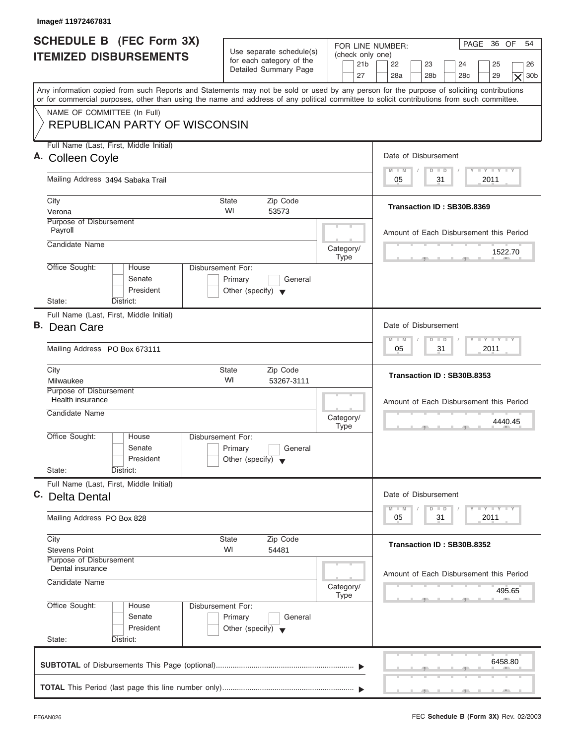| Image# 11972467831                                                                                                                                                                                                                                                                      |                                                                                 |                                                               |                                                                                                                                                                                                                                         |
|-----------------------------------------------------------------------------------------------------------------------------------------------------------------------------------------------------------------------------------------------------------------------------------------|---------------------------------------------------------------------------------|---------------------------------------------------------------|-----------------------------------------------------------------------------------------------------------------------------------------------------------------------------------------------------------------------------------------|
| <b>SCHEDULE B (FEC Form 3X)</b><br><b>ITEMIZED DISBURSEMENTS</b>                                                                                                                                                                                                                        | Use separate schedule(s)<br>for each category of the<br>Detailed Summary Page   | FOR LINE NUMBER:<br>(check only one)<br>21 <sub>b</sub><br>27 | PAGE 36 OF<br>54<br>22<br>23<br>24<br>25<br>26<br>28a<br>28 <sub>b</sub><br>29<br>30 <sub>b</sub><br>28 <sub>c</sub><br>$\times$                                                                                                        |
| Any information copied from such Reports and Statements may not be sold or used by any person for the purpose of soliciting contributions<br>or for commercial purposes, other than using the name and address of any political committee to solicit contributions from such committee. |                                                                                 |                                                               |                                                                                                                                                                                                                                         |
| NAME OF COMMITTEE (In Full)<br><b>REPUBLICAN PARTY OF WISCONSIN</b>                                                                                                                                                                                                                     |                                                                                 |                                                               |                                                                                                                                                                                                                                         |
| Full Name (Last, First, Middle Initial)<br>A. Colleen Coyle                                                                                                                                                                                                                             |                                                                                 |                                                               | Date of Disbursement                                                                                                                                                                                                                    |
| Mailing Address 3494 Sabaka Trail                                                                                                                                                                                                                                                       |                                                                                 |                                                               | $T - Y = T - Y = T - Y$<br>$D$ $D$<br>$M - M$<br>31<br>2011<br>05                                                                                                                                                                       |
| City<br>Verona                                                                                                                                                                                                                                                                          | State<br>Zip Code<br>WI<br>53573                                                |                                                               | Transaction ID: SB30B.8369                                                                                                                                                                                                              |
| Purpose of Disbursement<br>Payroll                                                                                                                                                                                                                                                      |                                                                                 |                                                               | Amount of Each Disbursement this Period                                                                                                                                                                                                 |
| Candidate Name                                                                                                                                                                                                                                                                          |                                                                                 | Category/<br><b>Type</b>                                      | 1522.70                                                                                                                                                                                                                                 |
| Office Sought:<br>House<br>Senate<br>President                                                                                                                                                                                                                                          | Disbursement For:<br>Primary<br>General<br>Other (specify) $\blacktriangledown$ |                                                               |                                                                                                                                                                                                                                         |
| State:<br>District:<br>Full Name (Last, First, Middle Initial)<br><b>B.</b> Dean Care                                                                                                                                                                                                   |                                                                                 |                                                               | Date of Disbursement                                                                                                                                                                                                                    |
| Mailing Address PO Box 673111                                                                                                                                                                                                                                                           |                                                                                 |                                                               | <b>LEYTEY LEY</b><br>$M - M$<br>$\Box$<br>$\overline{D}$<br>2011<br>05<br>31                                                                                                                                                            |
| City<br>Milwaukee                                                                                                                                                                                                                                                                       | <b>State</b><br>Zip Code<br>WI<br>53267-3111                                    |                                                               | Transaction ID: SB30B.8353                                                                                                                                                                                                              |
| Purpose of Disbursement<br>Health insurance<br>Candidate Name                                                                                                                                                                                                                           |                                                                                 | Category/<br><b>Type</b>                                      | Amount of Each Disbursement this Period<br>4440.45<br>__                                                                                                                                                                                |
| Office Sought:<br>House<br>Senate<br>President<br>State:<br>District:                                                                                                                                                                                                                   | Disbursement For:<br>Primary<br>General<br>Other (specify) $\blacktriangledown$ |                                                               |                                                                                                                                                                                                                                         |
| Full Name (Last, First, Middle Initial)<br>C.<br><b>Delta Dental</b>                                                                                                                                                                                                                    |                                                                                 |                                                               | Date of Disbursement<br>$\frac{1}{2}$ $\frac{1}{2}$ $\frac{1}{2}$ $\frac{1}{2}$ $\frac{1}{2}$ $\frac{1}{2}$ $\frac{1}{2}$ $\frac{1}{2}$ $\frac{1}{2}$ $\frac{1}{2}$ $\frac{1}{2}$ $\frac{1}{2}$ $\frac{1}{2}$<br>$M - M$<br>D<br>$\Box$ |
| Mailing Address PO Box 828                                                                                                                                                                                                                                                              |                                                                                 |                                                               | 2011<br>05<br>31                                                                                                                                                                                                                        |
| City<br><b>Stevens Point</b>                                                                                                                                                                                                                                                            | Zip Code<br>State<br>WI<br>54481                                                |                                                               | Transaction ID: SB30B.8352                                                                                                                                                                                                              |
| Purpose of Disbursement<br>Dental insurance<br>Candidate Name                                                                                                                                                                                                                           |                                                                                 | Category/                                                     | Amount of Each Disbursement this Period<br>495.65                                                                                                                                                                                       |
| Office Sought:<br>House<br>Senate<br>President<br>State:<br>District:                                                                                                                                                                                                                   | Disbursement For:<br>Primary<br>General<br>Other (specify) $\blacktriangledown$ | Type                                                          |                                                                                                                                                                                                                                         |
|                                                                                                                                                                                                                                                                                         |                                                                                 |                                                               | 6458.80                                                                                                                                                                                                                                 |
|                                                                                                                                                                                                                                                                                         |                                                                                 |                                                               |                                                                                                                                                                                                                                         |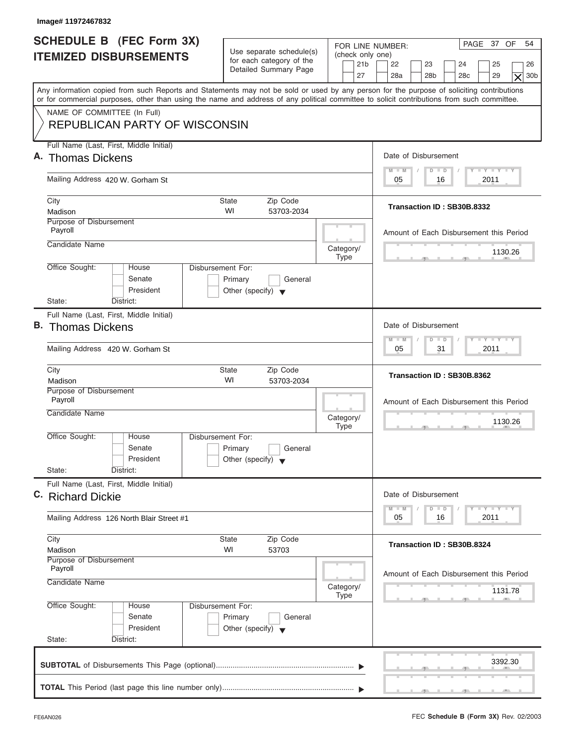| Image# 11972467832                                                                                                                         |                                                                                        |                                                                                                                                                                                       |
|--------------------------------------------------------------------------------------------------------------------------------------------|----------------------------------------------------------------------------------------|---------------------------------------------------------------------------------------------------------------------------------------------------------------------------------------|
| <b>SCHEDULE B (FEC Form 3X)</b><br><b>ITEMIZED DISBURSEMENTS</b>                                                                           | Use separate schedule(s)<br>for each category of the<br>Detailed Summary Page          | PAGE 37 OF<br>54<br>FOR LINE NUMBER:<br>(check only one)<br>21 <sub>b</sub><br>22<br>23<br>24<br>25<br>26<br>28a<br>28 <sub>b</sub><br>28 <sub>c</sub><br>29<br>27<br>30 <sub>b</sub> |
| or for commercial purposes, other than using the name and address of any political committee to solicit contributions from such committee. |                                                                                        | $\times$<br>Any information copied from such Reports and Statements may not be sold or used by any person for the purpose of soliciting contributions                                 |
| NAME OF COMMITTEE (In Full)<br><b>REPUBLICAN PARTY OF WISCONSIN</b>                                                                        |                                                                                        |                                                                                                                                                                                       |
| Full Name (Last, First, Middle Initial)                                                                                                    |                                                                                        |                                                                                                                                                                                       |
| A. Thomas Dickens                                                                                                                          |                                                                                        | Date of Disbursement                                                                                                                                                                  |
| Mailing Address 420 W. Gorham St                                                                                                           |                                                                                        | $T - Y = T - Y = T - Y$<br>$M - M$<br>$D$ $D$<br>2011<br>05<br>16                                                                                                                     |
| City<br>Madison                                                                                                                            | <b>State</b><br>Zip Code<br>WI<br>53703-2034                                           | Transaction ID: SB30B.8332                                                                                                                                                            |
| Purpose of Disbursement<br>Payroll                                                                                                         |                                                                                        | Amount of Each Disbursement this Period                                                                                                                                               |
| Candidate Name                                                                                                                             | Category/<br><b>Type</b>                                                               | 1130.26                                                                                                                                                                               |
| Office Sought:<br>House<br>Senate<br>President                                                                                             | <b>Disbursement For:</b><br>Primary<br>General<br>Other (specify) $\blacktriangledown$ |                                                                                                                                                                                       |
| State:<br>District:<br>Full Name (Last, First, Middle Initial)                                                                             |                                                                                        |                                                                                                                                                                                       |
| <b>B.</b> Thomas Dickens                                                                                                                   |                                                                                        | Date of Disbursement                                                                                                                                                                  |
| Mailing Address 420 W. Gorham St                                                                                                           |                                                                                        | $-1 - Y - 1 - Y - 1 - Y$<br>$M - M$<br>$D$ $D$<br>2011<br>05<br>31                                                                                                                    |
| City<br>Madison                                                                                                                            | Zip Code<br><b>State</b><br>WI<br>53703-2034                                           | Transaction ID: SB30B.8362                                                                                                                                                            |
| Purpose of Disbursement<br>Payroll<br>Candidate Name                                                                                       | Category/<br><b>Type</b>                                                               | Amount of Each Disbursement this Period<br>1130.26<br>$\sim$                                                                                                                          |
| Office Sought:<br>House<br>Senate<br>President<br>State:<br>District:                                                                      | Disbursement For:<br>Primary<br>General<br>Other (specify) $\blacktriangledown$        |                                                                                                                                                                                       |
| Full Name (Last, First, Middle Initial)                                                                                                    |                                                                                        |                                                                                                                                                                                       |
| C. Richard Dickie                                                                                                                          |                                                                                        | Date of Disbursement<br>$Y - Y$<br>$M - M$<br>$\overline{D}$<br>$\Box$                                                                                                                |
| Mailing Address 126 North Blair Street #1                                                                                                  |                                                                                        | 2011<br>05<br>16                                                                                                                                                                      |
| City<br>Madison                                                                                                                            | Zip Code<br><b>State</b><br>WI<br>53703                                                | Transaction ID: SB30B.8324                                                                                                                                                            |
| Purpose of Disbursement<br>Payroll<br>Candidate Name                                                                                       |                                                                                        | Amount of Each Disbursement this Period                                                                                                                                               |
|                                                                                                                                            | Category/<br><b>Type</b>                                                               | 1131.78                                                                                                                                                                               |
| Office Sought:<br>House<br>Senate<br>President                                                                                             | Disbursement For:<br>Primary<br>General<br>Other (specify) $\blacktriangledown$        |                                                                                                                                                                                       |
|                                                                                                                                            |                                                                                        |                                                                                                                                                                                       |
| State:<br>District:                                                                                                                        |                                                                                        | 3392.30                                                                                                                                                                               |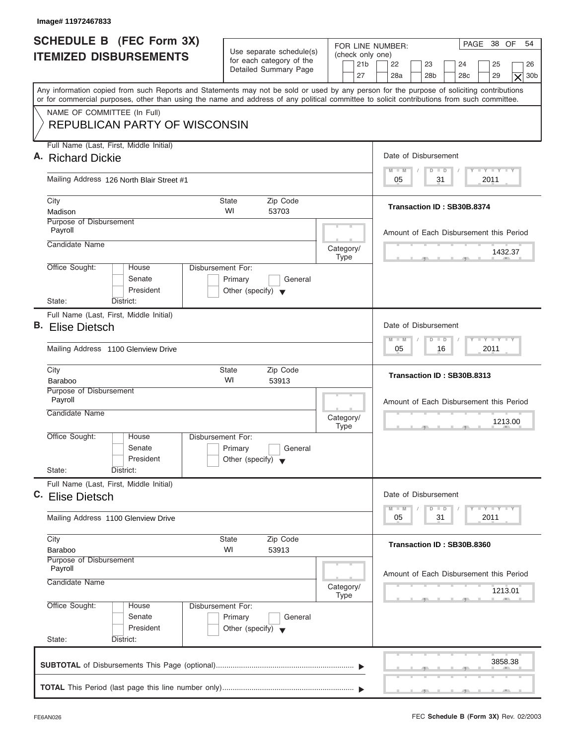| <b>SCHEDULE B (FEC Form 3X)</b><br><b>ITEMIZED DISBURSEMENTS</b>      | Use separate schedule(s)<br>for each category of the<br>Detailed Summary Page           | PAGE 38 OF<br>54<br>FOR LINE NUMBER:<br>(check only one)<br>21 <sub>b</sub><br>22<br>23<br>24<br>25<br>26<br>27<br>28a<br>28 <sub>b</sub><br>29<br>30 <sub>b</sub><br>28 <sub>c</sub><br>$\times$                                                                                       |
|-----------------------------------------------------------------------|-----------------------------------------------------------------------------------------|-----------------------------------------------------------------------------------------------------------------------------------------------------------------------------------------------------------------------------------------------------------------------------------------|
|                                                                       |                                                                                         | Any information copied from such Reports and Statements may not be sold or used by any person for the purpose of soliciting contributions<br>or for commercial purposes, other than using the name and address of any political committee to solicit contributions from such committee. |
| NAME OF COMMITTEE (In Full)<br><b>REPUBLICAN PARTY OF WISCONSIN</b>   |                                                                                         |                                                                                                                                                                                                                                                                                         |
| Full Name (Last, First, Middle Initial)<br>A. Richard Dickie          |                                                                                         | Date of Disbursement                                                                                                                                                                                                                                                                    |
| Mailing Address 126 North Blair Street #1                             |                                                                                         | $T - Y = T - Y = T - Y$<br>$M - M$<br>$D$ $D$<br>31<br>2011<br>05                                                                                                                                                                                                                       |
|                                                                       |                                                                                         |                                                                                                                                                                                                                                                                                         |
| City<br>Madison                                                       | <b>State</b><br>Zip Code<br>WI<br>53703                                                 | Transaction ID: SB30B.8374                                                                                                                                                                                                                                                              |
| Purpose of Disbursement<br>Payroll                                    |                                                                                         | Amount of Each Disbursement this Period                                                                                                                                                                                                                                                 |
| Candidate Name                                                        | Category/<br><b>Type</b>                                                                | 1432.37                                                                                                                                                                                                                                                                                 |
| Office Sought:<br>House<br>Senate<br>President                        | Disbursement For:<br>Primary<br>General<br>Other (specify) $\blacktriangledown$         |                                                                                                                                                                                                                                                                                         |
| State:<br>District:<br>Full Name (Last, First, Middle Initial)        |                                                                                         |                                                                                                                                                                                                                                                                                         |
| <b>B.</b> Elise Dietsch                                               |                                                                                         | Date of Disbursement                                                                                                                                                                                                                                                                    |
| Mailing Address 1100 Glenview Drive                                   |                                                                                         | <b>LEYTEY LEY</b><br>$M - M$<br>$D$ $D$<br>2011<br>05<br>16                                                                                                                                                                                                                             |
| City<br>Baraboo                                                       | Zip Code<br><b>State</b><br>WI<br>53913                                                 | Transaction ID: SB30B.8313                                                                                                                                                                                                                                                              |
| Purpose of Disbursement<br>Payroll                                    |                                                                                         | Amount of Each Disbursement this Period                                                                                                                                                                                                                                                 |
| Candidate Name                                                        | Category/<br><b>Type</b>                                                                | 1213.00<br>$\sim$                                                                                                                                                                                                                                                                       |
| Office Sought:<br>House<br>Senate<br>President<br>State:<br>District: | Disbursement For:<br>Primary<br>General<br>Other (specify) $\blacktriangledown$         |                                                                                                                                                                                                                                                                                         |
| Full Name (Last, First, Middle Initial)                               |                                                                                         |                                                                                                                                                                                                                                                                                         |
| C. Elise Dietsch                                                      |                                                                                         | Date of Disbursement                                                                                                                                                                                                                                                                    |
| Mailing Address 1100 Glenview Drive                                   |                                                                                         | $\frac{1}{2}$ $\frac{1}{2}$ $\frac{1}{2}$ $\frac{1}{2}$ $\frac{1}{2}$ $\frac{1}{2}$ $\frac{1}{2}$ $\frac{1}{2}$ $\frac{1}{2}$ $\frac{1}{2}$ $\frac{1}{2}$ $\frac{1}{2}$ $\frac{1}{2}$<br>$M - M$<br>D<br>$\Box$<br>2011<br>05<br>31                                                     |
| City<br><b>Baraboo</b>                                                | Zip Code<br><b>State</b><br>WI<br>53913                                                 | Transaction ID: SB30B.8360                                                                                                                                                                                                                                                              |
| Purpose of Disbursement<br>Payroll<br>Candidate Name                  | Category/                                                                               | Amount of Each Disbursement this Period<br>1213.01                                                                                                                                                                                                                                      |
| Office Sought:<br>House<br>Senate<br>President<br>State:<br>District: | Type<br>Disbursement For:<br>Primary<br>General<br>Other (specify) $\blacktriangledown$ |                                                                                                                                                                                                                                                                                         |
|                                                                       |                                                                                         |                                                                                                                                                                                                                                                                                         |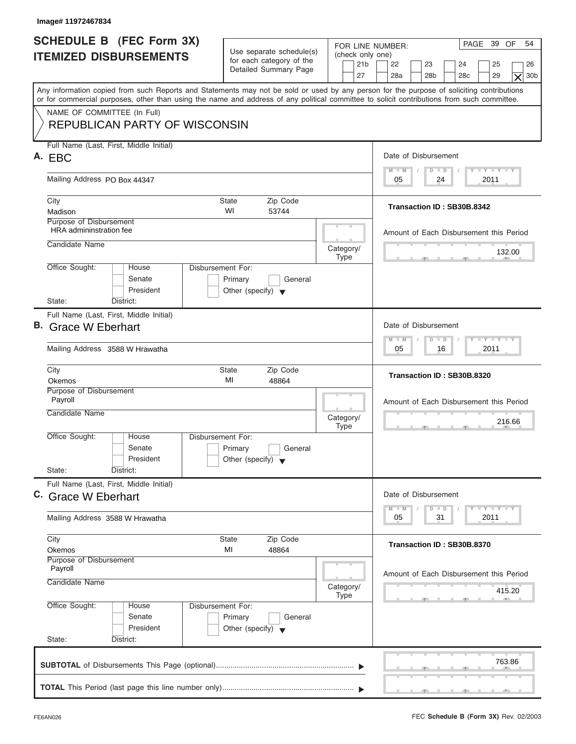| Image# 11972467834                                                                                                                                                                                                                                                                      |                                                                                 |                                                               |                                                                                                                                                                                                                                         |
|-----------------------------------------------------------------------------------------------------------------------------------------------------------------------------------------------------------------------------------------------------------------------------------------|---------------------------------------------------------------------------------|---------------------------------------------------------------|-----------------------------------------------------------------------------------------------------------------------------------------------------------------------------------------------------------------------------------------|
| <b>SCHEDULE B (FEC Form 3X)</b><br><b>ITEMIZED DISBURSEMENTS</b>                                                                                                                                                                                                                        | Use separate schedule(s)<br>for each category of the<br>Detailed Summary Page   | FOR LINE NUMBER:<br>(check only one)<br>21 <sub>b</sub><br>27 | PAGE 39 OF<br>54<br>22<br>23<br>24<br>25<br>26<br>28a<br>28 <sub>b</sub><br>29<br>30b<br>28 <sub>c</sub><br>$\times$                                                                                                                    |
| Any information copied from such Reports and Statements may not be sold or used by any person for the purpose of soliciting contributions<br>or for commercial purposes, other than using the name and address of any political committee to solicit contributions from such committee. |                                                                                 |                                                               |                                                                                                                                                                                                                                         |
| NAME OF COMMITTEE (In Full)<br><b>REPUBLICAN PARTY OF WISCONSIN</b>                                                                                                                                                                                                                     |                                                                                 |                                                               |                                                                                                                                                                                                                                         |
| Full Name (Last, First, Middle Initial)<br>A. EBC                                                                                                                                                                                                                                       |                                                                                 |                                                               | Date of Disbursement                                                                                                                                                                                                                    |
| Mailing Address PO Box 44347                                                                                                                                                                                                                                                            |                                                                                 |                                                               | $T - Y = T - Y = T - Y$<br>$M - M$<br>$D$ $D$<br>24<br>2011<br>05                                                                                                                                                                       |
| City<br>Madison                                                                                                                                                                                                                                                                         | <b>State</b><br>Zip Code<br>WI<br>53744                                         |                                                               | Transaction ID: SB30B.8342                                                                                                                                                                                                              |
| Purpose of Disbursement<br>HRA admininstration fee                                                                                                                                                                                                                                      |                                                                                 |                                                               | Amount of Each Disbursement this Period                                                                                                                                                                                                 |
| Candidate Name                                                                                                                                                                                                                                                                          |                                                                                 | Category/<br><b>Type</b>                                      | 132.00                                                                                                                                                                                                                                  |
| Office Sought:<br>House<br>Senate<br>President<br>State:<br>District:                                                                                                                                                                                                                   | Disbursement For:<br>Primary<br>General<br>Other (specify) $\blacktriangledown$ |                                                               |                                                                                                                                                                                                                                         |
| Full Name (Last, First, Middle Initial)<br>B. Grace W Eberhart                                                                                                                                                                                                                          |                                                                                 |                                                               | Date of Disbursement                                                                                                                                                                                                                    |
| Mailing Address 3588 W Hrawatha                                                                                                                                                                                                                                                         |                                                                                 |                                                               | <b>LEYTEY LEY</b><br>$M - M$<br>$D$ $D$<br>2011<br>05<br>16                                                                                                                                                                             |
| City<br>Okemos                                                                                                                                                                                                                                                                          | <b>State</b><br>Zip Code<br>MI<br>48864                                         |                                                               | Transaction ID: SB30B.8320                                                                                                                                                                                                              |
| Purpose of Disbursement<br>Payroll<br>Candidate Name                                                                                                                                                                                                                                    |                                                                                 | Category/<br><b>Type</b>                                      | Amount of Each Disbursement this Period<br>216.66<br>- -                                                                                                                                                                                |
| Office Sought:<br>House<br>Senate<br>President<br>State:<br>District:                                                                                                                                                                                                                   | Disbursement For:<br>Primary<br>General<br>Other (specify) $\blacktriangledown$ |                                                               |                                                                                                                                                                                                                                         |
| Full Name (Last, First, Middle Initial)<br>C. Grace W Eberhart                                                                                                                                                                                                                          |                                                                                 |                                                               | Date of Disbursement<br>$\frac{1}{2}$ $\frac{1}{2}$ $\frac{1}{2}$ $\frac{1}{2}$ $\frac{1}{2}$ $\frac{1}{2}$ $\frac{1}{2}$ $\frac{1}{2}$ $\frac{1}{2}$ $\frac{1}{2}$ $\frac{1}{2}$ $\frac{1}{2}$ $\frac{1}{2}$<br>$M - M$<br>D<br>$\Box$ |
| Mailing Address 3588 W Hrawatha                                                                                                                                                                                                                                                         |                                                                                 |                                                               | 2011<br>05<br>31                                                                                                                                                                                                                        |
| City<br>Okemos                                                                                                                                                                                                                                                                          | Zip Code<br><b>State</b><br>MI<br>48864                                         |                                                               | Transaction ID: SB30B.8370                                                                                                                                                                                                              |
| Purpose of Disbursement<br>Payroll<br>Candidate Name                                                                                                                                                                                                                                    |                                                                                 | Category/<br>Type                                             | Amount of Each Disbursement this Period<br>415.20                                                                                                                                                                                       |
| Office Sought:<br>House<br>Senate<br>President<br>State:<br>District:                                                                                                                                                                                                                   | Disbursement For:<br>Primary<br>General<br>Other (specify) $\blacktriangledown$ |                                                               |                                                                                                                                                                                                                                         |
|                                                                                                                                                                                                                                                                                         |                                                                                 |                                                               | 763.86                                                                                                                                                                                                                                  |
|                                                                                                                                                                                                                                                                                         |                                                                                 |                                                               |                                                                                                                                                                                                                                         |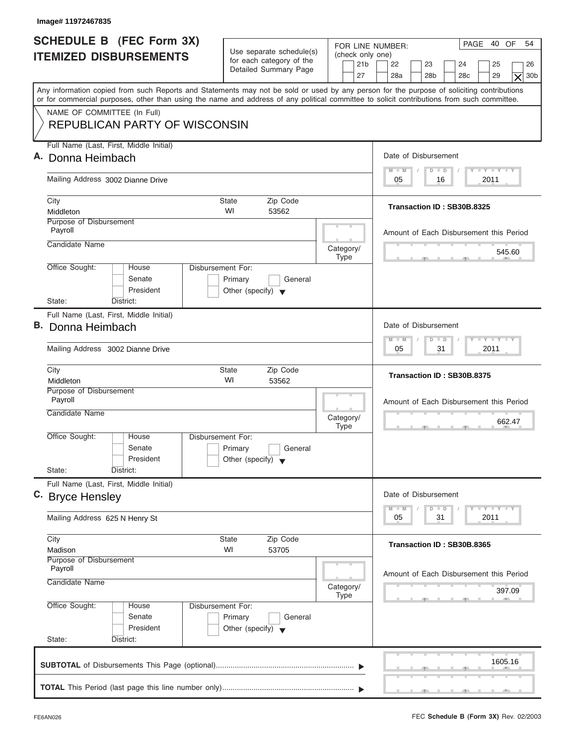| Image# 11972467835                                                                                                                                                                                                                                                                      |                                                                                 |                                                               |                                                                                                                      |
|-----------------------------------------------------------------------------------------------------------------------------------------------------------------------------------------------------------------------------------------------------------------------------------------|---------------------------------------------------------------------------------|---------------------------------------------------------------|----------------------------------------------------------------------------------------------------------------------|
| <b>SCHEDULE B (FEC Form 3X)</b><br><b>ITEMIZED DISBURSEMENTS</b>                                                                                                                                                                                                                        | Use separate schedule(s)<br>for each category of the<br>Detailed Summary Page   | FOR LINE NUMBER:<br>(check only one)<br>21 <sub>b</sub><br>27 | PAGE 40 OF<br>54<br>22<br>23<br>24<br>25<br>26<br>28a<br>28 <sub>b</sub><br>29<br>30b<br>28 <sub>c</sub><br>$\times$ |
| Any information copied from such Reports and Statements may not be sold or used by any person for the purpose of soliciting contributions<br>or for commercial purposes, other than using the name and address of any political committee to solicit contributions from such committee. |                                                                                 |                                                               |                                                                                                                      |
| NAME OF COMMITTEE (In Full)<br><b>REPUBLICAN PARTY OF WISCONSIN</b>                                                                                                                                                                                                                     |                                                                                 |                                                               |                                                                                                                      |
| Full Name (Last, First, Middle Initial)<br>A. Donna Heimbach                                                                                                                                                                                                                            |                                                                                 |                                                               | Date of Disbursement                                                                                                 |
| Mailing Address 3002 Dianne Drive                                                                                                                                                                                                                                                       |                                                                                 |                                                               | $T - Y = T - Y = T - Y$<br>$M - M$<br>$D$ $D$<br>2011<br>05<br>16                                                    |
|                                                                                                                                                                                                                                                                                         |                                                                                 |                                                               |                                                                                                                      |
| City<br>Middleton                                                                                                                                                                                                                                                                       | <b>State</b><br>Zip Code<br>WI<br>53562                                         |                                                               | Transaction ID: SB30B.8325                                                                                           |
| Purpose of Disbursement<br>Payroll                                                                                                                                                                                                                                                      |                                                                                 |                                                               | Amount of Each Disbursement this Period                                                                              |
| Candidate Name                                                                                                                                                                                                                                                                          |                                                                                 | Category/<br><b>Type</b>                                      | 545.60                                                                                                               |
| Office Sought:<br>House<br>Senate<br>President                                                                                                                                                                                                                                          | Disbursement For:<br>Primary<br>General<br>Other (specify) $\blacktriangledown$ |                                                               |                                                                                                                      |
| State:<br>District:<br>Full Name (Last, First, Middle Initial)                                                                                                                                                                                                                          |                                                                                 |                                                               |                                                                                                                      |
| B. Donna Heimbach                                                                                                                                                                                                                                                                       |                                                                                 |                                                               | Date of Disbursement                                                                                                 |
| Mailing Address 3002 Dianne Drive                                                                                                                                                                                                                                                       |                                                                                 |                                                               | <b>LEYTEY LEY</b><br>$M - M$<br>$D$ $D$<br>2011<br>05<br>31                                                          |
| City<br>Middleton                                                                                                                                                                                                                                                                       | State<br>Zip Code<br>WI<br>53562                                                |                                                               | Transaction ID: SB30B.8375                                                                                           |
| Purpose of Disbursement<br>Payroll<br>Candidate Name                                                                                                                                                                                                                                    |                                                                                 | Category/<br><b>Type</b>                                      | Amount of Each Disbursement this Period<br>662.47<br>. .                                                             |
| Office Sought:<br>House<br>Senate<br>President<br>State:<br>District:                                                                                                                                                                                                                   | Disbursement For:<br>Primary<br>General<br>Other (specify) $\blacktriangledown$ |                                                               |                                                                                                                      |
| Full Name (Last, First, Middle Initial)<br>C. Bryce Hensley                                                                                                                                                                                                                             |                                                                                 |                                                               | Date of Disbursement                                                                                                 |
| Mailing Address 625 N Henry St                                                                                                                                                                                                                                                          |                                                                                 |                                                               | $T - Y$ $T - Y$<br>$M - M$<br>D<br>$\Box$<br>2011<br>05<br>31                                                        |
| City<br>Madison                                                                                                                                                                                                                                                                         | Zip Code<br>State<br>WI<br>53705                                                |                                                               | Transaction ID: SB30B.8365                                                                                           |
| Purpose of Disbursement<br>Payroll<br>Candidate Name                                                                                                                                                                                                                                    |                                                                                 | Category/                                                     | Amount of Each Disbursement this Period                                                                              |
| Office Sought:<br>House                                                                                                                                                                                                                                                                 | Disbursement For:                                                               | <b>Type</b>                                                   | 397.09                                                                                                               |
| Senate<br>President                                                                                                                                                                                                                                                                     | Primary<br>General<br>Other (specify) $\blacktriangledown$                      |                                                               |                                                                                                                      |
| State:<br>District:                                                                                                                                                                                                                                                                     |                                                                                 |                                                               |                                                                                                                      |
|                                                                                                                                                                                                                                                                                         |                                                                                 |                                                               | 1605.16                                                                                                              |
|                                                                                                                                                                                                                                                                                         |                                                                                 |                                                               |                                                                                                                      |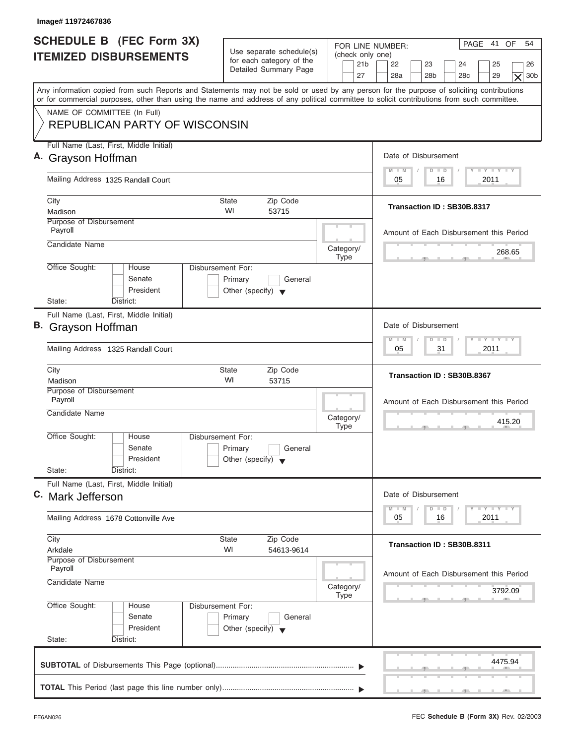| Image# 11972467836                                                                                                                                                                                                                                                                      |                                                                                        |                                                                                                                                                                                                   |
|-----------------------------------------------------------------------------------------------------------------------------------------------------------------------------------------------------------------------------------------------------------------------------------------|----------------------------------------------------------------------------------------|---------------------------------------------------------------------------------------------------------------------------------------------------------------------------------------------------|
| <b>SCHEDULE B (FEC Form 3X)</b><br><b>ITEMIZED DISBURSEMENTS</b>                                                                                                                                                                                                                        | Use separate schedule(s)<br>for each category of the<br>Detailed Summary Page          | PAGE 41 OF<br>54<br>FOR LINE NUMBER:<br>(check only one)<br>21 <sub>b</sub><br>22<br>23<br>24<br>25<br>26<br>27<br>28a<br>28 <sub>b</sub><br>28 <sub>c</sub><br>29<br>30 <sub>b</sub><br>$\times$ |
| Any information copied from such Reports and Statements may not be sold or used by any person for the purpose of soliciting contributions<br>or for commercial purposes, other than using the name and address of any political committee to solicit contributions from such committee. |                                                                                        |                                                                                                                                                                                                   |
| NAME OF COMMITTEE (In Full)<br><b>REPUBLICAN PARTY OF WISCONSIN</b>                                                                                                                                                                                                                     |                                                                                        |                                                                                                                                                                                                   |
| Full Name (Last, First, Middle Initial)<br>A. Grayson Hoffman                                                                                                                                                                                                                           |                                                                                        | Date of Disbursement                                                                                                                                                                              |
| Mailing Address 1325 Randall Court                                                                                                                                                                                                                                                      |                                                                                        | $T - Y = T - Y = T - Y$<br>$M - M$<br>$D$ $D$<br>2011<br>05<br>16                                                                                                                                 |
| City<br>Madison                                                                                                                                                                                                                                                                         | Zip Code<br>State<br>WI<br>53715                                                       | Transaction ID: SB30B.8317                                                                                                                                                                        |
| <b>Purpose of Disbursement</b><br>Payroll                                                                                                                                                                                                                                               |                                                                                        | Amount of Each Disbursement this Period                                                                                                                                                           |
| Candidate Name                                                                                                                                                                                                                                                                          | Category/<br><b>Type</b>                                                               | 268.65                                                                                                                                                                                            |
| Office Sought:<br>House<br>Senate<br>President<br>State:<br>District:                                                                                                                                                                                                                   | <b>Disbursement For:</b><br>Primary<br>General<br>Other (specify) $\blacktriangledown$ |                                                                                                                                                                                                   |
| Full Name (Last, First, Middle Initial)<br>B. Grayson Hoffman                                                                                                                                                                                                                           |                                                                                        | Date of Disbursement                                                                                                                                                                              |
| Mailing Address 1325 Randall Court                                                                                                                                                                                                                                                      |                                                                                        | $-1 - Y - 1 - Y - 1 - Y$<br>$M - M$<br>$\overline{D}$<br>$\Box$<br>2011<br>05<br>31                                                                                                               |
| City<br>Madison                                                                                                                                                                                                                                                                         | Zip Code<br><b>State</b><br>WI<br>53715                                                | Transaction ID: SB30B.8367                                                                                                                                                                        |
| Purpose of Disbursement<br>Payroll<br>Candidate Name                                                                                                                                                                                                                                    | Category/<br><b>Type</b>                                                               | Amount of Each Disbursement this Period<br>415.20                                                                                                                                                 |
| Office Sought:<br>House<br>Senate<br>President<br>State:<br>District:                                                                                                                                                                                                                   | Disbursement For:<br>Primary<br>General<br>Other (specify) $\blacktriangledown$        | __                                                                                                                                                                                                |
| Full Name (Last, First, Middle Initial)<br>C. Mark Jefferson                                                                                                                                                                                                                            |                                                                                        | Date of Disbursement                                                                                                                                                                              |
| Mailing Address 1678 Cottonville Ave                                                                                                                                                                                                                                                    |                                                                                        | $T - Y$ $T - Y$ $T - Y$<br>$M - M$<br>D<br>$\Box$<br>2011<br>05<br>16                                                                                                                             |
| City<br>Arkdale                                                                                                                                                                                                                                                                         | Zip Code<br><b>State</b><br>WI<br>54613-9614                                           | Transaction ID: SB30B.8311                                                                                                                                                                        |
| Purpose of Disbursement<br>Payroll<br>Candidate Name                                                                                                                                                                                                                                    | Category/<br><b>Type</b>                                                               | Amount of Each Disbursement this Period<br>3792.09                                                                                                                                                |
| Office Sought:<br>House<br>Senate<br>President<br>State:<br>District:                                                                                                                                                                                                                   | Disbursement For:<br>Primary<br>General<br>Other (specify) $\blacktriangledown$        |                                                                                                                                                                                                   |
|                                                                                                                                                                                                                                                                                         |                                                                                        | 4475.94                                                                                                                                                                                           |
|                                                                                                                                                                                                                                                                                         |                                                                                        |                                                                                                                                                                                                   |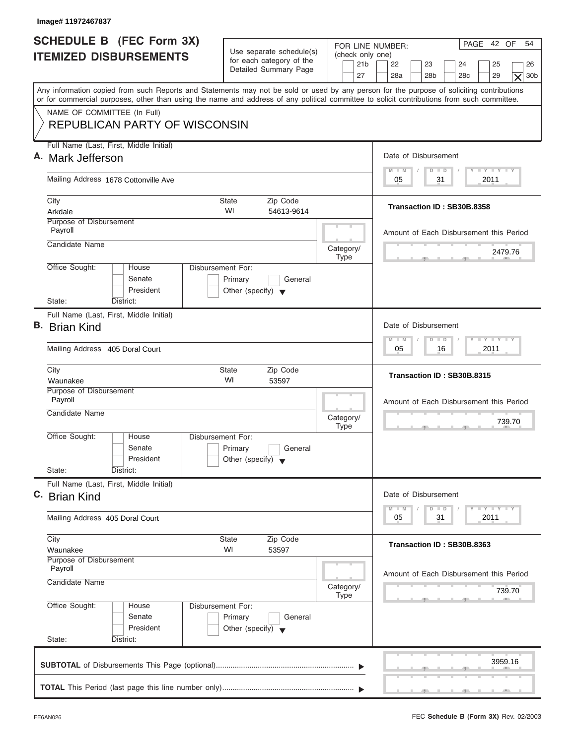| Image# 11972467837                                                                                                                                                                                                                                                                      |                                                                                 |                                                               |                                                                                                                                                                                                                                     |
|-----------------------------------------------------------------------------------------------------------------------------------------------------------------------------------------------------------------------------------------------------------------------------------------|---------------------------------------------------------------------------------|---------------------------------------------------------------|-------------------------------------------------------------------------------------------------------------------------------------------------------------------------------------------------------------------------------------|
| <b>SCHEDULE B (FEC Form 3X)</b><br><b>ITEMIZED DISBURSEMENTS</b>                                                                                                                                                                                                                        | Use separate schedule(s)<br>for each category of the<br>Detailed Summary Page   | FOR LINE NUMBER:<br>(check only one)<br>21 <sub>b</sub><br>27 | PAGE 42 OF<br>54<br>22<br>23<br>24<br>25<br>26<br>28a<br>28 <sub>b</sub><br>29<br>30 <sub>b</sub><br>28 <sub>c</sub><br>$\times$                                                                                                    |
| Any information copied from such Reports and Statements may not be sold or used by any person for the purpose of soliciting contributions<br>or for commercial purposes, other than using the name and address of any political committee to solicit contributions from such committee. |                                                                                 |                                                               |                                                                                                                                                                                                                                     |
| NAME OF COMMITTEE (In Full)<br><b>REPUBLICAN PARTY OF WISCONSIN</b>                                                                                                                                                                                                                     |                                                                                 |                                                               |                                                                                                                                                                                                                                     |
| Full Name (Last, First, Middle Initial)                                                                                                                                                                                                                                                 |                                                                                 |                                                               |                                                                                                                                                                                                                                     |
| A. Mark Jefferson                                                                                                                                                                                                                                                                       |                                                                                 |                                                               | Date of Disbursement<br>$T - Y = T - Y = T - Y$<br>$D$ $D$<br>$M - M$                                                                                                                                                               |
| Mailing Address 1678 Cottonville Ave                                                                                                                                                                                                                                                    |                                                                                 |                                                               | 31<br>2011<br>05                                                                                                                                                                                                                    |
| City<br>Arkdale                                                                                                                                                                                                                                                                         | <b>State</b><br>Zip Code<br>WI<br>54613-9614                                    |                                                               | Transaction ID: SB30B.8358                                                                                                                                                                                                          |
| Purpose of Disbursement<br>Payroll                                                                                                                                                                                                                                                      |                                                                                 |                                                               | Amount of Each Disbursement this Period                                                                                                                                                                                             |
| Candidate Name                                                                                                                                                                                                                                                                          |                                                                                 | Category/<br><b>Type</b>                                      | 2479.76                                                                                                                                                                                                                             |
| Office Sought:<br>House<br>Senate<br>President<br>State:<br>District:                                                                                                                                                                                                                   | Disbursement For:<br>Primary<br>General<br>Other (specify) $\blacktriangledown$ |                                                               |                                                                                                                                                                                                                                     |
| Full Name (Last, First, Middle Initial)                                                                                                                                                                                                                                                 |                                                                                 |                                                               |                                                                                                                                                                                                                                     |
| <b>B.</b> Brian Kind                                                                                                                                                                                                                                                                    |                                                                                 |                                                               | Date of Disbursement                                                                                                                                                                                                                |
| Mailing Address 405 Doral Court                                                                                                                                                                                                                                                         |                                                                                 |                                                               | <b>LEYTEY LEY</b><br>$M - M$<br>$D$ $D$<br>2011<br>05<br>16                                                                                                                                                                         |
| City<br>Waunakee                                                                                                                                                                                                                                                                        | Zip Code<br><b>State</b><br>WI<br>53597                                         |                                                               | Transaction ID: SB30B.8315                                                                                                                                                                                                          |
| Purpose of Disbursement<br>Payroll                                                                                                                                                                                                                                                      |                                                                                 |                                                               | Amount of Each Disbursement this Period                                                                                                                                                                                             |
| Candidate Name                                                                                                                                                                                                                                                                          |                                                                                 | Category/<br><b>Type</b>                                      | 739.70<br>__                                                                                                                                                                                                                        |
| Office Sought:<br>House<br>Senate<br>President                                                                                                                                                                                                                                          | Disbursement For:<br>Primary<br>General<br>Other (specify) $\blacktriangledown$ |                                                               |                                                                                                                                                                                                                                     |
| State:<br>District:<br>Full Name (Last, First, Middle Initial)                                                                                                                                                                                                                          |                                                                                 |                                                               |                                                                                                                                                                                                                                     |
| C. Brian Kind                                                                                                                                                                                                                                                                           |                                                                                 |                                                               | Date of Disbursement                                                                                                                                                                                                                |
| Mailing Address 405 Doral Court                                                                                                                                                                                                                                                         |                                                                                 |                                                               | $\frac{1}{2}$ $\frac{1}{2}$ $\frac{1}{2}$ $\frac{1}{2}$ $\frac{1}{2}$ $\frac{1}{2}$ $\frac{1}{2}$ $\frac{1}{2}$ $\frac{1}{2}$ $\frac{1}{2}$ $\frac{1}{2}$ $\frac{1}{2}$ $\frac{1}{2}$<br>$M - M$<br>D<br>$\Box$<br>2011<br>05<br>31 |
| City<br>Waunakee                                                                                                                                                                                                                                                                        | Zip Code<br>State<br>WI<br>53597                                                |                                                               | Transaction ID: SB30B.8363                                                                                                                                                                                                          |
| Purpose of Disbursement<br>Payroll<br>Candidate Name                                                                                                                                                                                                                                    |                                                                                 | Category/                                                     | Amount of Each Disbursement this Period<br>739.70                                                                                                                                                                                   |
| Office Sought:<br>House<br>Senate<br>President<br>State:<br>District:                                                                                                                                                                                                                   | Disbursement For:<br>Primary<br>General<br>Other (specify) $\blacktriangledown$ | Type                                                          |                                                                                                                                                                                                                                     |
|                                                                                                                                                                                                                                                                                         |                                                                                 |                                                               | 3959.16                                                                                                                                                                                                                             |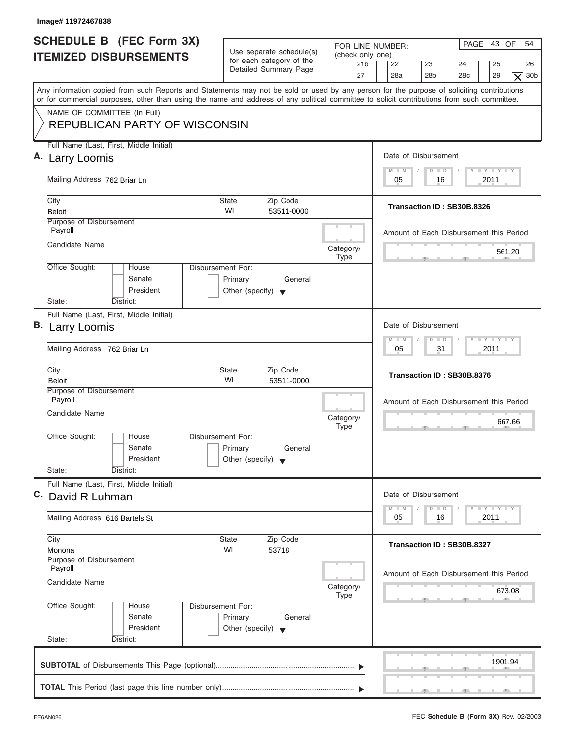| <b>SCHEDULE B (FEC Form 3X)</b><br><b>ITEMIZED DISBURSEMENTS</b><br>Any information copied from such Reports and Statements may not be sold or used by any person for the purpose of soliciting contributions<br>or for commercial purposes, other than using the name and address of any political committee to solicit contributions from such committee.<br>NAME OF COMMITTEE (In Full)<br><b>REPUBLICAN PARTY OF WISCONSIN</b><br>Full Name (Last, First, Middle Initial)<br>A. Larry Loomis<br>Mailing Address 762 Briar Ln<br>City<br><b>State</b><br>WI<br>Beloit<br>Purpose of Disbursement<br>Payroll<br>Candidate Name<br>Office Sought:<br>Disbursement For:<br>House<br>Senate<br>President<br>State:<br>District:<br>Full Name (Last, First, Middle Initial)<br><b>B.</b> Larry Loomis<br>Mailing Address 762 Briar Ln<br>City<br><b>State</b><br>WI<br><b>Beloit</b><br>Purpose of Disbursement | Use separate schedule(s)<br>for each category of the<br>Detailed Summary Page<br>Zip Code | FOR LINE NUMBER:<br>(check only one)<br>21 <sub>b</sub><br>27 | PAGE 43 OF<br>54<br>22<br>23<br>24<br>25<br>26<br>28a<br>28 <sub>b</sub><br>28 <sub>c</sub><br>29<br>30 <sub>b</sub><br>$\times$<br>Date of Disbursement |
|---------------------------------------------------------------------------------------------------------------------------------------------------------------------------------------------------------------------------------------------------------------------------------------------------------------------------------------------------------------------------------------------------------------------------------------------------------------------------------------------------------------------------------------------------------------------------------------------------------------------------------------------------------------------------------------------------------------------------------------------------------------------------------------------------------------------------------------------------------------------------------------------------------------|-------------------------------------------------------------------------------------------|---------------------------------------------------------------|----------------------------------------------------------------------------------------------------------------------------------------------------------|
|                                                                                                                                                                                                                                                                                                                                                                                                                                                                                                                                                                                                                                                                                                                                                                                                                                                                                                               |                                                                                           |                                                               |                                                                                                                                                          |
|                                                                                                                                                                                                                                                                                                                                                                                                                                                                                                                                                                                                                                                                                                                                                                                                                                                                                                               |                                                                                           |                                                               |                                                                                                                                                          |
|                                                                                                                                                                                                                                                                                                                                                                                                                                                                                                                                                                                                                                                                                                                                                                                                                                                                                                               |                                                                                           |                                                               |                                                                                                                                                          |
|                                                                                                                                                                                                                                                                                                                                                                                                                                                                                                                                                                                                                                                                                                                                                                                                                                                                                                               |                                                                                           |                                                               |                                                                                                                                                          |
|                                                                                                                                                                                                                                                                                                                                                                                                                                                                                                                                                                                                                                                                                                                                                                                                                                                                                                               |                                                                                           |                                                               |                                                                                                                                                          |
|                                                                                                                                                                                                                                                                                                                                                                                                                                                                                                                                                                                                                                                                                                                                                                                                                                                                                                               |                                                                                           |                                                               | $T - Y = T - Y = T - Y$<br>$M - M$<br>$D$ $D$                                                                                                            |
|                                                                                                                                                                                                                                                                                                                                                                                                                                                                                                                                                                                                                                                                                                                                                                                                                                                                                                               |                                                                                           |                                                               | 2011<br>05<br>16                                                                                                                                         |
|                                                                                                                                                                                                                                                                                                                                                                                                                                                                                                                                                                                                                                                                                                                                                                                                                                                                                                               |                                                                                           |                                                               | Transaction ID: SB30B.8326                                                                                                                               |
|                                                                                                                                                                                                                                                                                                                                                                                                                                                                                                                                                                                                                                                                                                                                                                                                                                                                                                               | 53511-0000                                                                                |                                                               |                                                                                                                                                          |
|                                                                                                                                                                                                                                                                                                                                                                                                                                                                                                                                                                                                                                                                                                                                                                                                                                                                                                               |                                                                                           |                                                               | Amount of Each Disbursement this Period                                                                                                                  |
|                                                                                                                                                                                                                                                                                                                                                                                                                                                                                                                                                                                                                                                                                                                                                                                                                                                                                                               |                                                                                           | Category/<br><b>Type</b>                                      | 561.20                                                                                                                                                   |
|                                                                                                                                                                                                                                                                                                                                                                                                                                                                                                                                                                                                                                                                                                                                                                                                                                                                                                               | Primary<br>General<br>Other (specify) $\blacktriangledown$                                |                                                               |                                                                                                                                                          |
|                                                                                                                                                                                                                                                                                                                                                                                                                                                                                                                                                                                                                                                                                                                                                                                                                                                                                                               |                                                                                           |                                                               |                                                                                                                                                          |
|                                                                                                                                                                                                                                                                                                                                                                                                                                                                                                                                                                                                                                                                                                                                                                                                                                                                                                               |                                                                                           |                                                               | Date of Disbursement                                                                                                                                     |
|                                                                                                                                                                                                                                                                                                                                                                                                                                                                                                                                                                                                                                                                                                                                                                                                                                                                                                               |                                                                                           |                                                               | $-1 - Y - 1 - Y - 1 - Y$<br>$M - M$<br>$D$ $D$<br>2011<br>05<br>31                                                                                       |
|                                                                                                                                                                                                                                                                                                                                                                                                                                                                                                                                                                                                                                                                                                                                                                                                                                                                                                               | Zip Code<br>53511-0000                                                                    |                                                               | Transaction ID: SB30B.8376                                                                                                                               |
| Payroll                                                                                                                                                                                                                                                                                                                                                                                                                                                                                                                                                                                                                                                                                                                                                                                                                                                                                                       |                                                                                           |                                                               | Amount of Each Disbursement this Period                                                                                                                  |
| Candidate Name                                                                                                                                                                                                                                                                                                                                                                                                                                                                                                                                                                                                                                                                                                                                                                                                                                                                                                |                                                                                           | Category/<br><b>Type</b>                                      | 667.66<br>. .                                                                                                                                            |
| Office Sought:<br>House<br>Disbursement For:<br>Senate<br>President<br>State:                                                                                                                                                                                                                                                                                                                                                                                                                                                                                                                                                                                                                                                                                                                                                                                                                                 | Primary<br>General<br>Other (specify) $\blacktriangledown$                                |                                                               |                                                                                                                                                          |
| District:<br>Full Name (Last, First, Middle Initial)                                                                                                                                                                                                                                                                                                                                                                                                                                                                                                                                                                                                                                                                                                                                                                                                                                                          |                                                                                           |                                                               |                                                                                                                                                          |
| C. David R Luhman                                                                                                                                                                                                                                                                                                                                                                                                                                                                                                                                                                                                                                                                                                                                                                                                                                                                                             |                                                                                           |                                                               | Date of Disbursement<br><b>THEY THEY</b><br>$M - M$<br>$\overline{D}$<br>$\Box$                                                                          |
| Mailing Address 616 Bartels St                                                                                                                                                                                                                                                                                                                                                                                                                                                                                                                                                                                                                                                                                                                                                                                                                                                                                |                                                                                           |                                                               | 2011<br>05<br>16                                                                                                                                         |
| City<br><b>State</b><br>WI<br>Monona                                                                                                                                                                                                                                                                                                                                                                                                                                                                                                                                                                                                                                                                                                                                                                                                                                                                          | Zip Code<br>53718                                                                         |                                                               | Transaction ID: SB30B.8327                                                                                                                               |
| Purpose of Disbursement<br>Payroll                                                                                                                                                                                                                                                                                                                                                                                                                                                                                                                                                                                                                                                                                                                                                                                                                                                                            |                                                                                           |                                                               | Amount of Each Disbursement this Period                                                                                                                  |
| Candidate Name                                                                                                                                                                                                                                                                                                                                                                                                                                                                                                                                                                                                                                                                                                                                                                                                                                                                                                |                                                                                           | Category/<br><b>Type</b>                                      | 673.08                                                                                                                                                   |
| Office Sought:<br>Disbursement For:<br>House<br>Senate<br>President<br>State:<br>District:                                                                                                                                                                                                                                                                                                                                                                                                                                                                                                                                                                                                                                                                                                                                                                                                                    | Primary<br>General<br>Other (specify) $\blacktriangledown$                                |                                                               |                                                                                                                                                          |
|                                                                                                                                                                                                                                                                                                                                                                                                                                                                                                                                                                                                                                                                                                                                                                                                                                                                                                               |                                                                                           |                                                               |                                                                                                                                                          |
|                                                                                                                                                                                                                                                                                                                                                                                                                                                                                                                                                                                                                                                                                                                                                                                                                                                                                                               |                                                                                           |                                                               | 1901.94                                                                                                                                                  |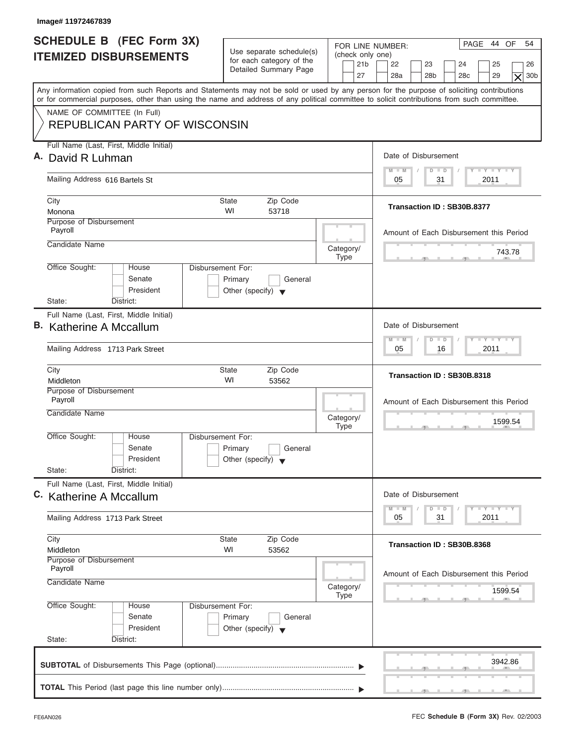| Image# 11972467839                                                                                                                                                                                                                                                                      |                                                                                 |                                                               |                                                                                                                      |
|-----------------------------------------------------------------------------------------------------------------------------------------------------------------------------------------------------------------------------------------------------------------------------------------|---------------------------------------------------------------------------------|---------------------------------------------------------------|----------------------------------------------------------------------------------------------------------------------|
| <b>SCHEDULE B (FEC Form 3X)</b><br><b>ITEMIZED DISBURSEMENTS</b>                                                                                                                                                                                                                        | Use separate schedule(s)<br>for each category of the<br>Detailed Summary Page   | FOR LINE NUMBER:<br>(check only one)<br>21 <sub>b</sub><br>27 | PAGE 44 OF<br>54<br>22<br>23<br>24<br>25<br>26<br>28a<br>28 <sub>b</sub><br>29<br>30b<br>28 <sub>c</sub><br>$\times$ |
| Any information copied from such Reports and Statements may not be sold or used by any person for the purpose of soliciting contributions<br>or for commercial purposes, other than using the name and address of any political committee to solicit contributions from such committee. |                                                                                 |                                                               |                                                                                                                      |
| NAME OF COMMITTEE (In Full)<br><b>REPUBLICAN PARTY OF WISCONSIN</b>                                                                                                                                                                                                                     |                                                                                 |                                                               |                                                                                                                      |
| Full Name (Last, First, Middle Initial)<br>A. David R Luhman                                                                                                                                                                                                                            |                                                                                 |                                                               | Date of Disbursement                                                                                                 |
| Mailing Address 616 Bartels St                                                                                                                                                                                                                                                          |                                                                                 |                                                               | $T - Y = T - Y = T - Y$<br>$D$ $D$<br>$M - M$<br>31<br>2011<br>05                                                    |
| City<br>Monona                                                                                                                                                                                                                                                                          | <b>State</b><br>Zip Code<br>WI<br>53718                                         |                                                               | Transaction ID: SB30B.8377                                                                                           |
| Purpose of Disbursement<br>Payroll                                                                                                                                                                                                                                                      |                                                                                 |                                                               | Amount of Each Disbursement this Period                                                                              |
| Candidate Name                                                                                                                                                                                                                                                                          |                                                                                 | Category/<br><b>Type</b>                                      | 743.78                                                                                                               |
| Office Sought:<br>House<br>Senate<br>President<br>State:                                                                                                                                                                                                                                | Disbursement For:<br>Primary<br>General<br>Other (specify) $\blacktriangledown$ |                                                               |                                                                                                                      |
| District:<br>Full Name (Last, First, Middle Initial)                                                                                                                                                                                                                                    |                                                                                 |                                                               |                                                                                                                      |
| B. Katherine A Mccallum                                                                                                                                                                                                                                                                 |                                                                                 |                                                               | Date of Disbursement                                                                                                 |
| Mailing Address 1713 Park Street                                                                                                                                                                                                                                                        |                                                                                 |                                                               | <b>LEYTEY LEY</b><br>$M - M$<br>$D$ $D$<br>2011<br>05<br>16                                                          |
| City<br>Middleton                                                                                                                                                                                                                                                                       | <b>State</b><br>Zip Code<br>WI<br>53562                                         |                                                               | Transaction ID: SB30B.8318                                                                                           |
| Purpose of Disbursement<br>Payroll<br>Candidate Name                                                                                                                                                                                                                                    |                                                                                 | Category/<br><b>Type</b>                                      | Amount of Each Disbursement this Period<br>1599.54<br>$\sim$                                                         |
| Office Sought:<br>House<br>Senate<br>President<br>State:<br>District:                                                                                                                                                                                                                   | Disbursement For:<br>Primary<br>General<br>Other (specify) $\blacktriangledown$ |                                                               |                                                                                                                      |
| Full Name (Last, First, Middle Initial)<br>C. Katherine A Mccallum                                                                                                                                                                                                                      |                                                                                 |                                                               | Date of Disbursement<br>$T - Y$ $T - Y$<br>$M - M$<br>D<br>$\Box$                                                    |
| Mailing Address 1713 Park Street                                                                                                                                                                                                                                                        |                                                                                 |                                                               | 2011<br>05<br>31                                                                                                     |
| City<br>Middleton                                                                                                                                                                                                                                                                       | Zip Code<br>State<br>WI<br>53562                                                |                                                               | Transaction ID: SB30B.8368                                                                                           |
| Purpose of Disbursement<br>Payroll<br>Candidate Name                                                                                                                                                                                                                                    |                                                                                 | Category/                                                     | Amount of Each Disbursement this Period<br>1599.54                                                                   |
| Office Sought:<br>House<br>Senate<br>President<br>State:<br>District:                                                                                                                                                                                                                   | Disbursement For:<br>Primary<br>General<br>Other (specify) $\blacktriangledown$ | Type                                                          |                                                                                                                      |
|                                                                                                                                                                                                                                                                                         |                                                                                 |                                                               | 3942.86                                                                                                              |
|                                                                                                                                                                                                                                                                                         |                                                                                 |                                                               |                                                                                                                      |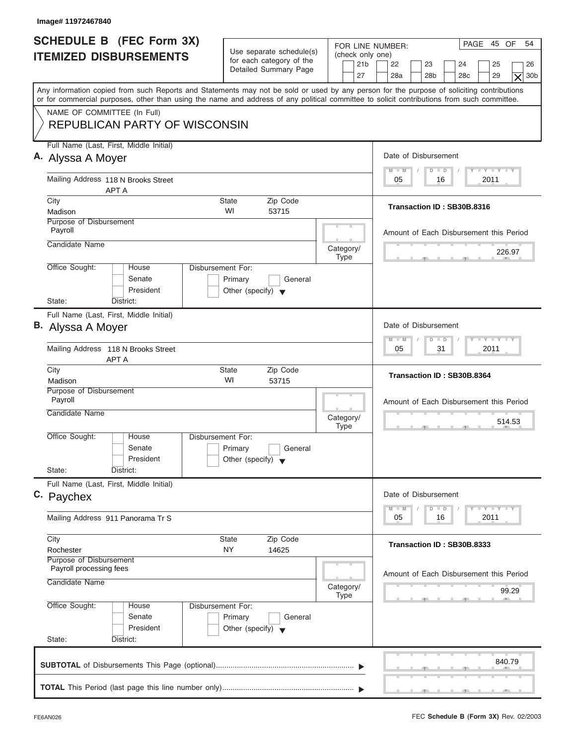| Image# 11972467840                                                                                                                                                                                                                                                                      |                                                                                 |                                      |                                                                                                                                                                                                                                     |
|-----------------------------------------------------------------------------------------------------------------------------------------------------------------------------------------------------------------------------------------------------------------------------------------|---------------------------------------------------------------------------------|--------------------------------------|-------------------------------------------------------------------------------------------------------------------------------------------------------------------------------------------------------------------------------------|
| <b>SCHEDULE B</b> (FEC Form 3X)<br><b>ITEMIZED DISBURSEMENTS</b>                                                                                                                                                                                                                        | Use separate schedule(s)<br>for each category of the                            | FOR LINE NUMBER:<br>(check only one) | PAGE 45 OF<br>54                                                                                                                                                                                                                    |
|                                                                                                                                                                                                                                                                                         | Detailed Summary Page                                                           | 21 <sub>b</sub><br>27                | 22<br>23<br>24<br>25<br>26<br>28a<br>28 <sub>b</sub><br>28 <sub>c</sub><br>29<br>30 <sub>b</sub><br>$\times$                                                                                                                        |
| Any information copied from such Reports and Statements may not be sold or used by any person for the purpose of soliciting contributions<br>or for commercial purposes, other than using the name and address of any political committee to solicit contributions from such committee. |                                                                                 |                                      |                                                                                                                                                                                                                                     |
| NAME OF COMMITTEE (In Full)<br><b>REPUBLICAN PARTY OF WISCONSIN</b>                                                                                                                                                                                                                     |                                                                                 |                                      |                                                                                                                                                                                                                                     |
| Full Name (Last, First, Middle Initial)<br>A. Alyssa A Moyer                                                                                                                                                                                                                            |                                                                                 |                                      | Date of Disbursement                                                                                                                                                                                                                |
| Mailing Address 118 N Brooks Street<br><b>APT A</b>                                                                                                                                                                                                                                     |                                                                                 |                                      | $T - Y = T - Y = T - Y$<br>$M - M$<br>$D$ $D$<br>2011<br>05<br>16                                                                                                                                                                   |
| City<br>Madison                                                                                                                                                                                                                                                                         | <b>State</b><br>Zip Code<br>WI<br>53715                                         |                                      | Transaction ID: SB30B.8316                                                                                                                                                                                                          |
| Purpose of Disbursement<br>Payroll<br>Candidate Name                                                                                                                                                                                                                                    |                                                                                 |                                      | Amount of Each Disbursement this Period                                                                                                                                                                                             |
| Office Sought:<br>House                                                                                                                                                                                                                                                                 | Disbursement For:                                                               | Category/<br><b>Type</b>             | 226.97                                                                                                                                                                                                                              |
| Senate<br>President<br>State:<br>District:                                                                                                                                                                                                                                              | Primary<br>General<br>Other (specify) $\blacktriangledown$                      |                                      |                                                                                                                                                                                                                                     |
| Full Name (Last, First, Middle Initial)<br><b>B.</b> Alyssa A Moyer                                                                                                                                                                                                                     |                                                                                 |                                      | Date of Disbursement                                                                                                                                                                                                                |
| Mailing Address 118 N Brooks Street<br><b>APT A</b>                                                                                                                                                                                                                                     |                                                                                 |                                      | $-1 - Y - 1 - Y - 1 - Y$<br>$M - M$<br>$D$ $D$<br>2011<br>05<br>31                                                                                                                                                                  |
| City<br>Madison                                                                                                                                                                                                                                                                         | Zip Code<br><b>State</b><br>WI<br>53715                                         |                                      | Transaction ID: SB30B.8364                                                                                                                                                                                                          |
| Purpose of Disbursement<br>Payroll<br>Candidate Name                                                                                                                                                                                                                                    |                                                                                 | Category/<br><b>Type</b>             | Amount of Each Disbursement this Period<br>514.53<br>$-5$                                                                                                                                                                           |
| Office Sought:<br>House<br>Senate<br>President<br>State:<br>District:                                                                                                                                                                                                                   | Disbursement For:<br>Primary<br>General<br>Other (specify) $\blacktriangledown$ |                                      |                                                                                                                                                                                                                                     |
| Full Name (Last, First, Middle Initial)<br>C. Paychex                                                                                                                                                                                                                                   |                                                                                 |                                      | Date of Disbursement                                                                                                                                                                                                                |
| Mailing Address 911 Panorama Tr S                                                                                                                                                                                                                                                       |                                                                                 |                                      | $\frac{1}{2}$ $\frac{1}{2}$ $\frac{1}{2}$ $\frac{1}{2}$ $\frac{1}{2}$ $\frac{1}{2}$ $\frac{1}{2}$ $\frac{1}{2}$ $\frac{1}{2}$ $\frac{1}{2}$ $\frac{1}{2}$ $\frac{1}{2}$ $\frac{1}{2}$<br>$M - M$<br>D<br>$\Box$<br>2011<br>05<br>16 |
| City<br>Rochester                                                                                                                                                                                                                                                                       | Zip Code<br><b>State</b><br>NY<br>14625                                         |                                      | Transaction ID: SB30B.8333                                                                                                                                                                                                          |
| Purpose of Disbursement<br>Payroll processing fees<br>Candidate Name                                                                                                                                                                                                                    |                                                                                 |                                      | Amount of Each Disbursement this Period                                                                                                                                                                                             |
| Office Sought:<br>House                                                                                                                                                                                                                                                                 | Disbursement For:                                                               | Category/<br><b>Type</b>             | 99.29                                                                                                                                                                                                                               |
| Senate<br>President<br>State:<br>District:                                                                                                                                                                                                                                              | Primary<br>General<br>Other (specify) $\blacktriangledown$                      |                                      |                                                                                                                                                                                                                                     |
|                                                                                                                                                                                                                                                                                         |                                                                                 |                                      | 840.79                                                                                                                                                                                                                              |
|                                                                                                                                                                                                                                                                                         |                                                                                 |                                      |                                                                                                                                                                                                                                     |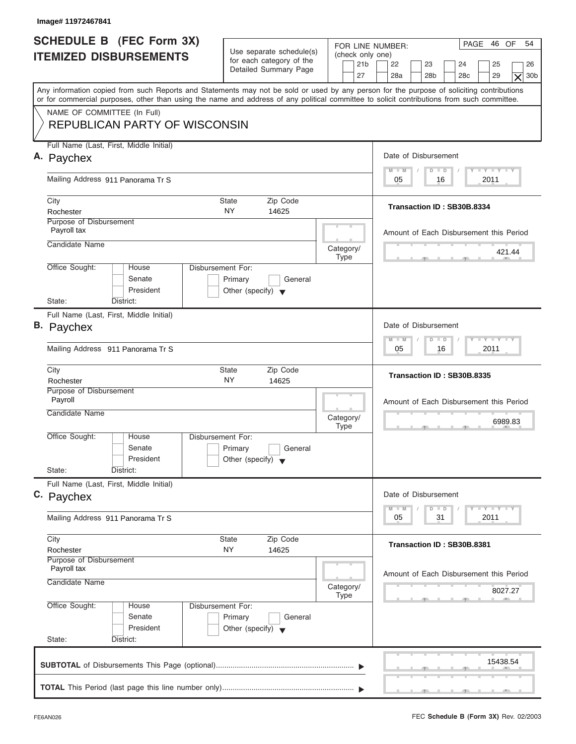| Image# 11972467841                                                                                                                                                                                                                                                                      |                                                                                 |                                                               |                                                                                                                                                 |
|-----------------------------------------------------------------------------------------------------------------------------------------------------------------------------------------------------------------------------------------------------------------------------------------|---------------------------------------------------------------------------------|---------------------------------------------------------------|-------------------------------------------------------------------------------------------------------------------------------------------------|
| <b>SCHEDULE B (FEC Form 3X)</b><br><b>ITEMIZED DISBURSEMENTS</b>                                                                                                                                                                                                                        | Use separate schedule(s)<br>for each category of the<br>Detailed Summary Page   | FOR LINE NUMBER:<br>(check only one)<br>21 <sub>b</sub><br>27 | PAGE 46 OF<br>54<br>22<br>23<br>24<br>25<br>26<br>28a<br>28 <sub>b</sub><br>28 <sub>c</sub><br>29<br>30 <sub>b</sub><br>$\overline{\mathsf{x}}$ |
| Any information copied from such Reports and Statements may not be sold or used by any person for the purpose of soliciting contributions<br>or for commercial purposes, other than using the name and address of any political committee to solicit contributions from such committee. |                                                                                 |                                                               |                                                                                                                                                 |
| NAME OF COMMITTEE (In Full)<br><b>REPUBLICAN PARTY OF WISCONSIN</b>                                                                                                                                                                                                                     |                                                                                 |                                                               |                                                                                                                                                 |
| Full Name (Last, First, Middle Initial)<br>A. Paychex                                                                                                                                                                                                                                   |                                                                                 |                                                               | Date of Disbursement                                                                                                                            |
| Mailing Address 911 Panorama Tr S                                                                                                                                                                                                                                                       |                                                                                 |                                                               | $T - Y = T - Y = T - Y$<br>$D$ $D$<br>$M - M$<br>2011<br>05<br>16                                                                               |
| City<br>Rochester<br>Purpose of Disbursement                                                                                                                                                                                                                                            | Zip Code<br>State<br><b>NY</b><br>14625                                         |                                                               | Transaction ID: SB30B.8334                                                                                                                      |
| Payroll tax<br>Candidate Name                                                                                                                                                                                                                                                           |                                                                                 | Category/                                                     | Amount of Each Disbursement this Period<br>421.44                                                                                               |
| Office Sought:<br>House<br>Senate<br>President                                                                                                                                                                                                                                          | Disbursement For:<br>Primary<br>General<br>Other (specify) $\blacktriangledown$ | <b>Type</b>                                                   |                                                                                                                                                 |
| State:<br>District:<br>Full Name (Last, First, Middle Initial)<br>B. Paychex<br>Mailing Address 911 Panorama Tr S                                                                                                                                                                       |                                                                                 |                                                               | Date of Disbursement<br>$-1 - Y - 1 - Y - 1 - Y$<br>$\Box$<br>$M - M$<br>$\overline{D}$<br>2011<br>05<br>16                                     |
| City<br>Rochester                                                                                                                                                                                                                                                                       | Zip Code<br><b>State</b><br>ΝY<br>14625                                         |                                                               | Transaction ID: SB30B.8335                                                                                                                      |
| Purpose of Disbursement<br>Payroll<br>Candidate Name                                                                                                                                                                                                                                    |                                                                                 | Category/<br><b>Type</b>                                      | Amount of Each Disbursement this Period<br>6989.83<br>__                                                                                        |
| Office Sought:<br>House<br>Senate<br>President<br>State:<br>District:                                                                                                                                                                                                                   | Disbursement For:<br>Primary<br>General<br>Other (specify) $\blacktriangledown$ |                                                               |                                                                                                                                                 |
| Full Name (Last, First, Middle Initial)<br>C. Paychex                                                                                                                                                                                                                                   |                                                                                 |                                                               | Date of Disbursement<br>$T = Y$ $T = Y$<br>$M - M$<br>$\Box$<br>$\overline{D}$                                                                  |
| Mailing Address 911 Panorama Tr S                                                                                                                                                                                                                                                       |                                                                                 |                                                               | 2011<br>05<br>31                                                                                                                                |
| City<br>Rochester<br>Purpose of Disbursement<br>Payroll tax                                                                                                                                                                                                                             | Zip Code<br><b>State</b><br>NY<br>14625                                         |                                                               | Transaction ID: SB30B.8381                                                                                                                      |
| Candidate Name                                                                                                                                                                                                                                                                          |                                                                                 | Category/<br><b>Type</b>                                      | Amount of Each Disbursement this Period<br>8027.27                                                                                              |
| Office Sought:<br>House<br>Senate<br>President<br>State:<br>District:                                                                                                                                                                                                                   | Disbursement For:<br>Primary<br>General<br>Other (specify) $\blacktriangledown$ |                                                               |                                                                                                                                                 |
|                                                                                                                                                                                                                                                                                         |                                                                                 |                                                               | 15438.54                                                                                                                                        |
|                                                                                                                                                                                                                                                                                         |                                                                                 |                                                               |                                                                                                                                                 |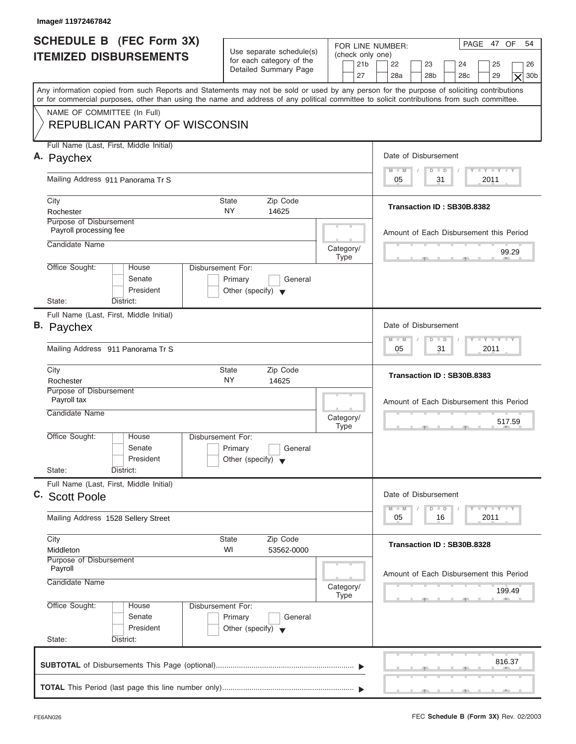| Image# 11972467842                                                    |                                                                                        |                                                                                                                                                                                                                                                                                         |
|-----------------------------------------------------------------------|----------------------------------------------------------------------------------------|-----------------------------------------------------------------------------------------------------------------------------------------------------------------------------------------------------------------------------------------------------------------------------------------|
| <b>SCHEDULE B</b> (FEC Form 3X)<br><b>ITEMIZED DISBURSEMENTS</b>      | Use separate schedule(s)<br>for each category of the<br>Detailed Summary Page          | PAGE 47 OF<br>54<br>FOR LINE NUMBER:<br>(check only one)<br>21 <sub>b</sub><br>22<br>23<br>24<br>25<br>26<br>28a<br>28 <sub>b</sub><br>28 <sub>c</sub><br>29<br>27<br>30 <sub>b</sub><br>$\times$                                                                                       |
|                                                                       |                                                                                        | Any information copied from such Reports and Statements may not be sold or used by any person for the purpose of soliciting contributions<br>or for commercial purposes, other than using the name and address of any political committee to solicit contributions from such committee. |
| NAME OF COMMITTEE (In Full)<br><b>REPUBLICAN PARTY OF WISCONSIN</b>   |                                                                                        |                                                                                                                                                                                                                                                                                         |
| Full Name (Last, First, Middle Initial)<br>A. Paychex                 |                                                                                        | Date of Disbursement                                                                                                                                                                                                                                                                    |
| Mailing Address 911 Panorama Tr S                                     | $T - Y = T - Y = T - Y$<br>$M - M$<br>$D$ $D$<br>2011<br>05<br>31                      |                                                                                                                                                                                                                                                                                         |
|                                                                       |                                                                                        |                                                                                                                                                                                                                                                                                         |
| City<br>Rochester                                                     | <b>State</b><br>Zip Code<br><b>NY</b><br>14625                                         | Transaction ID: SB30B.8382                                                                                                                                                                                                                                                              |
| Purpose of Disbursement<br>Payroll processing fee                     |                                                                                        | Amount of Each Disbursement this Period                                                                                                                                                                                                                                                 |
| Candidate Name                                                        | Category/<br><b>Type</b>                                                               | 99.29                                                                                                                                                                                                                                                                                   |
| Office Sought:<br>House<br>Senate<br>President                        | <b>Disbursement For:</b><br>Primary<br>General<br>Other (specify) $\blacktriangledown$ |                                                                                                                                                                                                                                                                                         |
| State:<br>District:<br>Full Name (Last, First, Middle Initial)        |                                                                                        |                                                                                                                                                                                                                                                                                         |
| <b>B.</b> Paychex                                                     | Date of Disbursement                                                                   |                                                                                                                                                                                                                                                                                         |
| Mailing Address 911 Panorama Tr S                                     | $-1 - Y - 1 - Y - 1 - Y$<br>$M - M$<br>$D$ $D$<br>2011<br>05<br>31                     |                                                                                                                                                                                                                                                                                         |
| City<br>Rochester                                                     | Zip Code<br><b>State</b><br>NY<br>14625                                                | Transaction ID: SB30B.8383                                                                                                                                                                                                                                                              |
| Purpose of Disbursement<br>Payroll tax                                | Amount of Each Disbursement this Period                                                |                                                                                                                                                                                                                                                                                         |
| Candidate Name                                                        | Category/<br>517.59<br><b>Type</b><br>$-5$                                             |                                                                                                                                                                                                                                                                                         |
| Office Sought:<br>House<br>Senate<br>President                        | Disbursement For:<br>Primary<br>General<br>Other (specify) $\blacktriangledown$        |                                                                                                                                                                                                                                                                                         |
| State:<br>District:<br>Full Name (Last, First, Middle Initial)        |                                                                                        |                                                                                                                                                                                                                                                                                         |
| C. Scott Poole                                                        | Date of Disbursement<br>$Y - Y$                                                        |                                                                                                                                                                                                                                                                                         |
| Mailing Address 1528 Sellery Street                                   | $M - M$<br>D<br>$\Box$<br>2011<br>05<br>16                                             |                                                                                                                                                                                                                                                                                         |
| City<br>Middleton                                                     | Transaction ID: SB30B.8328                                                             |                                                                                                                                                                                                                                                                                         |
| Purpose of Disbursement<br>Payroll<br>Candidate Name                  | Category/<br><b>Type</b>                                                               | Amount of Each Disbursement this Period<br>199.49                                                                                                                                                                                                                                       |
| Office Sought:<br>House<br>Senate<br>President<br>State:<br>District: | Disbursement For:<br>Primary<br>General<br>Other (specify) $\blacktriangledown$        |                                                                                                                                                                                                                                                                                         |
|                                                                       |                                                                                        | 816.37                                                                                                                                                                                                                                                                                  |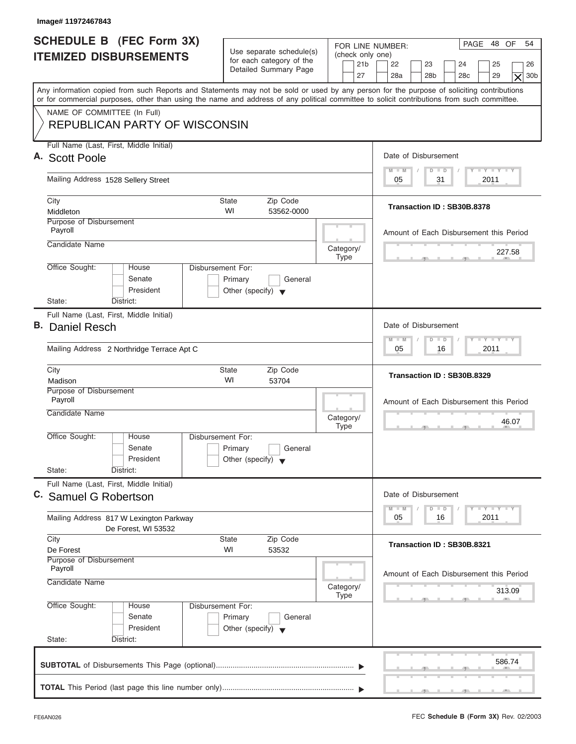| Image# 11972467843                                                                                                                                                                                                                                                                      |                                                                                                 |                                                                                                                                                                                             |  |  |  |
|-----------------------------------------------------------------------------------------------------------------------------------------------------------------------------------------------------------------------------------------------------------------------------------------|-------------------------------------------------------------------------------------------------|---------------------------------------------------------------------------------------------------------------------------------------------------------------------------------------------|--|--|--|
| <b>SCHEDULE B (FEC Form 3X)</b><br><b>ITEMIZED DISBURSEMENTS</b>                                                                                                                                                                                                                        | Use separate schedule(s)<br>for each category of the<br>Detailed Summary Page<br>27             | PAGE 48 OF<br>54<br>FOR LINE NUMBER:<br>(check only one)<br>21 <sub>b</sub><br>22<br>23<br>24<br>25<br>26<br>28a<br>28 <sub>b</sub><br>29<br>28 <sub>c</sub><br>30 <sub>b</sub><br>$\times$ |  |  |  |
| Any information copied from such Reports and Statements may not be sold or used by any person for the purpose of soliciting contributions<br>or for commercial purposes, other than using the name and address of any political committee to solicit contributions from such committee. |                                                                                                 |                                                                                                                                                                                             |  |  |  |
| NAME OF COMMITTEE (In Full)<br><b>REPUBLICAN PARTY OF WISCONSIN</b>                                                                                                                                                                                                                     |                                                                                                 |                                                                                                                                                                                             |  |  |  |
| Full Name (Last, First, Middle Initial)<br>A. Scott Poole                                                                                                                                                                                                                               |                                                                                                 | Date of Disbursement                                                                                                                                                                        |  |  |  |
| Mailing Address 1528 Sellery Street                                                                                                                                                                                                                                                     | $T - Y = T - Y = T - Y$<br>$D$ $D$<br>$M - M$<br>2011<br>05<br>31                               |                                                                                                                                                                                             |  |  |  |
| City<br>Middleton                                                                                                                                                                                                                                                                       | Zip Code<br>State<br>WI<br>53562-0000                                                           | Transaction ID: SB30B.8378                                                                                                                                                                  |  |  |  |
| <b>Purpose of Disbursement</b><br>Payroll                                                                                                                                                                                                                                               |                                                                                                 | Amount of Each Disbursement this Period                                                                                                                                                     |  |  |  |
| Candidate Name                                                                                                                                                                                                                                                                          | Category/<br><b>Type</b>                                                                        | 227.58                                                                                                                                                                                      |  |  |  |
| Office Sought:<br>House<br>Senate<br>President<br>State:<br>District:                                                                                                                                                                                                                   | Disbursement For:<br>Primary<br>General<br>Other (specify) $\blacktriangledown$                 |                                                                                                                                                                                             |  |  |  |
| Full Name (Last, First, Middle Initial)<br>B. Daniel Resch                                                                                                                                                                                                                              | Date of Disbursement<br><b>LY LY LY</b><br>$M - M$<br>$\Box$                                    |                                                                                                                                                                                             |  |  |  |
| Mailing Address 2 Northridge Terrace Apt C                                                                                                                                                                                                                                              | $\overline{D}$<br>2011<br>05<br>16                                                              |                                                                                                                                                                                             |  |  |  |
| City<br>Madison                                                                                                                                                                                                                                                                         | Zip Code<br><b>State</b><br>WI<br>53704                                                         | Transaction ID: SB30B.8329                                                                                                                                                                  |  |  |  |
| Purpose of Disbursement<br>Payroll<br>Candidate Name                                                                                                                                                                                                                                    | Amount of Each Disbursement this Period<br>46.07                                                |                                                                                                                                                                                             |  |  |  |
| Office Sought:<br>House<br>Senate<br>President<br>State:<br>District:                                                                                                                                                                                                                   | Disbursement For:<br>Primary<br>General<br>Other (specify) $\blacktriangledown$                 |                                                                                                                                                                                             |  |  |  |
| Full Name (Last, First, Middle Initial)<br>C. Samuel G Robertson                                                                                                                                                                                                                        | Date of Disbursement<br>$T - Y$ $T - Y$ $T - Y$<br>$M - M$<br>$\overline{\mathsf{D}}$<br>$\Box$ |                                                                                                                                                                                             |  |  |  |
| Mailing Address 817 W Lexington Parkway<br>De Forest, WI 53532                                                                                                                                                                                                                          | 2011<br>05<br>16                                                                                |                                                                                                                                                                                             |  |  |  |
| City<br>De Forest                                                                                                                                                                                                                                                                       | Zip Code<br><b>State</b><br>WI<br>53532                                                         |                                                                                                                                                                                             |  |  |  |
| Purpose of Disbursement<br>Payroll<br>Candidate Name                                                                                                                                                                                                                                    | Amount of Each Disbursement this Period<br>313.09                                               |                                                                                                                                                                                             |  |  |  |
| Office Sought:<br>House<br>Senate<br>President<br>State:<br>District:                                                                                                                                                                                                                   | <b>Type</b><br>Disbursement For:<br>Primary<br>General<br>Other (specify) $\blacktriangledown$  |                                                                                                                                                                                             |  |  |  |
|                                                                                                                                                                                                                                                                                         |                                                                                                 | 586.74                                                                                                                                                                                      |  |  |  |
|                                                                                                                                                                                                                                                                                         |                                                                                                 |                                                                                                                                                                                             |  |  |  |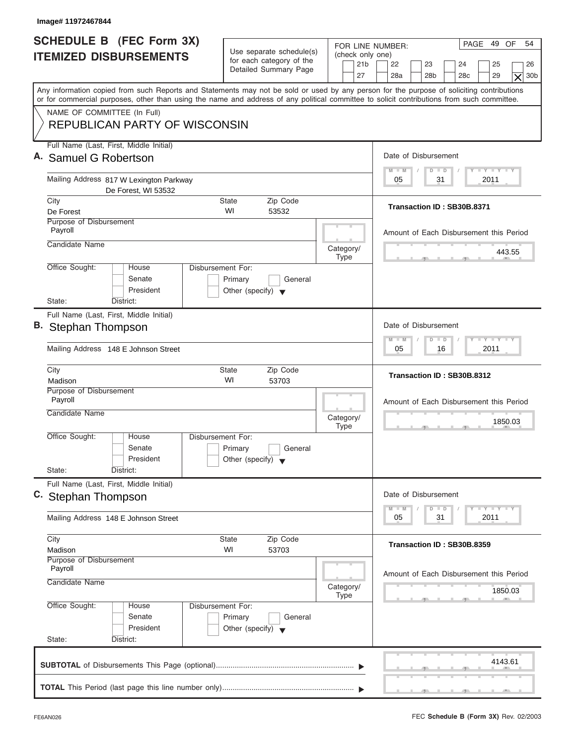| Image# 11972467844                                                                                                                                                                                                                                                                      |                                                                                 |                                                               |                                                                                                                                  |  |  |  |
|-----------------------------------------------------------------------------------------------------------------------------------------------------------------------------------------------------------------------------------------------------------------------------------------|---------------------------------------------------------------------------------|---------------------------------------------------------------|----------------------------------------------------------------------------------------------------------------------------------|--|--|--|
| <b>SCHEDULE B (FEC Form 3X)</b><br><b>ITEMIZED DISBURSEMENTS</b>                                                                                                                                                                                                                        | Use separate schedule(s)<br>for each category of the<br>Detailed Summary Page   | FOR LINE NUMBER:<br>(check only one)<br>21 <sub>b</sub><br>27 | PAGE 49 OF<br>54<br>22<br>23<br>24<br>25<br>26<br>28a<br>28 <sub>b</sub><br>29<br>30 <sub>b</sub><br>28 <sub>c</sub><br>$\times$ |  |  |  |
| Any information copied from such Reports and Statements may not be sold or used by any person for the purpose of soliciting contributions<br>or for commercial purposes, other than using the name and address of any political committee to solicit contributions from such committee. |                                                                                 |                                                               |                                                                                                                                  |  |  |  |
| NAME OF COMMITTEE (In Full)<br><b>REPUBLICAN PARTY OF WISCONSIN</b>                                                                                                                                                                                                                     |                                                                                 |                                                               |                                                                                                                                  |  |  |  |
| Full Name (Last, First, Middle Initial)<br>A. Samuel G Robertson                                                                                                                                                                                                                        |                                                                                 |                                                               | Date of Disbursement                                                                                                             |  |  |  |
| Mailing Address 817 W Lexington Parkway<br>De Forest, WI 53532                                                                                                                                                                                                                          |                                                                                 |                                                               |                                                                                                                                  |  |  |  |
| City<br>De Forest                                                                                                                                                                                                                                                                       | <b>State</b><br>Zip Code<br>WI<br>53532                                         |                                                               | Transaction ID: SB30B.8371                                                                                                       |  |  |  |
| Purpose of Disbursement<br>Payroll                                                                                                                                                                                                                                                      |                                                                                 |                                                               | Amount of Each Disbursement this Period                                                                                          |  |  |  |
| Candidate Name                                                                                                                                                                                                                                                                          |                                                                                 | Category/<br><b>Type</b>                                      | 443.55                                                                                                                           |  |  |  |
| Office Sought:<br>House<br>Senate<br>President<br>State:<br>District:                                                                                                                                                                                                                   | Disbursement For:<br>Primary<br>General<br>Other (specify) $\blacktriangledown$ |                                                               |                                                                                                                                  |  |  |  |
| Full Name (Last, First, Middle Initial)                                                                                                                                                                                                                                                 |                                                                                 |                                                               |                                                                                                                                  |  |  |  |
| B. Stephan Thompson                                                                                                                                                                                                                                                                     |                                                                                 |                                                               |                                                                                                                                  |  |  |  |
| Mailing Address 148 E Johnson Street                                                                                                                                                                                                                                                    | <b>LEYTEY LEY</b><br>$M - M$<br>$\Box$<br>$\overline{D}$<br>2011<br>05<br>16    |                                                               |                                                                                                                                  |  |  |  |
| City<br>Madison                                                                                                                                                                                                                                                                         | Zip Code<br><b>State</b><br>WI<br>53703                                         |                                                               | Transaction ID: SB30B.8312                                                                                                       |  |  |  |
| Purpose of Disbursement<br>Payroll<br>Candidate Name                                                                                                                                                                                                                                    | Category/                                                                       | Amount of Each Disbursement this Period                       |                                                                                                                                  |  |  |  |
| Office Sought:<br>House<br>Senate<br>President<br>State:<br>District:                                                                                                                                                                                                                   | Disbursement For:<br>Primary<br>General<br>Other (specify) $\blacktriangledown$ | <b>Type</b>                                                   | 1850.03<br>$-5$                                                                                                                  |  |  |  |
| Full Name (Last, First, Middle Initial)<br>C. Stephan Thompson                                                                                                                                                                                                                          | Date of Disbursement                                                            |                                                               |                                                                                                                                  |  |  |  |
| Mailing Address 148 E Johnson Street                                                                                                                                                                                                                                                    | $T - Y$ $T - Y$<br>$M - M$<br>D<br>$\Box$<br>2011<br>05<br>31                   |                                                               |                                                                                                                                  |  |  |  |
| City<br>Madison                                                                                                                                                                                                                                                                         |                                                                                 | Transaction ID: SB30B.8359                                    |                                                                                                                                  |  |  |  |
| Purpose of Disbursement<br>Payroll<br>Candidate Name                                                                                                                                                                                                                                    | Category/<br><b>Type</b>                                                        | Amount of Each Disbursement this Period<br>1850.03            |                                                                                                                                  |  |  |  |
| Office Sought:<br>House<br>Senate<br>President<br>State:<br>District:                                                                                                                                                                                                                   | Disbursement For:<br>Primary<br>General<br>Other (specify) $\blacktriangledown$ |                                                               |                                                                                                                                  |  |  |  |
|                                                                                                                                                                                                                                                                                         |                                                                                 |                                                               | 4143.61                                                                                                                          |  |  |  |
|                                                                                                                                                                                                                                                                                         |                                                                                 |                                                               | $\mathbf{y}$ and $\mathbf{y}$ and $\mathbf{y}$                                                                                   |  |  |  |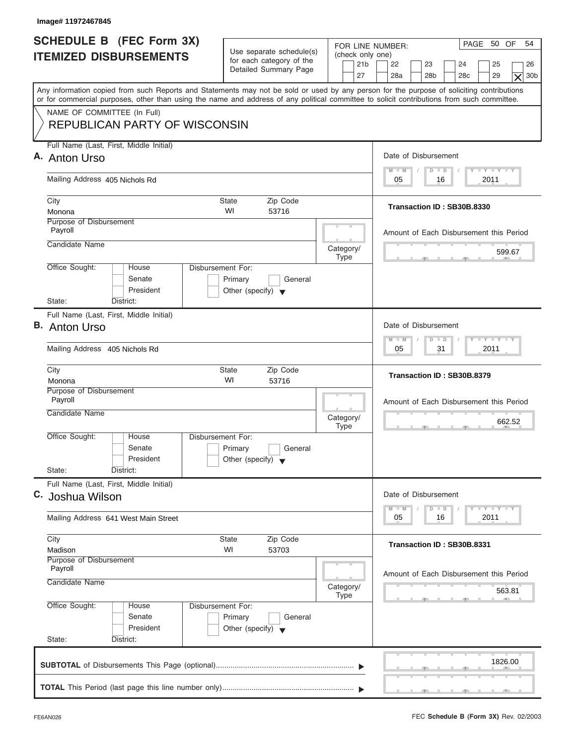| Image# 11972467845                                                                                                                                                                                                                                                                      |                                                                                                                                                                                                               |                                                               |                                                                                                                                  |  |  |  |
|-----------------------------------------------------------------------------------------------------------------------------------------------------------------------------------------------------------------------------------------------------------------------------------------|---------------------------------------------------------------------------------------------------------------------------------------------------------------------------------------------------------------|---------------------------------------------------------------|----------------------------------------------------------------------------------------------------------------------------------|--|--|--|
| <b>SCHEDULE B (FEC Form 3X)</b><br><b>ITEMIZED DISBURSEMENTS</b>                                                                                                                                                                                                                        | Use separate schedule(s)<br>for each category of the<br>Detailed Summary Page                                                                                                                                 | FOR LINE NUMBER:<br>(check only one)<br>21 <sub>b</sub><br>27 | PAGE 50 OF<br>54<br>22<br>23<br>24<br>25<br>26<br>28a<br>28 <sub>b</sub><br>29<br>30 <sub>b</sub><br>28 <sub>c</sub><br>$\times$ |  |  |  |
| Any information copied from such Reports and Statements may not be sold or used by any person for the purpose of soliciting contributions<br>or for commercial purposes, other than using the name and address of any political committee to solicit contributions from such committee. |                                                                                                                                                                                                               |                                                               |                                                                                                                                  |  |  |  |
| NAME OF COMMITTEE (In Full)<br><b>REPUBLICAN PARTY OF WISCONSIN</b>                                                                                                                                                                                                                     |                                                                                                                                                                                                               |                                                               |                                                                                                                                  |  |  |  |
| Full Name (Last, First, Middle Initial)<br>A. Anton Urso                                                                                                                                                                                                                                |                                                                                                                                                                                                               |                                                               | Date of Disbursement                                                                                                             |  |  |  |
| Mailing Address 405 Nichols Rd                                                                                                                                                                                                                                                          |                                                                                                                                                                                                               |                                                               |                                                                                                                                  |  |  |  |
| City                                                                                                                                                                                                                                                                                    | <b>State</b><br>Zip Code                                                                                                                                                                                      |                                                               | Transaction ID: SB30B.8330                                                                                                       |  |  |  |
| Monona<br>Purpose of Disbursement                                                                                                                                                                                                                                                       | WI<br>53716                                                                                                                                                                                                   |                                                               |                                                                                                                                  |  |  |  |
| Payroll                                                                                                                                                                                                                                                                                 |                                                                                                                                                                                                               |                                                               | Amount of Each Disbursement this Period                                                                                          |  |  |  |
| Candidate Name                                                                                                                                                                                                                                                                          |                                                                                                                                                                                                               | Category/<br><b>Type</b>                                      | 599.67                                                                                                                           |  |  |  |
| Office Sought:<br>House<br>Senate<br>President                                                                                                                                                                                                                                          | Disbursement For:<br>Primary<br>General<br>Other (specify) $\blacktriangledown$                                                                                                                               |                                                               |                                                                                                                                  |  |  |  |
| State:<br>District:<br>Full Name (Last, First, Middle Initial)                                                                                                                                                                                                                          |                                                                                                                                                                                                               |                                                               |                                                                                                                                  |  |  |  |
| <b>B.</b> Anton Urso                                                                                                                                                                                                                                                                    | Date of Disbursement                                                                                                                                                                                          |                                                               |                                                                                                                                  |  |  |  |
| Mailing Address 405 Nichols Rd                                                                                                                                                                                                                                                          | <b>LEYTEY LEY</b><br>$M - M$<br>$D$ $D$<br>2011<br>05<br>31                                                                                                                                                   |                                                               |                                                                                                                                  |  |  |  |
| City<br>Monona                                                                                                                                                                                                                                                                          | Zip Code<br>State<br>WI<br>53716                                                                                                                                                                              |                                                               | Transaction ID: SB30B.8379                                                                                                       |  |  |  |
| Purpose of Disbursement<br>Payroll<br>Candidate Name                                                                                                                                                                                                                                    |                                                                                                                                                                                                               | Category/<br><b>Type</b>                                      | Amount of Each Disbursement this Period<br>662.52                                                                                |  |  |  |
| Office Sought:<br>House<br>Senate<br>President<br>State:<br>District:                                                                                                                                                                                                                   | Disbursement For:<br>Primary<br>General<br>Other (specify) $\blacktriangledown$                                                                                                                               |                                                               |                                                                                                                                  |  |  |  |
| Full Name (Last, First, Middle Initial)<br>C. Joshua Wilson                                                                                                                                                                                                                             | Date of Disbursement<br>$\frac{1}{2}$ $\frac{1}{2}$ $\frac{1}{2}$ $\frac{1}{2}$ $\frac{1}{2}$ $\frac{1}{2}$ $\frac{1}{2}$ $\frac{1}{2}$ $\frac{1}{2}$ $\frac{1}{2}$ $\frac{1}{2}$ $\frac{1}{2}$ $\frac{1}{2}$ |                                                               |                                                                                                                                  |  |  |  |
| Mailing Address 641 West Main Street                                                                                                                                                                                                                                                    | $M - M$<br>$\overline{D}$<br>$\Box$<br>2011<br>05<br>16                                                                                                                                                       |                                                               |                                                                                                                                  |  |  |  |
| City<br>Zip Code<br>State<br>WI<br>53703<br>Madison                                                                                                                                                                                                                                     |                                                                                                                                                                                                               |                                                               | Transaction ID: SB30B.8331                                                                                                       |  |  |  |
| Purpose of Disbursement<br>Payroll<br>Candidate Name                                                                                                                                                                                                                                    |                                                                                                                                                                                                               | Category/                                                     | Amount of Each Disbursement this Period                                                                                          |  |  |  |
|                                                                                                                                                                                                                                                                                         |                                                                                                                                                                                                               | Type                                                          | 563.81                                                                                                                           |  |  |  |
| Office Sought:<br>House<br>Senate<br>President                                                                                                                                                                                                                                          | Disbursement For:<br>Primary<br>General<br>Other (specify) $\blacktriangledown$                                                                                                                               |                                                               |                                                                                                                                  |  |  |  |
| State:<br>District:                                                                                                                                                                                                                                                                     |                                                                                                                                                                                                               |                                                               |                                                                                                                                  |  |  |  |
|                                                                                                                                                                                                                                                                                         |                                                                                                                                                                                                               |                                                               | 1826.00                                                                                                                          |  |  |  |
|                                                                                                                                                                                                                                                                                         |                                                                                                                                                                                                               |                                                               |                                                                                                                                  |  |  |  |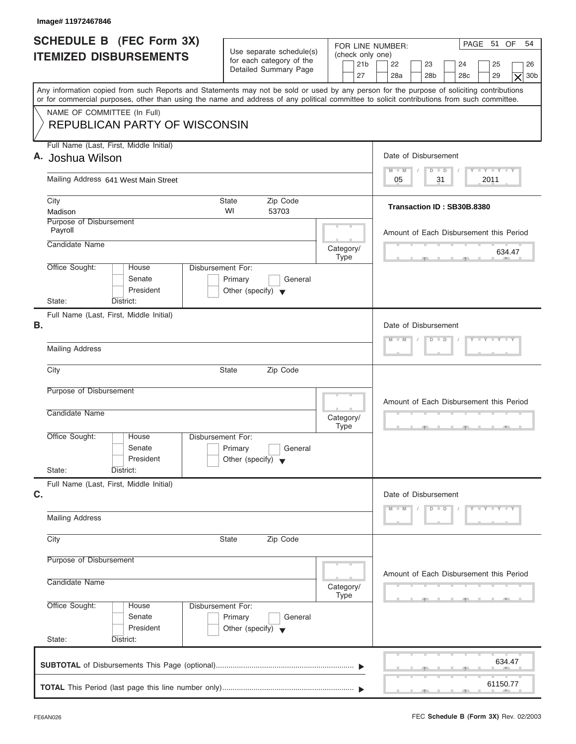| Image# 11972467846                                                                                                                                                                                                                                                                      |                                                                                 |                                                                                              |                                                                                                                                  |  |  |  |
|-----------------------------------------------------------------------------------------------------------------------------------------------------------------------------------------------------------------------------------------------------------------------------------------|---------------------------------------------------------------------------------|----------------------------------------------------------------------------------------------|----------------------------------------------------------------------------------------------------------------------------------|--|--|--|
| SCHEDULE B (FEC Form 3X)<br><b>ITEMIZED DISBURSEMENTS</b>                                                                                                                                                                                                                               | Use separate schedule(s)<br>for each category of the<br>Detailed Summary Page   | FOR LINE NUMBER:<br>(check only one)<br>21 <sub>b</sub><br>27                                | PAGE 51 OF<br>54<br>22<br>23<br>24<br>25<br>26<br>28a<br>28 <sub>b</sub><br>29<br>30 <sub>b</sub><br>28 <sub>c</sub><br>$\times$ |  |  |  |
| Any information copied from such Reports and Statements may not be sold or used by any person for the purpose of soliciting contributions<br>or for commercial purposes, other than using the name and address of any political committee to solicit contributions from such committee. |                                                                                 |                                                                                              |                                                                                                                                  |  |  |  |
| NAME OF COMMITTEE (In Full)<br><b>REPUBLICAN PARTY OF WISCONSIN</b>                                                                                                                                                                                                                     |                                                                                 |                                                                                              |                                                                                                                                  |  |  |  |
| Full Name (Last, First, Middle Initial)<br>A. Joshua Wilson                                                                                                                                                                                                                             |                                                                                 |                                                                                              | Date of Disbursement                                                                                                             |  |  |  |
| Mailing Address 641 West Main Street                                                                                                                                                                                                                                                    |                                                                                 |                                                                                              |                                                                                                                                  |  |  |  |
| City<br>Madison                                                                                                                                                                                                                                                                         | Zip Code<br>State<br>WI<br>53703                                                |                                                                                              | Transaction ID: SB30B.8380                                                                                                       |  |  |  |
| Purpose of Disbursement<br>Payroll<br>Candidate Name                                                                                                                                                                                                                                    |                                                                                 |                                                                                              | Amount of Each Disbursement this Period                                                                                          |  |  |  |
| Office Sought:<br>House                                                                                                                                                                                                                                                                 | Disbursement For:                                                               | Category/<br>Type                                                                            | 634.47                                                                                                                           |  |  |  |
| Senate<br>President<br>State:<br>District:                                                                                                                                                                                                                                              | Primary<br>General<br>Other (specify) $\blacktriangledown$                      |                                                                                              |                                                                                                                                  |  |  |  |
| Full Name (Last, First, Middle Initial)<br><b>B.</b>                                                                                                                                                                                                                                    | Date of Disbursement<br>$Y = Y = Y = Y$<br>$D$ $D$                              |                                                                                              |                                                                                                                                  |  |  |  |
| <b>Mailing Address</b>                                                                                                                                                                                                                                                                  | $M - M$                                                                         |                                                                                              |                                                                                                                                  |  |  |  |
| City                                                                                                                                                                                                                                                                                    | <b>State</b><br>Zip Code                                                        |                                                                                              |                                                                                                                                  |  |  |  |
| Purpose of Disbursement<br>Candidate Name                                                                                                                                                                                                                                               | Category/<br><b>Type</b>                                                        | Amount of Each Disbursement this Period<br>$\mathcal{F}$ and $\mathcal{F}$ and $\mathcal{F}$ |                                                                                                                                  |  |  |  |
| Office Sought:<br>House<br>Senate<br>President<br>State:<br>District:                                                                                                                                                                                                                   | Disbursement For:<br>Primary<br>General<br>Other (specify) $\blacktriangledown$ |                                                                                              |                                                                                                                                  |  |  |  |
| Full Name (Last, First, Middle Initial)<br>C.                                                                                                                                                                                                                                           | Date of Disbursement                                                            |                                                                                              |                                                                                                                                  |  |  |  |
| <b>Mailing Address</b>                                                                                                                                                                                                                                                                  | $D$ $D$<br>$Y - Y - Y - Y$<br>$M - M$                                           |                                                                                              |                                                                                                                                  |  |  |  |
| City                                                                                                                                                                                                                                                                                    | Zip Code<br><b>State</b>                                                        |                                                                                              |                                                                                                                                  |  |  |  |
| Purpose of Disbursement<br>Candidate Name                                                                                                                                                                                                                                               | Category/                                                                       | Amount of Each Disbursement this Period                                                      |                                                                                                                                  |  |  |  |
| Office Sought:<br>House<br>Senate<br>President<br>State:<br>District:                                                                                                                                                                                                                   | Disbursement For:<br>Primary<br>General<br>Other (specify) $\blacktriangledown$ | Type                                                                                         |                                                                                                                                  |  |  |  |
|                                                                                                                                                                                                                                                                                         |                                                                                 |                                                                                              | 634.47                                                                                                                           |  |  |  |
|                                                                                                                                                                                                                                                                                         |                                                                                 |                                                                                              | 61150.77                                                                                                                         |  |  |  |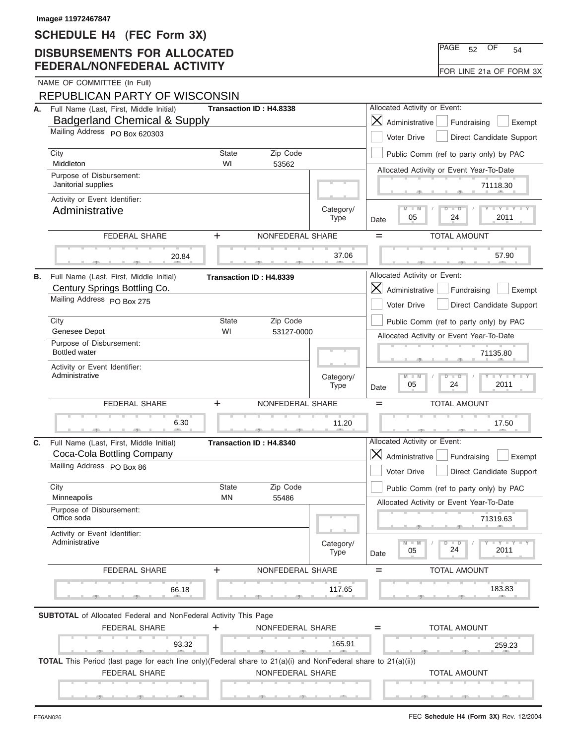### **SCHEDULE H4 (FEC Form 3X)**

### **DISBURSEMENTS FOR ALLOCATED FEDERAL/NONFEDERAL ACTIVITY**

|    | Image# 11972467847<br>SCHEDULE H4 (FEC Form 3X)                                                                                       |                                                          |                         |                          |                                                                                     |
|----|---------------------------------------------------------------------------------------------------------------------------------------|----------------------------------------------------------|-------------------------|--------------------------|-------------------------------------------------------------------------------------|
|    | <b>DISBURSEMENTS FOR ALLOCATED</b>                                                                                                    |                                                          |                         |                          | PAGE<br>OF<br>52<br>54                                                              |
|    | <b>FEDERAL/NONFEDERAL ACTIVITY</b>                                                                                                    |                                                          |                         |                          | FOR LINE 21a OF FORM 3X                                                             |
|    | NAME OF COMMITTEE (In Full)<br>REPUBLICAN PARTY OF WISCONSIN                                                                          |                                                          |                         |                          |                                                                                     |
|    | A. Full Name (Last, First, Middle Initial)                                                                                            |                                                          | Transaction ID: H4.8338 |                          | Allocated Activity or Event:                                                        |
|    | <b>Badgerland Chemical &amp; Supply</b>                                                                                               |                                                          |                         |                          | $\times$<br>Administrative<br>Fundraising<br>Exempt                                 |
|    | Mailing Address PO Box 620303                                                                                                         |                                                          |                         |                          | Voter Drive<br>Direct Candidate Support                                             |
|    | City<br>Middleton                                                                                                                     | State<br>WI                                              | Zip Code                |                          | Public Comm (ref to party only) by PAC                                              |
|    | Purpose of Disbursement:                                                                                                              |                                                          | 53562                   |                          | Allocated Activity or Event Year-To-Date                                            |
|    | Janitorial supplies                                                                                                                   |                                                          |                         |                          | 71118.30                                                                            |
|    | Activity or Event Identifier:                                                                                                         |                                                          |                         |                          | $Y - Y - Y$                                                                         |
|    | Administrative                                                                                                                        |                                                          |                         | Category/<br><b>Type</b> | M<br>05<br>24<br>2011<br>Date                                                       |
|    | <b>FEDERAL SHARE</b>                                                                                                                  | $+$                                                      | NONFEDERAL SHARE        |                          | $=$<br><b>TOTAL AMOUNT</b>                                                          |
|    | 20.84                                                                                                                                 |                                                          |                         | 37.06                    | 57.90                                                                               |
| В. | Full Name (Last, First, Middle Initial)                                                                                               |                                                          | Transaction ID: H4.8339 |                          | Allocated Activity or Event:                                                        |
|    | Century Springs Bottling Co.                                                                                                          |                                                          |                         |                          | $\bm{\times}$<br>Administrative<br>Fundraising<br>Exempt                            |
|    | Mailing Address PO Box 275                                                                                                            |                                                          |                         |                          | Voter Drive<br>Direct Candidate Support                                             |
|    | City                                                                                                                                  | <b>State</b>                                             | Zip Code                |                          | Public Comm (ref to party only) by PAC                                              |
|    | Genesee Depot                                                                                                                         | WI                                                       | 53127-0000              |                          | Allocated Activity or Event Year-To-Date                                            |
|    | Purpose of Disbursement:<br><b>Bottled water</b>                                                                                      |                                                          |                         |                          | 71135.80                                                                            |
|    | Activity or Event Identifier:<br>Administrative                                                                                       |                                                          |                         | Category/                | Y L Y L Y<br>$\overline{\mathbb{M}}$<br>$\overline{D}$<br>$\Box$                    |
|    |                                                                                                                                       |                                                          |                         | <b>Type</b>              | 24<br>2011<br>05<br>Date                                                            |
|    | <b>FEDERAL SHARE</b>                                                                                                                  | $\ddot{}$                                                | NONFEDERAL SHARE        |                          | $=$<br><b>TOTAL AMOUNT</b>                                                          |
|    | 6.30                                                                                                                                  |                                                          |                         | 11.20                    | 17.50                                                                               |
| C. | Full Name (Last, First, Middle Initial)<br>Transaction ID: H4.8340                                                                    |                                                          |                         |                          | Allocated Activity or Event:                                                        |
|    | Coca-Cola Bottling Company<br>Mailing Address PO Box 86                                                                               | $\bm{\times}$<br>Administrative<br>Fundraising<br>Exempt |                         |                          |                                                                                     |
|    |                                                                                                                                       |                                                          |                         |                          | Voter Drive<br>Direct Candidate Support                                             |
|    | City                                                                                                                                  | State                                                    | Zip Code                |                          | Public Comm (ref to party only) by PAC                                              |
|    | Minneapolis<br>ΜN<br>55486<br>Purpose of Disbursement:<br>Office soda                                                                 |                                                          |                         |                          | Allocated Activity or Event Year-To-Date                                            |
|    |                                                                                                                                       |                                                          |                         |                          | 71319.63                                                                            |
|    | Activity or Event Identifier:                                                                                                         |                                                          |                         |                          |                                                                                     |
|    | Administrative                                                                                                                        |                                                          |                         | Category/<br><b>Type</b> | $-\gamma$ $-\gamma$ $-\gamma$<br>$M - M$<br>D<br>$\Box$<br>24<br>2011<br>05<br>Date |
|    | FEDERAL SHARE                                                                                                                         | +                                                        | NONFEDERAL SHARE        |                          | <b>TOTAL AMOUNT</b><br>$=$                                                          |
|    | 66.18                                                                                                                                 |                                                          |                         | 117.65                   | 183.83                                                                              |
|    | <b>SUBTOTAL</b> of Allocated Federal and NonFederal Activity This Page                                                                |                                                          |                         |                          |                                                                                     |
|    | <b>FEDERAL SHARE</b>                                                                                                                  | +                                                        | NONFEDERAL SHARE        |                          | <b>TOTAL AMOUNT</b><br>=                                                            |
|    | 93.32                                                                                                                                 |                                                          |                         | 165.91                   | 259.23                                                                              |
|    | TOTAL This Period (last page for each line only)(Federal share to 21(a)(i) and NonFederal share to 21(a)(ii))<br><b>FEDERAL SHARE</b> |                                                          | NONFEDERAL SHARE        |                          | <b>TOTAL AMOUNT</b>                                                                 |
|    |                                                                                                                                       |                                                          |                         |                          |                                                                                     |
|    |                                                                                                                                       |                                                          |                         |                          |                                                                                     |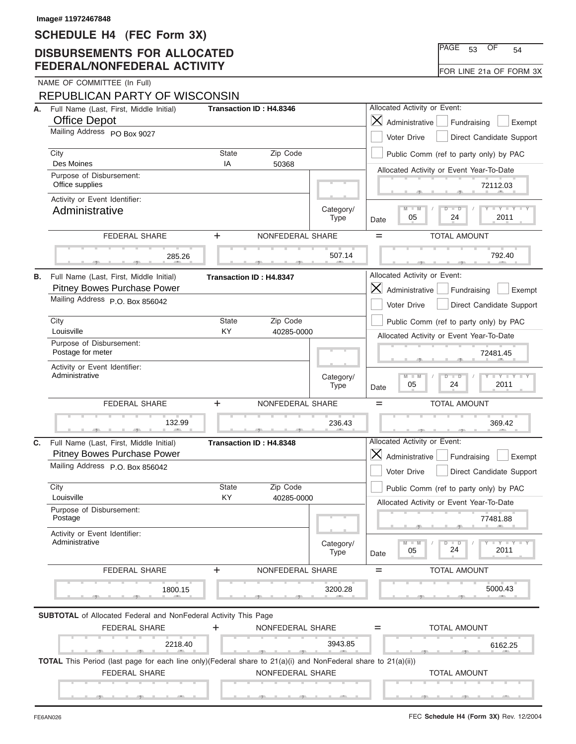### **SCHEDULE H4 (FEC Form 3X)**

### **DISBURSEMENTS FOR ALLOCATED FEDERAL/NONFEDERAL ACTIVITY**

|    | Image# 11972467848                                                                                                                   |                                              |                         |                                                                                       |                                                                 |                                           |
|----|--------------------------------------------------------------------------------------------------------------------------------------|----------------------------------------------|-------------------------|---------------------------------------------------------------------------------------|-----------------------------------------------------------------|-------------------------------------------|
|    | SCHEDULE H4 (FEC Form 3X)<br><b>DISBURSEMENTS FOR ALLOCATED</b><br><b>FEDERAL/NONFEDERAL ACTIVITY</b>                                |                                              |                         |                                                                                       | PAGE                                                            | OF<br>53<br>54<br>FOR LINE 21a OF FORM 3X |
|    | NAME OF COMMITTEE (In Full)                                                                                                          |                                              |                         |                                                                                       |                                                                 |                                           |
|    | REPUBLICAN PARTY OF WISCONSIN                                                                                                        |                                              |                         |                                                                                       |                                                                 |                                           |
| А. | Full Name (Last, First, Middle Initial)<br><b>Office Depot</b>                                                                       |                                              | Transaction ID: H4.8346 |                                                                                       | Allocated Activity or Event:<br>$\bm{\times}$<br>Administrative | Fundraising<br>Exempt                     |
|    | Mailing Address PO Box 9027                                                                                                          |                                              |                         |                                                                                       | Voter Drive                                                     | Direct Candidate Support                  |
|    | City<br>Des Moines                                                                                                                   | State<br>IA                                  | Zip Code<br>50368       |                                                                                       | Public Comm (ref to party only) by PAC                          |                                           |
|    | Purpose of Disbursement:<br>Office supplies                                                                                          |                                              |                         |                                                                                       | Allocated Activity or Event Year-To-Date                        | 72112.03                                  |
|    | Activity or Event Identifier:<br>Administrative                                                                                      |                                              |                         | Category/<br><b>Type</b>                                                              | M<br>05<br>Date                                                 | $Y - Y - Y$<br>24<br>2011                 |
|    | <b>FEDERAL SHARE</b>                                                                                                                 | $\ddot{}$                                    | NONFEDERAL SHARE        |                                                                                       | $=$                                                             | <b>TOTAL AMOUNT</b>                       |
|    | 285.26                                                                                                                               |                                              |                         | 507.14                                                                                |                                                                 | 792.40                                    |
| В. | Full Name (Last, First, Middle Initial)<br>Transaction ID: H4.8347<br>Pitney Bowes Purchase Power<br>Mailing Address P.O. Box 856042 |                                              |                         | Allocated Activity or Event:<br>$\bm{\times}$<br>Administrative<br><b>Voter Drive</b> | Fundraising<br>Exempt<br>Direct Candidate Support               |                                           |
|    | City<br>Louisville                                                                                                                   | Zip Code<br><b>State</b><br>KY<br>40285-0000 |                         |                                                                                       | Allocated Activity or Event Year-To-Date                        | Public Comm (ref to party only) by PAC    |
|    | Purpose of Disbursement:<br>Postage for meter                                                                                        |                                              |                         |                                                                                       |                                                                 | 72481.45                                  |
|    | Activity or Event Identifier:<br>Administrative                                                                                      |                                              |                         | Category/<br><b>Type</b>                                                              | $\overline{\mathbb{M}}$<br>M<br>$\overline{D}$<br>05<br>Date    | $-Y - Y - Y$<br>$\Box$<br>24<br>2011      |
|    | <b>FEDERAL SHARE</b>                                                                                                                 | $+$                                          | NONFEDERAL SHARE        |                                                                                       | $=$                                                             | <b>TOTAL AMOUNT</b>                       |
|    | 132.99                                                                                                                               |                                              |                         | 236.43                                                                                |                                                                 | 369.42                                    |
| C. | Full Name (Last, First, Middle Initial)<br>Transaction ID: H4.8348<br><b>Pitney Bowes Purchase Power</b>                             |                                              |                         | Allocated Activity or Event:<br>$ \boldsymbol{\mathsf{X}} $<br>Administrative         | Fundraising<br>Exempt                                           |                                           |
|    | Mailing Address P.O. Box 856042                                                                                                      |                                              |                         |                                                                                       | Voter Drive                                                     | Direct Candidate Support                  |
|    | City<br>Louisville                                                                                                                   | <b>State</b><br>Zip Code<br>KY<br>40285-0000 |                         |                                                                                       | Allocated Activity or Event Year-To-Date                        | Public Comm (ref to party only) by PAC    |
|    | Purpose of Disbursement:<br>Postage                                                                                                  |                                              |                         |                                                                                       |                                                                 | 77481.88                                  |
|    | Activity or Event Identifier:<br>Administrative                                                                                      |                                              |                         | Category/<br><b>Type</b>                                                              | $M - M$<br>D<br>05<br>Date                                      | $-Y - Y - Y - Y$<br>$\Box$<br>24<br>2011  |
|    | FEDERAL SHARE                                                                                                                        | ÷                                            | NONFEDERAL SHARE        |                                                                                       | $=$                                                             | TOTAL AMOUNT                              |
|    | 1800.15                                                                                                                              |                                              |                         | 3200.28                                                                               |                                                                 | 5000.43                                   |
|    | <b>SUBTOTAL</b> of Allocated Federal and NonFederal Activity This Page<br>FEDERAL SHARE                                              | +                                            | NONFEDERAL SHARE        |                                                                                       | =                                                               | <b>TOTAL AMOUNT</b>                       |
|    | 2218.40                                                                                                                              |                                              |                         | 3943.85                                                                               |                                                                 | 6162.25                                   |

 S S S , , . S S S , , . S S S , , . FEDERAL SHARE  $+$  NONFEDERAL SHARE  $=$  TOTAL AMOUNT **TOTAL** This Period (last page for each line only)(Federal share to 21(a)(i) and NonFederal share to 21(a)(ii)) S S S , , . S S S , , . FEDERAL SHARE TOTAL AMOUNT NONFEDERAL SHARE S S S , , .